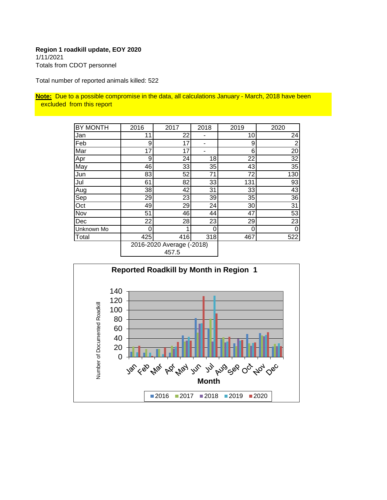#### **Region 1 roadkill update, EOY 2020** 1/11/2021

Totals from CDOT personnel

Total number of reported animals killed: 522

**Note:** Due to a possible compromise in the data, all calculations January - March, 2018 have been excluded from this report

| <b>BY MONTH</b> | 2016                      | 2017 | 2018           | 2019 | 2020           |
|-----------------|---------------------------|------|----------------|------|----------------|
| Jan             | 11                        | 22   |                | 10   | 24             |
| Feb             | 9                         | 17   | $\blacksquare$ | 9    | $\overline{2}$ |
| Mar             | 17                        | 17   |                | 6    | 20             |
| Apr             | 9                         | 24   | 18             | 22   | 32             |
| May             | 46                        | 33   | 35             | 43   | 35             |
| Jun             | 83                        | 52   | 71             | 72   | 130            |
| Jul             | 61                        | 82   | 33             | 131  | 93             |
| Aug             | 38                        | 42   | 31             | 33   | 43             |
| Sep             | 29                        | 23   | 39             | 35   | 36             |
| Oct             | 49                        | 29   | 24             | 30   | 31             |
| Nov             | 51                        | 46   | 44             | 47   | 53             |
| Dec             | 22                        | 28   | 23             | 29   | 23             |
| Unknown Mo      | 0                         |      | 0              | 0    | 0              |
| Total           | 425                       | 416  | 318            | 467  | 522            |
|                 | 2016-2020 Average (-2018) |      |                |      |                |

457.5

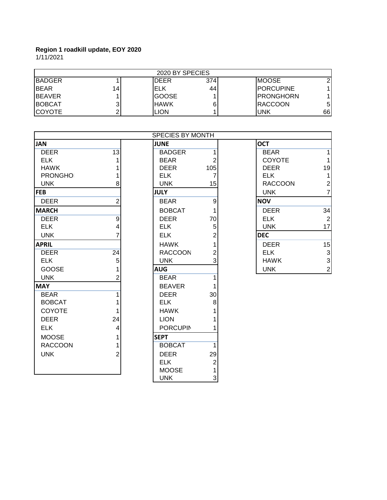|               | 2020 BY SPECIES |              |     |                   |               |  |
|---------------|-----------------|--------------|-----|-------------------|---------------|--|
| <b>BADGER</b> |                 | DEER         | 374 | <b>IMOOSE</b>     | $\mathcal{D}$ |  |
| <b>BEAR</b>   | 14              | ELK          | 44  | <b>IPORCUPINE</b> |               |  |
| <b>BEAVER</b> |                 | <b>GOOSE</b> |     | <b>IPRONGHORN</b> |               |  |
| <b>BOBCAT</b> |                 | <b>HAWK</b>  | 6   | <b>IRACCOON</b>   | 51            |  |
| <b>COYOTE</b> |                 | LION.        |     | <b>UNK</b>        | 661           |  |

|                 |                 | <b>SPECIES BY MONTH</b> |                  |                |                  |
|-----------------|-----------------|-------------------------|------------------|----------------|------------------|
| <b>JAN</b>      |                 | <b>JUNE</b>             |                  | <b>OCT</b>     |                  |
| <b>DEER</b>     | $\overline{13}$ | <b>BADGER</b>           | 1                | <b>BEAR</b>    | 1                |
| <b>ELK</b>      | 1               | <b>BEAR</b>             | $\overline{2}$   | <b>COYOTE</b>  | $\mathbf{1}$     |
| <b>HAWK</b>     |                 | <b>DEER</b>             | 105              | <b>DEER</b>    | 19               |
| <b>PRONGHOI</b> |                 | <b>ELK</b>              | 7                | <b>ELK</b>     | $\mathbf{1}$     |
| <b>UNK</b>      | 8               | <b>UNK</b>              | 15               | <b>RACCOON</b> | $\frac{2}{7}$    |
| <b>FEB</b>      |                 | <b>JULY</b>             |                  | <b>UNK</b>     |                  |
| <b>DEER</b>     | $\overline{2}$  | <b>BEAR</b>             | 9                | <b>NOV</b>     |                  |
| <b>MARCH</b>    |                 | <b>BOBCAT</b>           | 1                | <b>DEER</b>    | 34               |
| <b>DEER</b>     | $\overline{9}$  | <b>DEER</b>             | 70               | <b>ELK</b>     | $\sqrt{2}$       |
| <b>ELK</b>      | 4               | <b>ELK</b>              | 5                | <b>UNK</b>     | 17               |
| <b>UNK</b>      | 7               | <b>ELK</b>              | 2                | <b>DEC</b>     |                  |
| <b>APRIL</b>    |                 | <b>HAWK</b>             |                  | <b>DEER</b>    | 15               |
| <b>DEER</b>     | 24              | <b>RACCOON</b>          | $\overline{2}$   | <b>ELK</b>     | 3                |
| <b>ELK</b>      | 5               | <b>UNK</b>              | 3                | <b>HAWK</b>    | 3                |
| <b>GOOSE</b>    | 1               | <b>AUG</b>              |                  | <b>UNK</b>     | $\boldsymbol{2}$ |
| <b>UNK</b>      | 2               | <b>BEAR</b>             | 1                |                |                  |
| <b>MAY</b>      |                 | <b>BEAVER</b>           | 1                |                |                  |
| <b>BEAR</b>     | 1               | <b>DEER</b>             | 30               |                |                  |
| <b>BOBCAT</b>   | 1               | <b>ELK</b>              | 8                |                |                  |
| COYOTE          | 1               | <b>HAWK</b>             |                  |                |                  |
| <b>DEER</b>     | 24              | <b>LION</b>             |                  |                |                  |
| <b>ELK</b>      | 4               | <b>PORCUPIN</b>         | 1                |                |                  |
| <b>MOOSE</b>    |                 | <b>SEPT</b>             |                  |                |                  |
| <b>RACCOON</b>  |                 | <b>BOBCAT</b>           | 1                |                |                  |
| <b>UNK</b>      | 2               | <b>DEER</b>             | 29               |                |                  |
|                 |                 | <b>ELK</b>              | $\boldsymbol{2}$ |                |                  |
|                 |                 | <b>MOOSE</b>            | 1                |                |                  |
|                 |                 | <b>UNK</b>              | 3                |                |                  |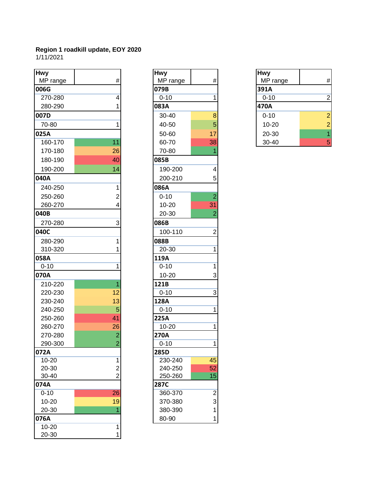| <b>Hwy</b>         |                 | <b>Hwy</b>         |                | <b>Hwy</b> |                |
|--------------------|-----------------|--------------------|----------------|------------|----------------|
| MP range           | $\#$            | MP range           | #              | MP range   | #              |
| 006G               |                 | 079B               |                | 391A       |                |
| 270-280            | 4               | $0 - 10$           | 1              | $0 - 10$   | 2              |
| 280-290            | 1               | 083A               |                | 470A       |                |
| 007D               |                 | 30-40              | $\bf{8}$       | $0 - 10$   | 2              |
| 70-80              | 1               | 40-50              | 5              | $10 - 20$  | 2              |
| 025A               |                 | 50-60              | 17             | 20-30      | $\overline{1}$ |
| 160-170            | 11              | 60-70              | 38             | 30-40      | 5              |
| 170-180            | 26              | 70-80              |                |            |                |
| 180-190            | 40              | 085B               |                |            |                |
| 190-200            | 14              | 190-200            | 4              |            |                |
| 040A               |                 | 200-210            | 5              |            |                |
| 240-250            | 1               | 086A               |                |            |                |
| 250-260            | $\overline{c}$  | $0 - 10$           | $\overline{2}$ |            |                |
| 260-270            | 4               | $10 - 20$          | 31             |            |                |
| 040B               |                 | 20-30              | 2              |            |                |
| 270-280            | 3               | 086B               |                |            |                |
| 040C               |                 | 100-110            | $\overline{c}$ |            |                |
| 280-290            | 1               | 088B               |                |            |                |
| 310-320            |                 | 20-30              | 1              |            |                |
| 058A               |                 | 119A               |                |            |                |
| $0 - 10$           | 1               | $0 - 10$           | 1              |            |                |
| 070A               |                 | $10 - 20$          | 3              |            |                |
| 210-220            | 1               | 121B               |                |            |                |
| 220-230            | 12              | $0 - 10$           | 3              |            |                |
| 230-240            | 13              | 128A               |                |            |                |
| 240-250            | 5               | $0 - 10$           | 1              |            |                |
| 250-260            | 41              | 225A               |                |            |                |
| 260-270            | 26              | 10-20              | 1              |            |                |
| 270-280            | $\overline{2}$  | 270A               |                |            |                |
| 290-300            | $\overline{2}$  | $0 - 10$           | 1              |            |                |
| 072A               |                 | 285D               |                |            |                |
| $10 - 20$          | 1               | 230-240            | 45             |            |                |
| 20-30<br>$30 - 40$ | $\frac{2}{2}$   | 240-250<br>250-260 | 52<br>15       |            |                |
| 074A               |                 | 287C               |                |            |                |
| $0 - 10$           | $\overline{26}$ | 360-370            | $\overline{2}$ |            |                |
| $10 - 20$          | 19              | 370-380            | 3              |            |                |
| 20-30              |                 | 380-390            | 1              |            |                |
| 076A               |                 | 80-90              | 1              |            |                |
| $10 - 20$          | 1               |                    |                |            |                |
| 20-30              | 1               |                    |                |            |                |

| MP range<br>#<br>079B<br>$0 - 10$<br>1<br>083A<br>8<br>30-40<br>5<br>40-50<br>17<br>50-60<br>38<br>60-70<br>1<br>70-80<br>085B<br>4<br>190-200<br>5<br>200-210<br>086A<br>$0 - 10$<br>$\overline{c}$<br>31<br>10-20<br>$\overline{2}$<br>20-30<br>086B<br>100-110<br>2<br>088B<br>20-30<br>1<br>119A<br>$0 - 10$<br>1<br>3<br>$10 - 20$<br>121B<br>3<br>$0 - 10$<br>128A<br>$0 - 10$<br>1<br>225A<br>1<br>10-20<br>270A<br>$0 - 10$<br>1<br>285D<br>45<br>230-240<br>$\overline{52}$<br>240-250<br>15<br>250-260<br><b>287C</b><br>360-370<br>$\begin{array}{c} 2 \\ 3 \\ 1 \end{array}$<br>370-380<br>380-390 | <b>Hwy</b> |                         |
|----------------------------------------------------------------------------------------------------------------------------------------------------------------------------------------------------------------------------------------------------------------------------------------------------------------------------------------------------------------------------------------------------------------------------------------------------------------------------------------------------------------------------------------------------------------------------------------------------------------|------------|-------------------------|
|                                                                                                                                                                                                                                                                                                                                                                                                                                                                                                                                                                                                                |            |                         |
|                                                                                                                                                                                                                                                                                                                                                                                                                                                                                                                                                                                                                |            |                         |
|                                                                                                                                                                                                                                                                                                                                                                                                                                                                                                                                                                                                                |            |                         |
|                                                                                                                                                                                                                                                                                                                                                                                                                                                                                                                                                                                                                |            |                         |
|                                                                                                                                                                                                                                                                                                                                                                                                                                                                                                                                                                                                                |            |                         |
|                                                                                                                                                                                                                                                                                                                                                                                                                                                                                                                                                                                                                |            |                         |
|                                                                                                                                                                                                                                                                                                                                                                                                                                                                                                                                                                                                                |            |                         |
|                                                                                                                                                                                                                                                                                                                                                                                                                                                                                                                                                                                                                |            |                         |
|                                                                                                                                                                                                                                                                                                                                                                                                                                                                                                                                                                                                                |            |                         |
|                                                                                                                                                                                                                                                                                                                                                                                                                                                                                                                                                                                                                |            |                         |
|                                                                                                                                                                                                                                                                                                                                                                                                                                                                                                                                                                                                                |            |                         |
|                                                                                                                                                                                                                                                                                                                                                                                                                                                                                                                                                                                                                |            |                         |
|                                                                                                                                                                                                                                                                                                                                                                                                                                                                                                                                                                                                                |            |                         |
|                                                                                                                                                                                                                                                                                                                                                                                                                                                                                                                                                                                                                |            |                         |
|                                                                                                                                                                                                                                                                                                                                                                                                                                                                                                                                                                                                                |            |                         |
|                                                                                                                                                                                                                                                                                                                                                                                                                                                                                                                                                                                                                |            |                         |
|                                                                                                                                                                                                                                                                                                                                                                                                                                                                                                                                                                                                                |            |                         |
|                                                                                                                                                                                                                                                                                                                                                                                                                                                                                                                                                                                                                |            |                         |
|                                                                                                                                                                                                                                                                                                                                                                                                                                                                                                                                                                                                                |            |                         |
|                                                                                                                                                                                                                                                                                                                                                                                                                                                                                                                                                                                                                |            |                         |
|                                                                                                                                                                                                                                                                                                                                                                                                                                                                                                                                                                                                                |            |                         |
|                                                                                                                                                                                                                                                                                                                                                                                                                                                                                                                                                                                                                |            |                         |
|                                                                                                                                                                                                                                                                                                                                                                                                                                                                                                                                                                                                                |            |                         |
|                                                                                                                                                                                                                                                                                                                                                                                                                                                                                                                                                                                                                |            |                         |
|                                                                                                                                                                                                                                                                                                                                                                                                                                                                                                                                                                                                                |            |                         |
|                                                                                                                                                                                                                                                                                                                                                                                                                                                                                                                                                                                                                |            |                         |
|                                                                                                                                                                                                                                                                                                                                                                                                                                                                                                                                                                                                                |            |                         |
|                                                                                                                                                                                                                                                                                                                                                                                                                                                                                                                                                                                                                |            |                         |
|                                                                                                                                                                                                                                                                                                                                                                                                                                                                                                                                                                                                                |            |                         |
|                                                                                                                                                                                                                                                                                                                                                                                                                                                                                                                                                                                                                |            |                         |
|                                                                                                                                                                                                                                                                                                                                                                                                                                                                                                                                                                                                                |            |                         |
|                                                                                                                                                                                                                                                                                                                                                                                                                                                                                                                                                                                                                |            |                         |
|                                                                                                                                                                                                                                                                                                                                                                                                                                                                                                                                                                                                                |            |                         |
|                                                                                                                                                                                                                                                                                                                                                                                                                                                                                                                                                                                                                |            |                         |
|                                                                                                                                                                                                                                                                                                                                                                                                                                                                                                                                                                                                                |            |                         |
|                                                                                                                                                                                                                                                                                                                                                                                                                                                                                                                                                                                                                |            |                         |
|                                                                                                                                                                                                                                                                                                                                                                                                                                                                                                                                                                                                                |            |                         |
|                                                                                                                                                                                                                                                                                                                                                                                                                                                                                                                                                                                                                |            |                         |
|                                                                                                                                                                                                                                                                                                                                                                                                                                                                                                                                                                                                                | 80-90      | $\overline{\mathbf{1}}$ |

| <b>Hwy</b> |                |
|------------|----------------|
| MP range   | #              |
| 391A       |                |
| $0 - 10$   | $\overline{2}$ |
| 470A       |                |
| $0 - 10$   | $\overline{a}$ |
| 10-20      | $\overline{c}$ |
| 20-30      | 1              |
| $30 - 40$  | 5              |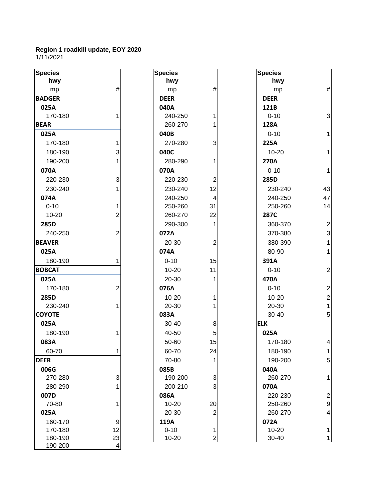#### **Region 1 roadkill update, EOY 2020** 1/11/2021

| hwy<br>hwy<br>hwy<br>$\#$<br>$\#$<br>ħ<br>mp<br>mp<br>mp<br><b>DEER</b><br><b>DEER</b><br>025A<br>040A<br>121B<br>3<br>$0 - 10$<br>170-180<br>240-250<br>1<br>260-270<br>128A<br>1<br>025A<br>040B<br>$0 - 10$<br>170-180<br>270-280<br>3<br>225A<br>180-190<br>3<br>040C<br>$10 - 20$<br>1<br>270A<br>190-200<br>280-290<br>1<br>070A<br>070A<br>$0 - 10$<br>1<br>220-230<br>3<br>220-230<br>285D<br>$\overline{2}$<br>43<br>230-240<br>230-240<br>12<br>230-240<br>47<br>074A<br>240-250<br>240-250<br>$\overline{4}$<br>$0 - 10$<br>250-260<br>31<br>250-260<br>14<br>22<br>$10 - 20$<br>260-270<br>287C<br>2<br>285D<br>290-300<br>360-370<br>2<br>1<br>3<br>240-250<br>072A<br>370-380<br>2<br><b>BEAVER</b><br>20-30<br>380-390<br>2<br>1<br>025A<br>074A<br>80-90<br>1<br>180-190<br>$0 - 10$<br>15<br>391A<br>2<br><b>BOBCAT</b><br>$10 - 20$<br>11<br>$0 - 10$<br>025A<br>20-30<br>470A<br>2<br>170-180<br>2<br>076A<br>$0 - 10$<br>2<br>$10 - 20$<br>285D<br>$10 - 20$<br>1<br>20-30<br>20-30<br>230-240<br><b>COYOTE</b><br>083A<br>30-40<br>5<br><b>ELK</b><br>025A<br>30-40<br>8<br>180-190<br>40-50<br>025A<br>5<br>083A<br>50-60<br>15<br>170-180<br>4<br>24<br>180-190<br>60-70<br>60-70<br>-4<br><b>DEER</b><br>70-80<br>190-200<br>5<br>1<br>006G<br>085B<br>040A<br>270-280<br>3<br>3<br>190-200<br>260-270<br>1<br>3<br>070A<br>280-290<br>200-210<br>2<br>007D<br>086A<br>220-230<br>70-80<br>20<br>S<br>$10 - 20$<br>250-260<br>$\overline{2}$<br>260-270<br>025A<br>20-30<br>4<br>072A<br>160-170<br>9<br>119A<br>12<br>170-180<br>$0 - 10$<br>$10 - 20$<br>1<br>1<br>$\overline{2}$<br>23<br>180-190<br>10-20<br>30-40<br>1 | <b>Species</b> |   | <b>Species</b> | <b>Species</b> |  |
|-----------------------------------------------------------------------------------------------------------------------------------------------------------------------------------------------------------------------------------------------------------------------------------------------------------------------------------------------------------------------------------------------------------------------------------------------------------------------------------------------------------------------------------------------------------------------------------------------------------------------------------------------------------------------------------------------------------------------------------------------------------------------------------------------------------------------------------------------------------------------------------------------------------------------------------------------------------------------------------------------------------------------------------------------------------------------------------------------------------------------------------------------------------------------------------------------------------------------------------------------------------------------------------------------------------------------------------------------------------------------------------------------------------------------------------------------------------------------------------------------------------------------------------------------------------------------------------------------------------------------------------------------------|----------------|---|----------------|----------------|--|
|                                                                                                                                                                                                                                                                                                                                                                                                                                                                                                                                                                                                                                                                                                                                                                                                                                                                                                                                                                                                                                                                                                                                                                                                                                                                                                                                                                                                                                                                                                                                                                                                                                                     |                |   |                |                |  |
|                                                                                                                                                                                                                                                                                                                                                                                                                                                                                                                                                                                                                                                                                                                                                                                                                                                                                                                                                                                                                                                                                                                                                                                                                                                                                                                                                                                                                                                                                                                                                                                                                                                     |                |   |                |                |  |
|                                                                                                                                                                                                                                                                                                                                                                                                                                                                                                                                                                                                                                                                                                                                                                                                                                                                                                                                                                                                                                                                                                                                                                                                                                                                                                                                                                                                                                                                                                                                                                                                                                                     | <b>BADGER</b>  |   |                |                |  |
|                                                                                                                                                                                                                                                                                                                                                                                                                                                                                                                                                                                                                                                                                                                                                                                                                                                                                                                                                                                                                                                                                                                                                                                                                                                                                                                                                                                                                                                                                                                                                                                                                                                     |                |   |                |                |  |
|                                                                                                                                                                                                                                                                                                                                                                                                                                                                                                                                                                                                                                                                                                                                                                                                                                                                                                                                                                                                                                                                                                                                                                                                                                                                                                                                                                                                                                                                                                                                                                                                                                                     |                |   |                |                |  |
|                                                                                                                                                                                                                                                                                                                                                                                                                                                                                                                                                                                                                                                                                                                                                                                                                                                                                                                                                                                                                                                                                                                                                                                                                                                                                                                                                                                                                                                                                                                                                                                                                                                     | <b>BEAR</b>    |   |                |                |  |
|                                                                                                                                                                                                                                                                                                                                                                                                                                                                                                                                                                                                                                                                                                                                                                                                                                                                                                                                                                                                                                                                                                                                                                                                                                                                                                                                                                                                                                                                                                                                                                                                                                                     |                |   |                |                |  |
|                                                                                                                                                                                                                                                                                                                                                                                                                                                                                                                                                                                                                                                                                                                                                                                                                                                                                                                                                                                                                                                                                                                                                                                                                                                                                                                                                                                                                                                                                                                                                                                                                                                     |                |   |                |                |  |
|                                                                                                                                                                                                                                                                                                                                                                                                                                                                                                                                                                                                                                                                                                                                                                                                                                                                                                                                                                                                                                                                                                                                                                                                                                                                                                                                                                                                                                                                                                                                                                                                                                                     |                |   |                |                |  |
|                                                                                                                                                                                                                                                                                                                                                                                                                                                                                                                                                                                                                                                                                                                                                                                                                                                                                                                                                                                                                                                                                                                                                                                                                                                                                                                                                                                                                                                                                                                                                                                                                                                     |                |   |                |                |  |
|                                                                                                                                                                                                                                                                                                                                                                                                                                                                                                                                                                                                                                                                                                                                                                                                                                                                                                                                                                                                                                                                                                                                                                                                                                                                                                                                                                                                                                                                                                                                                                                                                                                     |                |   |                |                |  |
|                                                                                                                                                                                                                                                                                                                                                                                                                                                                                                                                                                                                                                                                                                                                                                                                                                                                                                                                                                                                                                                                                                                                                                                                                                                                                                                                                                                                                                                                                                                                                                                                                                                     |                |   |                |                |  |
|                                                                                                                                                                                                                                                                                                                                                                                                                                                                                                                                                                                                                                                                                                                                                                                                                                                                                                                                                                                                                                                                                                                                                                                                                                                                                                                                                                                                                                                                                                                                                                                                                                                     |                |   |                |                |  |
|                                                                                                                                                                                                                                                                                                                                                                                                                                                                                                                                                                                                                                                                                                                                                                                                                                                                                                                                                                                                                                                                                                                                                                                                                                                                                                                                                                                                                                                                                                                                                                                                                                                     |                |   |                |                |  |
|                                                                                                                                                                                                                                                                                                                                                                                                                                                                                                                                                                                                                                                                                                                                                                                                                                                                                                                                                                                                                                                                                                                                                                                                                                                                                                                                                                                                                                                                                                                                                                                                                                                     |                |   |                |                |  |
|                                                                                                                                                                                                                                                                                                                                                                                                                                                                                                                                                                                                                                                                                                                                                                                                                                                                                                                                                                                                                                                                                                                                                                                                                                                                                                                                                                                                                                                                                                                                                                                                                                                     |                |   |                |                |  |
|                                                                                                                                                                                                                                                                                                                                                                                                                                                                                                                                                                                                                                                                                                                                                                                                                                                                                                                                                                                                                                                                                                                                                                                                                                                                                                                                                                                                                                                                                                                                                                                                                                                     |                |   |                |                |  |
|                                                                                                                                                                                                                                                                                                                                                                                                                                                                                                                                                                                                                                                                                                                                                                                                                                                                                                                                                                                                                                                                                                                                                                                                                                                                                                                                                                                                                                                                                                                                                                                                                                                     |                |   |                |                |  |
|                                                                                                                                                                                                                                                                                                                                                                                                                                                                                                                                                                                                                                                                                                                                                                                                                                                                                                                                                                                                                                                                                                                                                                                                                                                                                                                                                                                                                                                                                                                                                                                                                                                     |                |   |                |                |  |
|                                                                                                                                                                                                                                                                                                                                                                                                                                                                                                                                                                                                                                                                                                                                                                                                                                                                                                                                                                                                                                                                                                                                                                                                                                                                                                                                                                                                                                                                                                                                                                                                                                                     |                |   |                |                |  |
|                                                                                                                                                                                                                                                                                                                                                                                                                                                                                                                                                                                                                                                                                                                                                                                                                                                                                                                                                                                                                                                                                                                                                                                                                                                                                                                                                                                                                                                                                                                                                                                                                                                     |                |   |                |                |  |
|                                                                                                                                                                                                                                                                                                                                                                                                                                                                                                                                                                                                                                                                                                                                                                                                                                                                                                                                                                                                                                                                                                                                                                                                                                                                                                                                                                                                                                                                                                                                                                                                                                                     |                |   |                |                |  |
|                                                                                                                                                                                                                                                                                                                                                                                                                                                                                                                                                                                                                                                                                                                                                                                                                                                                                                                                                                                                                                                                                                                                                                                                                                                                                                                                                                                                                                                                                                                                                                                                                                                     |                |   |                |                |  |
|                                                                                                                                                                                                                                                                                                                                                                                                                                                                                                                                                                                                                                                                                                                                                                                                                                                                                                                                                                                                                                                                                                                                                                                                                                                                                                                                                                                                                                                                                                                                                                                                                                                     |                |   |                |                |  |
|                                                                                                                                                                                                                                                                                                                                                                                                                                                                                                                                                                                                                                                                                                                                                                                                                                                                                                                                                                                                                                                                                                                                                                                                                                                                                                                                                                                                                                                                                                                                                                                                                                                     |                |   |                |                |  |
|                                                                                                                                                                                                                                                                                                                                                                                                                                                                                                                                                                                                                                                                                                                                                                                                                                                                                                                                                                                                                                                                                                                                                                                                                                                                                                                                                                                                                                                                                                                                                                                                                                                     |                |   |                |                |  |
|                                                                                                                                                                                                                                                                                                                                                                                                                                                                                                                                                                                                                                                                                                                                                                                                                                                                                                                                                                                                                                                                                                                                                                                                                                                                                                                                                                                                                                                                                                                                                                                                                                                     |                |   |                |                |  |
|                                                                                                                                                                                                                                                                                                                                                                                                                                                                                                                                                                                                                                                                                                                                                                                                                                                                                                                                                                                                                                                                                                                                                                                                                                                                                                                                                                                                                                                                                                                                                                                                                                                     |                |   |                |                |  |
|                                                                                                                                                                                                                                                                                                                                                                                                                                                                                                                                                                                                                                                                                                                                                                                                                                                                                                                                                                                                                                                                                                                                                                                                                                                                                                                                                                                                                                                                                                                                                                                                                                                     |                |   |                |                |  |
|                                                                                                                                                                                                                                                                                                                                                                                                                                                                                                                                                                                                                                                                                                                                                                                                                                                                                                                                                                                                                                                                                                                                                                                                                                                                                                                                                                                                                                                                                                                                                                                                                                                     |                |   |                |                |  |
|                                                                                                                                                                                                                                                                                                                                                                                                                                                                                                                                                                                                                                                                                                                                                                                                                                                                                                                                                                                                                                                                                                                                                                                                                                                                                                                                                                                                                                                                                                                                                                                                                                                     |                |   |                |                |  |
|                                                                                                                                                                                                                                                                                                                                                                                                                                                                                                                                                                                                                                                                                                                                                                                                                                                                                                                                                                                                                                                                                                                                                                                                                                                                                                                                                                                                                                                                                                                                                                                                                                                     |                |   |                |                |  |
|                                                                                                                                                                                                                                                                                                                                                                                                                                                                                                                                                                                                                                                                                                                                                                                                                                                                                                                                                                                                                                                                                                                                                                                                                                                                                                                                                                                                                                                                                                                                                                                                                                                     |                |   |                |                |  |
|                                                                                                                                                                                                                                                                                                                                                                                                                                                                                                                                                                                                                                                                                                                                                                                                                                                                                                                                                                                                                                                                                                                                                                                                                                                                                                                                                                                                                                                                                                                                                                                                                                                     |                |   |                |                |  |
|                                                                                                                                                                                                                                                                                                                                                                                                                                                                                                                                                                                                                                                                                                                                                                                                                                                                                                                                                                                                                                                                                                                                                                                                                                                                                                                                                                                                                                                                                                                                                                                                                                                     |                |   |                |                |  |
|                                                                                                                                                                                                                                                                                                                                                                                                                                                                                                                                                                                                                                                                                                                                                                                                                                                                                                                                                                                                                                                                                                                                                                                                                                                                                                                                                                                                                                                                                                                                                                                                                                                     |                |   |                |                |  |
|                                                                                                                                                                                                                                                                                                                                                                                                                                                                                                                                                                                                                                                                                                                                                                                                                                                                                                                                                                                                                                                                                                                                                                                                                                                                                                                                                                                                                                                                                                                                                                                                                                                     |                |   |                |                |  |
|                                                                                                                                                                                                                                                                                                                                                                                                                                                                                                                                                                                                                                                                                                                                                                                                                                                                                                                                                                                                                                                                                                                                                                                                                                                                                                                                                                                                                                                                                                                                                                                                                                                     |                |   |                |                |  |
|                                                                                                                                                                                                                                                                                                                                                                                                                                                                                                                                                                                                                                                                                                                                                                                                                                                                                                                                                                                                                                                                                                                                                                                                                                                                                                                                                                                                                                                                                                                                                                                                                                                     |                |   |                |                |  |
|                                                                                                                                                                                                                                                                                                                                                                                                                                                                                                                                                                                                                                                                                                                                                                                                                                                                                                                                                                                                                                                                                                                                                                                                                                                                                                                                                                                                                                                                                                                                                                                                                                                     |                |   |                |                |  |
|                                                                                                                                                                                                                                                                                                                                                                                                                                                                                                                                                                                                                                                                                                                                                                                                                                                                                                                                                                                                                                                                                                                                                                                                                                                                                                                                                                                                                                                                                                                                                                                                                                                     |                |   |                |                |  |
|                                                                                                                                                                                                                                                                                                                                                                                                                                                                                                                                                                                                                                                                                                                                                                                                                                                                                                                                                                                                                                                                                                                                                                                                                                                                                                                                                                                                                                                                                                                                                                                                                                                     | 190-200        | 4 |                |                |  |

| <b>Species</b> |                                             |
|----------------|---------------------------------------------|
| hwy            |                                             |
| mp             | #                                           |
| <b>DEER</b>    |                                             |
| 040A           |                                             |
| 240-250        | 1                                           |
| 260-270        | $\overline{1}$                              |
| 040B           |                                             |
| 270-280        | 3                                           |
| 040C           |                                             |
| 280-290        | 1                                           |
| 070A           |                                             |
| 220-230        | $\overline{\mathbf{c}}$                     |
| 230-240        | 12                                          |
| 240-250        | 4                                           |
| 250-260        | 31                                          |
| 260-270        | 22                                          |
| 290-300        | 1                                           |
| 072A           |                                             |
| 20-30          | $\overline{2}$                              |
| 074A           |                                             |
| $0 - 10$       | 15                                          |
| 10-20          | 11                                          |
| 20-30          | 1                                           |
| 076A           |                                             |
| 10-20          | 1                                           |
| 20-30          | $\overline{1}$                              |
| 083A           |                                             |
| 30-40          |                                             |
| 40-50          |                                             |
| 50-60          | $\begin{array}{c} 8 \\ 5 \\ 15 \end{array}$ |
| 60-70          | 24                                          |
| 70-80          | 1                                           |
| 085B           |                                             |
| 190-200        |                                             |
| 200-210        | 3<br>3                                      |
| 086A           |                                             |
| 10-20          | 20                                          |
| 20-30          | $\overline{c}$                              |
| 119A           |                                             |
| $0 - 10$       |                                             |
| 10-20          |                                             |

| ies        |    | <b>Species</b> |                | <b>Species</b> |                           |
|------------|----|----------------|----------------|----------------|---------------------------|
| <b>nwy</b> |    | hwy            |                | hwy            |                           |
| mp         | #  | mp             | $\#$           | mp             | $\#$                      |
| GER        |    | <b>DEER</b>    |                | <b>DEER</b>    |                           |
| iΑ         |    | 040A           |                | 121B           |                           |
| 70-180     | 1  | 240-250        | 1              | $0 - 10$       | 3                         |
|            |    | 260-270        | 1              | 128A           |                           |
| iΑ         |    | 040B           |                | $0 - 10$       | 1                         |
| 70-180     |    | 270-280        | 3              | 225A           |                           |
| 80-190     | 3  | 040C           |                | $10 - 20$      | $\mathbf{1}$              |
| 90-200     |    | 280-290        | 1              | <b>270A</b>    |                           |
| )A         |    | 070A           |                | $0 - 10$       | $\mathbf{1}$              |
| 20-230     | 3  | 220-230        | $\overline{2}$ | 285D           |                           |
| 30-240     |    | 230-240        | 12             | 230-240        | 43                        |
| ΙA         |    | 240-250        | 4              | 240-250        | 47                        |
| -10        |    | 250-260        | 31             | 250-260        | 14                        |
| 0-20       | 2  | 260-270        | 22             | <b>287C</b>    |                           |
| Di         |    | 290-300        | 1              | 360-370        | $\overline{2}$            |
| 40-250     | 2  | 072A           |                | 370-380        | $\ensuremath{\mathsf{3}}$ |
| 'ER        |    | 20-30          | $\overline{2}$ | 380-390        | $\mathbf{1}$              |
| iА         |    | 074A           |                | 80-90          | 1                         |
| 80-190     |    | $0 - 10$       | 15             | 391A           |                           |
| AT         |    | $10 - 20$      | 11             | $0 - 10$       | $\mathbf 2$               |
| iΑ         |    | 20-30          | 1              | 470A           |                           |
| 70-180     | 2  | 076A           |                | $0 - 10$       | $\overline{2}$            |
| Di         |    | $10 - 20$      | 1              | $10 - 20$      | $\mathbf 2$               |
| 30-240     |    | 20-30          | 1              | 20-30          | 1                         |
| <b>DTE</b> |    | 083A           |                | 30-40          | 5                         |
| iΑ         |    | 30-40          | 8              | <b>ELK</b>     |                           |
| 80-190     |    | 40-50          | 5              | 025A           |                           |
| ìА         |    | 50-60          | 15             | 170-180        | 4                         |
| $0 - 70$   | 1  | 60-70          | 24             | 180-190        | 1                         |
|            |    | 70-80          | 1              | 190-200        | 5                         |
| iG         |    | 085B           |                | 040A           |                           |
| 70-280     | 3  | 190-200        | 3              | 260-270        | 1                         |
| 80-290     |    | 200-210        | 3              | 070A           |                           |
| 'D         |    | 086A           |                | 220-230        | $\overline{2}$            |
| $0 - 80$   |    | $10 - 20$      | 20             | 250-260        | 9                         |
| iΑ         |    | 20-30          | 2              | 260-270        | 4                         |
| 60-170     | 9  | 119A           |                | 072A           |                           |
| 70-180     | 12 | $0 - 10$       | 1              | $10 - 20$      | 1                         |
| 80-190     | 23 | $10 - 20$      | $\overline{2}$ | 30-40          | 1                         |
|            |    |                |                |                |                           |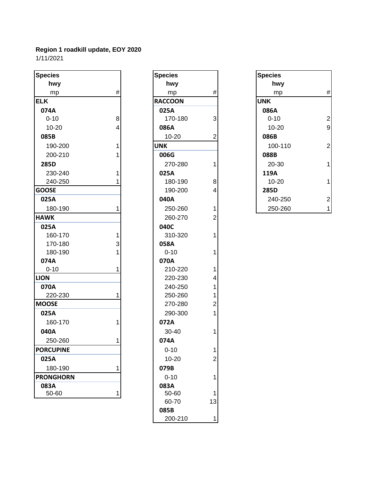| <b>Species</b>   |      | <b>Species</b> |                         | <b>Species</b> |             |
|------------------|------|----------------|-------------------------|----------------|-------------|
| hwy              |      | hwy            |                         | hwy            |             |
| mp               | $\#$ | mp             | $\#$                    | mp             | #           |
| <b>ELK</b>       |      | <b>RACCOON</b> |                         | <b>UNK</b>     |             |
| 074A             |      | 025A           |                         | 086A           |             |
| $0 - 10$         | 8    | 170-180        | 3                       | $0 - 10$       | 2           |
| $10 - 20$        | 4    | 086A           |                         | $10 - 20$      | ç           |
| 085B             |      | $10 - 20$      | $\overline{2}$          | 086B           |             |
| 190-200          | 1    | <b>UNK</b>     |                         | 100-110        | 2           |
| 200-210          |      | 006G           |                         | 088B           |             |
| 285D             |      | 270-280        | 1                       | 20-30          | 1           |
| 230-240          | 1    | 025A           |                         | 119A           |             |
| 240-250          |      | 180-190        | 8                       | $10 - 20$      | 1           |
| <b>GOOSE</b>     |      | 190-200        | 4                       | 285D           |             |
| 025A             |      | 040A           |                         | 240-250        | $\tilde{z}$ |
| 180-190          |      | 250-260        | 1                       | 250-260        | 1           |
| <b>HAWK</b>      |      | 260-270        | $\overline{2}$          |                |             |
| 025A             |      | 040C           |                         |                |             |
| 160-170          | 1    | 310-320        | 1                       |                |             |
| 170-180          | 3    | 058A           |                         |                |             |
| 180-190          | 1    | $0 - 10$       | 1                       |                |             |
| 074A             |      | 070A           |                         |                |             |
| $0 - 10$         | 1    | 210-220        | 1                       |                |             |
| <b>LION</b>      |      | 220-230        | $\overline{\mathbf{4}}$ |                |             |
| 070A             |      | 240-250        | 1                       |                |             |
| 220-230          | 1    | 250-260        | 1                       |                |             |
| <b>MOOSE</b>     |      | 270-280        | $\overline{2}$          |                |             |
| 025A             |      | 290-300        | 1                       |                |             |
| 160-170          | 1    | 072A           |                         |                |             |
| 040A             |      | 30-40          | 1                       |                |             |
| 250-260          |      | 074A           |                         |                |             |
| <b>PORCUPINE</b> |      | $0 - 10$       | 1                       |                |             |
| 025A             |      | $10 - 20$      | $\overline{2}$          |                |             |
| 180-190          | 1    | 079B           |                         |                |             |
| <b>PRONGHORN</b> |      | $0 - 10$       | 1                       |                |             |
| 083A             |      | 083A           |                         |                |             |
| 50-60            | 1    | 50-60          | 1                       |                |             |
|                  |      | 00.70          | $\sim$                  |                |             |

| Species         |                                       |
|-----------------|---------------------------------------|
| hwy             |                                       |
| mp              | #                                     |
| <b>RACCOON</b>  |                                       |
| 025A            |                                       |
| 170-180         | 3                                     |
| 086A            |                                       |
| $10 - 20$       | 2                                     |
| UNK             |                                       |
| 006G            |                                       |
| 270-280         | 1                                     |
| 025A            |                                       |
| 180-190         | 8                                     |
| 190-200         | 4                                     |
| 040A            |                                       |
| 250-260         | 1                                     |
| 260-270         | $\overline{c}$                        |
| 040C            |                                       |
| 310-320         | $\overline{\mathbf{1}}$               |
| 058A            |                                       |
| $0 - 10$        | 1                                     |
| 070A            |                                       |
| 210-220         | 1                                     |
| 220-230         | 4                                     |
| 240-250         | $\begin{array}{c} 1 \\ 1 \end{array}$ |
| 250-260         |                                       |
| 270-280         | $\overline{c}$                        |
| 290-300         | $\overline{1}$                        |
| 072A            |                                       |
| 30-40           | 1                                     |
| 074A            |                                       |
| $0 - 10$        | 1                                     |
| 10-20           |                                       |
| 079B            |                                       |
| $0 - 10$        |                                       |
| 083A            |                                       |
| 50-60<br>60-70  | 13                                    |
|                 |                                       |
| 085B<br>200-210 |                                       |
|                 |                                       |

| ies        |   | <b>Species</b> |   | <b>Species</b> |                |
|------------|---|----------------|---|----------------|----------------|
| <b>nwy</b> |   | hwy            |   | hwy            |                |
| mp         | # | mp             | # | mp             | $\#$           |
|            |   | <b>RACCOON</b> |   | <b>UNK</b>     |                |
| ŀА         |   | 025A           |   | 086A           |                |
| -10        | 8 | 170-180        | 3 | $0 - 10$       | $\overline{c}$ |
| $0 - 20$   | 4 | 086A           |   | $10 - 20$      | $\overline{9}$ |
| ìВ         |   | $10 - 20$      | 2 | 086B           |                |
| 90-200     |   | <b>UNK</b>     |   | 100-110        | $\overline{2}$ |
| 00-210     |   | 006G           |   | 088B           |                |
| Di         |   | 270-280        |   | 20-30          | 1              |
| 30-240     |   | 025A           |   | 119A           |                |
| 40-250     |   | 180-190        | 8 | $10 - 20$      | 1              |
| SE.        |   | 190-200        | 4 | 285D           |                |
| ìА         |   | 040A           |   | 240-250        | $\overline{2}$ |
| 80-190     |   | 250-260        |   | 250-260        | $\mathbf{1}$   |
|            |   |                |   |                |                |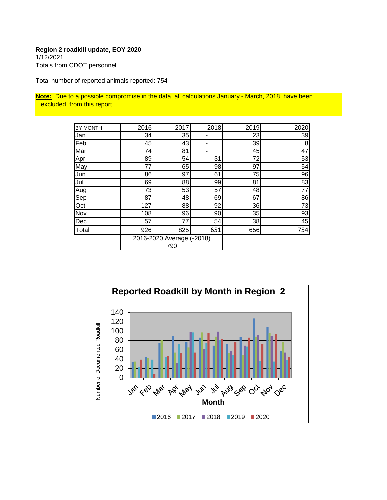#### **Region 2 roadkill update, EOY 2020** 1/12/2021

Totals from CDOT personnel

Total number of reported animals reported: 754

**Note:** Due to a possible compromise in the data, all calculations January - March, 2018, have been excluded from this report

| BY MONTH | 2016 | 2017                             | 2018 | 2019 | 2020 |
|----------|------|----------------------------------|------|------|------|
| Jan      | 34   | 35                               |      | 23   | 39   |
| Feb      | 45   | 43                               |      | 39   | 8    |
| Mar      | 74   | 81                               | ۰    | 45   | 47   |
| Apr      | 89   | 54                               | 31   | 72   | 53   |
| May      | 77   | 65                               | 98   | 97   | 54   |
| Jun      | 86   | 97                               | 61   | 75   | 96   |
| Jul      | 69   | 88                               | 99   | 81   | 83   |
| Aug      | 73   | 53                               | 57   | 48   | 77   |
| Sep      | 87   | 48                               | 69   | 67   | 86   |
| Oct      | 127  | 88                               | 92   | 36   | 73   |
| Nov      | 108  | 96                               | 90   | 35   | 93   |
| Dec      | 57   | 77                               | 54   | 38   | 45   |
| Total    | 926  | 825                              | 651  | 656  | 754  |
|          |      | 2016-2020 Average (-2018)<br>790 |      |      |      |

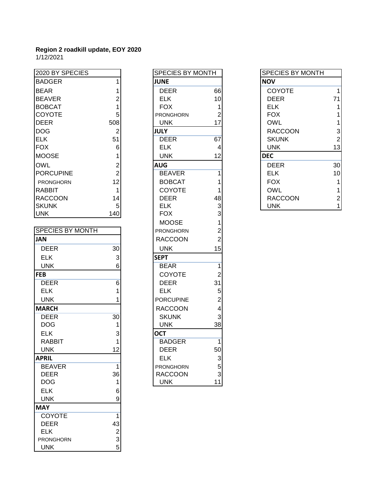1/12/2021

| 2020 BY SPECIES              |                           | SPECIES BY MONTH             |                 | <b>SPECIES BY MONTH</b> |                         |
|------------------------------|---------------------------|------------------------------|-----------------|-------------------------|-------------------------|
| <b>BADGER</b>                |                           | <b>JUNE</b>                  |                 | <b>NOV</b>              |                         |
|                              | 1                         |                              |                 |                         |                         |
| <b>BEAR</b>                  | 1                         | <b>DEER</b>                  | 66              | <b>COYOTE</b>           | 1                       |
| <b>BEAVER</b>                | 2                         | <b>ELK</b>                   | 10              | <b>DEER</b>             | 71                      |
| <b>BOBCAT</b>                | 1                         | <b>FOX</b>                   | 1               | <b>ELK</b>              | 1                       |
| COYOTE                       | 5                         | <b>PRONGHORN</b>             | $\overline{2}$  | <b>FOX</b>              | 1                       |
| <b>DEER</b>                  | 508                       | <b>UNK</b>                   | 17              | <b>OWL</b>              | 1                       |
| <b>DOG</b>                   | $\overline{2}$            | <b>JULY</b>                  |                 | <b>RACCOON</b>          | 3                       |
| <b>ELK</b>                   | 51                        | <b>DEER</b>                  | 67              | <b>SKUNK</b>            | $\overline{2}$          |
| <b>FOX</b>                   | $6\phantom{1}6$           | <b>ELK</b>                   | 4               | <b>UNK</b>              | 13                      |
| <b>MOOSE</b>                 | 1                         | <b>UNK</b>                   | 12              | <b>DEC</b>              |                         |
| <b>OWL</b>                   | $\overline{c}$            | <b>AUG</b>                   |                 | <b>DEER</b>             | 30                      |
| <b>PORCUPINE</b>             | $\overline{2}$            | <b>BEAVER</b>                | 1               | <b>ELK</b>              | 10                      |
| PRONGHORN                    | 12                        | <b>BOBCAT</b>                |                 | <b>FOX</b>              | 1                       |
| <b>RABBIT</b>                | 1                         | COYOTE                       | 1               | <b>OWL</b>              | 1                       |
| <b>RACCOON</b>               | 14                        | <b>DEER</b>                  | 48              | <b>RACCOON</b>          | $\overline{\mathbf{c}}$ |
| <b>SKUNK</b>                 | 5                         | <b>ELK</b>                   | 3               | <b>UNK</b>              | 1                       |
| <b>UNK</b>                   | 140                       | <b>FOX</b>                   | 3               |                         |                         |
|                              |                           | <b>MOOSE</b>                 | 1               |                         |                         |
| <b>SPECIES BY MONTH</b>      |                           | <b>PRONGHORN</b>             | 2               |                         |                         |
| <b>JAN</b>                   |                           | <b>RACCOON</b>               | $\overline{2}$  |                         |                         |
| <b>DEER</b>                  | 30                        | <b>UNK</b>                   | 15              |                         |                         |
| <b>ELK</b>                   | $\ensuremath{\mathsf{3}}$ | <b>SEPT</b>                  |                 |                         |                         |
| <b>UNK</b>                   | 6                         | <b>BEAR</b>                  | 1               |                         |                         |
| <b>FEB</b>                   |                           | <b>COYOTE</b>                | $\overline{2}$  |                         |                         |
| <b>DEER</b>                  | 6                         | <b>DEER</b>                  | 31              |                         |                         |
| <b>ELK</b>                   | 1                         | <b>ELK</b>                   | 5               |                         |                         |
| <b>UNK</b>                   | 1                         | <b>PORCUPINE</b>             | 2               |                         |                         |
| <b>MARCH</b>                 |                           | <b>RACCOON</b>               | 4               |                         |                         |
| <b>DEER</b>                  | 30                        | <b>SKUNK</b>                 | 3               |                         |                         |
| <b>DOG</b>                   | 1                         | <b>UNK</b>                   | 38              |                         |                         |
| <b>ELK</b>                   | 3                         | <b>OCT</b>                   |                 |                         |                         |
| <b>RABBIT</b>                | 1                         | <b>BADGER</b>                | 1               |                         |                         |
| <b>UNK</b>                   | 12                        | <b>DEER</b>                  | 50              |                         |                         |
|                              |                           | <b>ELK</b>                   |                 |                         |                         |
| <b>APRIL</b>                 |                           |                              | 3               |                         |                         |
| <b>BEAVER</b><br><b>DEER</b> | 1<br>36                   | PRONGHORN                    | 5<br>$\sqrt{3}$ |                         |                         |
| <b>DOG</b>                   |                           | <b>RACCOON</b><br><b>UNK</b> | 11              |                         |                         |
|                              | 1                         |                              |                 |                         |                         |
| <b>ELK</b>                   | 6                         |                              |                 |                         |                         |
| <b>UNK</b>                   | $\boldsymbol{9}$          |                              |                 |                         |                         |
| <b>MAY</b>                   |                           |                              |                 |                         |                         |
| COYOTE                       | 1                         |                              |                 |                         |                         |
| <b>DEER</b>                  | 43                        |                              |                 |                         |                         |
| <b>ELK</b>                   | $\frac{2}{3}$             |                              |                 |                         |                         |
| <b>PRONGHORN</b>             |                           |                              |                 |                         |                         |
| <b>UNK</b>                   | 5                         |                              |                 |                         |                         |

| <b>SPECIES BY MONTH</b> |                                                      |
|-------------------------|------------------------------------------------------|
| <b>JUNE</b>             |                                                      |
| <b>DEER</b>             | 66                                                   |
| <b>ELK</b>              | 10                                                   |
| <b>FOX</b>              | 1                                                    |
| <b>PRONGHORN</b>        | $\overline{c}$                                       |
| <b>UNK</b>              | 17                                                   |
| <b>JULY</b>             |                                                      |
| <b>DEER</b>             | 67                                                   |
| <b>ELK</b>              | 4                                                    |
| <b>UNK</b>              | 12                                                   |
| <b>AUG</b>              |                                                      |
| <b>BEAVER</b>           | 1                                                    |
| <b>BOBCAT</b>           | 1                                                    |
| COYOTE                  | 1                                                    |
| <b>DEER</b>             | 48                                                   |
| <b>ELK</b>              |                                                      |
| <b>FOX</b>              |                                                      |
| <b>MOOSE</b>            | $\begin{array}{c} 3 \\ 3 \\ 1 \\ 2 \\ 2 \end{array}$ |
| <b>PRONGHORN</b>        |                                                      |
| <b>RACCOON</b>          |                                                      |
| <b>UNK</b>              | 15                                                   |
| <b>SEPT</b>             |                                                      |
| <b>BEAR</b>             | $\overline{1}$                                       |
| COYOTE                  | $\overline{c}$                                       |
| <b>DEER</b>             |                                                      |
| <b>ELK</b>              |                                                      |
| <b>PORCUPINE</b>        | $\begin{array}{c} 31 \\ 5 \\ 2 \\ 4 \end{array}$     |
| <b>RACCOON</b>          |                                                      |
| <b>SKUNK</b>            | 3                                                    |
| <b>UNK</b>              | 38                                                   |
| $\overline{OCT}$        |                                                      |
| <b>BADGER</b>           | $\overline{1}$                                       |
| <b>DEER</b>             | 50                                                   |
| <b>ELK</b>              | $\begin{array}{c} 3 \\ 5 \\ 3 \\ 11 \end{array}$     |
| PRONGHORN               |                                                      |
| <b>RACCOON</b>          |                                                      |
| UNK                     |                                                      |

| <b>SPECIES BY MONTH</b> |                         |
|-------------------------|-------------------------|
| <b>NOV</b>              |                         |
| COYOTE                  | 1                       |
| DEER                    | 71                      |
| ELK                     | 1                       |
| FOX                     | 1                       |
| OWL                     | 1                       |
| RACCOON                 | $\frac{3}{2}$           |
| SKUNK                   |                         |
| UNK                     | 13                      |
| <b>DEC</b>              |                         |
| DEER                    | 30                      |
| ELK                     | 10                      |
| FOX                     | 1                       |
| OWL                     | 1                       |
| RACCOON                 | $\overline{\mathbf{c}}$ |
| UNK                     |                         |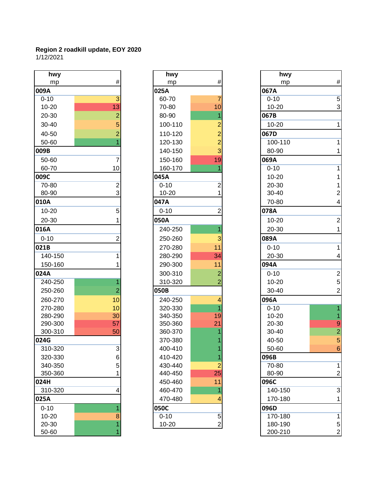#### **Region 2 roadkill update, EOY 2020** 1/12/2021

| hwy            |                | hwy       |                | hwy       |
|----------------|----------------|-----------|----------------|-----------|
| mp             | #              | mp        | #              | mp        |
| ١              |                | 025A      |                | 067A      |
| $\overline{0}$ | $\overline{3}$ | 60-70     | $\overline{7}$ | $0 - 10$  |
| $-20$          | 13             | 70-80     | 10             | 10-20     |
| -30            | $\overline{2}$ | 80-90     | 1              | 067B      |
| -40            | 5              | 100-110   | $\overline{2}$ | 10-20     |
| -50            | $\overline{2}$ | 110-120   | $\overline{c}$ | 067D      |
| -60            |                | 120-130   | $\overline{2}$ | 100-110   |
|                |                | 140-150   | 3              | 80-90     |
| $-60$          | $\overline{7}$ | 150-160   | 19             | 069A      |
| -70            | 10             | 160-170   | 1              | $0 - 10$  |
|                |                | 045A      |                | $10 - 20$ |
| $-80$          | $\overline{2}$ | $0 - 10$  | $\overline{2}$ | 20-30     |
| -90            | 3              | $10 - 20$ | 1              | 30-40     |
| V              |                | 047A      |                | 70-80     |
| $-20$          | 5              | $0 - 10$  | $\overline{2}$ | 078A      |
| -30            | 1              | 050A      |                | $10 - 20$ |
| Í.             |                | 240-250   | $\overline{1}$ | 20-30     |
| $\overline{0}$ | $\overline{2}$ | 250-260   | 3              | 089A      |
|                |                | 270-280   | 11             | $0 - 10$  |
| $0 - 150$      | 1              | 280-290   | 34             | 20-30     |
| 0-160          | 1              | 290-300   | 11             | 094A      |
| L              |                | 300-310   | $\overline{c}$ | $0 - 10$  |
| $0 - 250$      | 1              | 310-320   | $\overline{2}$ | $10 - 20$ |
| 0-260          | 2              | 050B      |                | 30-40     |
| 0-270          | 10             | 240-250   | 4              | 096A      |
| 0-280          | 10             | 320-330   | 1              | $0 - 10$  |
| 0-290          | 30             | 340-350   | 19             | $10 - 20$ |
| 0-300          | 57             | 350-360   | 21             | 20-30     |
| 0-310          | 50             | 360-370   | 1              | 30-40     |
| j              |                | 370-380   |                | 40-50     |
| $0 - 320$      | $\overline{3}$ | 400-410   | 1              | 50-60     |
| 0-330          | 6              | 410-420   | 1              | 096B      |
| 0-350          | 5              | 430-440   | $\overline{2}$ | 70-80     |
| 0-360          | 1              | 440-450   | 25             | 80-90     |
| ł.             |                | 450-460   | 11             | 096C      |
| 0-320          | 4              | 460-470   | 1              | 140-150   |
|                |                | 470-480   | 4              | 170-180   |
| $\overline{0}$ |                | 050C      |                | 096D      |
| -20            | 8              | $0 - 10$  | 5              | 170-180   |
| -30            | 1              | $10 - 20$ | $\overline{2}$ | 180-190   |

| hwy       |                | hwy       |                | hwy       |                         |
|-----------|----------------|-----------|----------------|-----------|-------------------------|
| mp        | #              | mp        | $\#$           | mp        | $\#$                    |
| )9A       |                | 025A      |                | 067A      |                         |
| $0 - 10$  | 3              | 60-70     | 7              | $0 - 10$  | 5                       |
| 10-20     | 13             | 70-80     | 10             | $10 - 20$ | 3                       |
| 20-30     | $\overline{2}$ | 80-90     | 1              | 067B      |                         |
| 30-40     | 5              | 100-110   | $\overline{c}$ | $10 - 20$ | $\mathbf{1}$            |
| 40-50     | 2              | 110-120   | $\overline{c}$ | 067D      |                         |
| 50-60     |                | 120-130   | $\overline{c}$ | 100-110   | $\mathbf{1}$            |
| )9B       |                | 140-150   | 3              | 80-90     | 1                       |
| 50-60     | 7              | 150-160   | 19             | 069A      |                         |
| 60-70     | 10             | 160-170   | 1              | $0 - 10$  | $\mathbf{1}$            |
| )9C       |                | 045A      |                | $10 - 20$ | $\mathbf{1}$            |
| $70 - 80$ | $\overline{2}$ | $0 - 10$  | $\overline{2}$ | 20-30     | $\mathbf{1}$            |
| 80-90     | 3              | $10 - 20$ | 1              | 30-40     | $\overline{c}$          |
| LOA       |                | 047A      |                | 70-80     | $\overline{\mathbf{4}}$ |
| $10 - 20$ | 5              | $0 - 10$  | $\overline{2}$ | 078A      |                         |
| 20-30     |                | 050A      |                | $10 - 20$ | $\boldsymbol{2}$        |
| L6A       |                | 240-250   | 1              | 20-30     | $\mathbf{1}$            |
| $0 - 10$  | 2              | 250-260   | 3              | 089A      |                         |
| 21B       |                | 270-280   | 11             | $0 - 10$  | $\mathbf{1}$            |
| 140-150   |                | 280-290   | 34             | 20-30     | $\overline{\mathbf{4}}$ |
| 150-160   |                | 290-300   | 11             | 094A      |                         |
| 24A       |                | 300-310   | $\overline{c}$ | $0 - 10$  | $\overline{\mathbf{c}}$ |
| 240-250   | 1              | 310-320   | 2              | $10 - 20$ | 5                       |
| 250-260   | 2              | 050B      |                | $30 - 40$ | $\overline{\mathbf{c}}$ |
| 260-270   | 10             | 240-250   | 4              | 096A      |                         |
| 270-280   | 10             | 320-330   | 1              | $0 - 10$  | $\mathbf{1}$            |
| 280-290   | 30             | 340-350   | 19             | $10 - 20$ | $\mathbf{1}$            |
| 290-300   | 57             | 350-360   | 21             | 20-30     | $\boldsymbol{9}$        |
| 300-310   | 50             | 360-370   |                | 30-40     | $\overline{c}$          |
| 24G       |                | 370-380   |                | 40-50     | $\overline{5}$          |
| 310-320   | 3              | 400-410   | 1              | 50-60     | $\boldsymbol{6}$        |
| 320-330   | 6              | 410-420   | 1              | 096B      |                         |
| 340-350   | 5              | 430-440   | $\overline{2}$ | 70-80     | 1                       |
| 350-360   |                | 440-450   | 25             | 80-90     | $\overline{\mathbf{c}}$ |
| 24H       |                | 450-460   | 11             | 096C      |                         |
| 310-320   | 4              | 460-470   | 1              | 140-150   | 3                       |
| 25A       |                | 470-480   | 4              | 170-180   | 1                       |
| $0 - 10$  |                | 050C      |                | 096D      |                         |
| 10-20     | 8              | $0 - 10$  | $\,$ 5 $\,$    | 170-180   | $\mathbf{1}$            |
| 20-30     | 1              | 10-20     | $\overline{c}$ | 180-190   | 5                       |
| 50-60     |                |           |                | 200-210   | $\overline{\mathbf{c}}$ |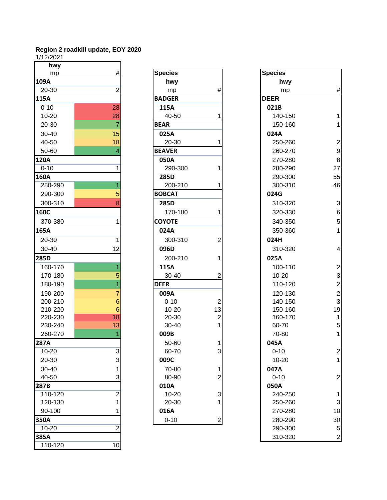1/12/2021

| 17 14/4041  |                         |                |                         |                |                         |
|-------------|-------------------------|----------------|-------------------------|----------------|-------------------------|
| hwy         |                         |                |                         |                |                         |
| mp          | $\#$                    | <b>Species</b> |                         | <b>Species</b> |                         |
| 109A        |                         | hwy            |                         | hwy            |                         |
| 20-30       | $\overline{2}$          | mp             | #                       | mp             | #                       |
| 115A        |                         | <b>BADGER</b>  |                         | <b>DEER</b>    |                         |
| $0 - 10$    | 28                      | 115A           |                         | 021B           |                         |
| 10-20       | 28                      | 40-50          |                         | 140-150        | 1                       |
| 20-30       | $\overline{7}$          | <b>BEAR</b>    |                         | 150-160        | 1                       |
| $30 - 40$   | 15                      | 025A           |                         | 024A           |                         |
| 40-50       | 18                      | 20-30          | 1                       | 250-260        | $\overline{a}$          |
| 50-60       | 4                       | <b>BEAVER</b>  |                         | 260-270        | $\mathbf{g}$            |
| 120A        |                         | 050A           |                         | 270-280        | 8                       |
| $0 - 10$    | 1                       | 290-300        | 1                       | 280-290        | 27                      |
| <b>160A</b> |                         | 285D           |                         | 290-300        | 55                      |
| 280-290     |                         | 200-210        | 1                       | 300-310        | 46                      |
| 290-300     | 5                       | <b>BOBCAT</b>  |                         | 024G           |                         |
| 300-310     | 8                       | 285D           |                         | 310-320        | 3                       |
| <b>160C</b> |                         | 170-180        | 1                       | 320-330        | $\epsilon$              |
| 370-380     | 1                       | <b>COYOTE</b>  |                         | 340-350        | 5                       |
| 165A        |                         | 024A           |                         | 350-360        | 1                       |
| 20-30       | 1                       | 300-310        | $\overline{2}$          | 024H           |                         |
| 30-40       | 12                      | 096D           |                         | 310-320        | 4                       |
| <b>285D</b> |                         | 200-210        | 1                       | 025A           |                         |
| 160-170     | 1                       | 115A           |                         | 100-110        | $\overline{a}$          |
| 170-180     | 5                       | 30-40          | 2                       | $10 - 20$      | 3                       |
| 180-190     |                         | <b>DEER</b>    |                         | 110-120        | $\overline{\mathbf{c}}$ |
| 190-200     | 7                       | 009A           |                         | 120-130        |                         |
| 200-210     | $6\phantom{1}6$         | $0 - 10$       | $\overline{c}$          | 140-150        | $\frac{2}{3}$           |
| 210-220     | 6                       | $10 - 20$      | 13                      | 150-160        | 19                      |
| 220-230     | 18                      | 20-30          | $\overline{c}$          | 160-170        | 1                       |
| 230-240     | 13                      | 30-40          | 1                       | 60-70          | 5                       |
| 260-270     | 1                       | 009B           |                         | 70-80          | 1                       |
| 287A        |                         | 50-60          |                         | 045A           |                         |
| 10-20       | 3                       | 60-70          | 3                       | $0 - 10$       | 2                       |
| 20-30       | 3                       | 009C           |                         | $10 - 20$      | 1                       |
| 30-40       |                         | 70-80          | 1                       | 047A           |                         |
| 40-50       | 3                       | 80-90          | $\overline{2}$          | $0 - 10$       | 2                       |
| 287B        |                         | 010A           |                         | 050A           |                         |
| 110-120     | $\overline{\mathbf{c}}$ | 10-20          | 3                       | 240-250        | 1                       |
| 120-130     |                         | 20-30          |                         | 250-260        | 3                       |
| 90-100      |                         | 016A           |                         | 270-280        | 10                      |
| 350A        |                         | $0 - 10$       | $\overline{\mathbf{c}}$ | 280-290        | 30                      |
| $10 - 20$   | $\overline{c}$          |                |                         | 290-300        | 5                       |
| 385A        |                         |                |                         | 310-320        | 2                       |
| 110-120     | 10                      |                |                         |                |                         |
|             |                         |                |                         |                |                         |

| iwy              |                 |                |                |                |
|------------------|-----------------|----------------|----------------|----------------|
| mp               | $\#$            | <b>Species</b> |                | <b>Species</b> |
|                  |                 | hwy            |                | hy             |
| 30               | $\overline{2}$  | mp             | #              | m              |
|                  |                 | <b>BADGER</b>  |                | <b>DEER</b>    |
| 0                | 28              | 115A           |                | 021B           |
| 20               | 28              | 40-50          | 1              | 140-           |
| 30               | $\overline{7}$  | <b>BEAR</b>    |                | $150 -$        |
| 40               | 15              | 025A           |                | 024A           |
| 50               | 18              | 20-30          | 1              | $250 -$        |
| 60               | 4               | <b>BEAVER</b>  |                | $260 -$        |
|                  |                 | 050A           |                | $270 -$        |
| 0                | 1               | 290-300        | 1              | 280-           |
|                  |                 | 285D           |                | 290-           |
| $\overline{290}$ | $\overline{1}$  | 200-210        | 1              | 300-           |
| $-300$           | 5               | <b>BOBCAT</b>  |                | 024G           |
| -310             | 8               | 285D           |                | $310 -$        |
|                  |                 | 170-180        | 1              | 320-           |
| -380             | 1               | <b>COYOTE</b>  |                | 340-           |
|                  |                 | 024A           |                | 350-           |
| 30               | $\mathbf{1}$    | 300-310        | 2              | 024H           |
| 40               | 12              | 096D           |                | $310 -$        |
|                  |                 | 200-210        | 1              | 025A           |
| $-170$           | 1               | 115A           |                | $100 -$        |
| $-180$           | 5               | 30-40          | 2              | $10 - 2$       |
| $-190$           | $\overline{1}$  | <b>DEER</b>    |                | $110 -$        |
| $-200$           | $\overline{7}$  | 009A           |                | $120 -$        |
| $-210$           | $\,6$           | $0 - 10$       | $\overline{2}$ | 140-           |
| $-220$           | $6\phantom{1}6$ | $10 - 20$      | 13             | $150 -$        |
| -230             | 18              | 20-30          | $\overline{c}$ | 160-           |
| $-240$           | 13              | 30-40          | 1              | 60-7           |
| $-270$           | 1               | 009B           |                | $70 - 8$       |
|                  |                 | 50-60          | 1              | 045A           |
| 20               | 3               | 60-70          | 3              | $0 - 10$       |
| 30               | 3               | 009C           |                | $10 - 2$       |
| 40               | 1               | 70-80          | 1              | 047A           |
| 50               | 3               | 80-90          | 2              | $0 - 10$       |
|                  |                 | 010A           |                | 050A           |
| $-120$           | $\overline{2}$  | 10-20          | 3              | $240 -$        |
| $-130$           | 1               | 20-30          | 1              | $250 -$        |
| 100              | 1               | 016A           |                | $270 -$        |
|                  |                 | $0 - 10$       | 2              | 280-           |
|                  |                 |                |                |                |

| <b>Species</b> |                                      |
|----------------|--------------------------------------|
| hwy            |                                      |
| mp             | #                                    |
| <b>DEER</b>    |                                      |
| 021B           |                                      |
| 140-150        | $\overline{\mathbf{1}}$              |
| 150-160        | 1                                    |
| 024A           |                                      |
| 250-260        | $\overline{\mathbf{c}}$              |
| 260-270        | 9                                    |
| 270-280        | 8                                    |
| 280-290        | 27                                   |
| 290-300        | 55                                   |
| 300-310        | 46                                   |
| 024G           |                                      |
| 310-320        | 3                                    |
| 320-330        | 6                                    |
| 340-350        | 5                                    |
| 350-360        | $\overline{1}$                       |
| 024H           |                                      |
| 310-320        | 4                                    |
| 025A           |                                      |
| 100-110        |                                      |
| 10-20          |                                      |
| 110-120        | 2<br>3<br>2<br>2<br>3<br>3<br>4<br>5 |
| 120-130        |                                      |
| 140-150        |                                      |
| 150-160        |                                      |
| 160-170        |                                      |
| 60-70          |                                      |
| 70-80          | 1                                    |
| 045A           |                                      |
| $0 - 10$       | $\overline{c}$                       |
| 10-20          | 1                                    |
| 047A           |                                      |
| $0 - 10$       | $\overline{c}$                       |
| 050A           |                                      |
| 240-250        | 1                                    |
| 250-260        | 3                                    |
| 270-280        | 10                                   |
| 280-290        | 30                                   |
| 290-300        | 5                                    |
| 310-320        |                                      |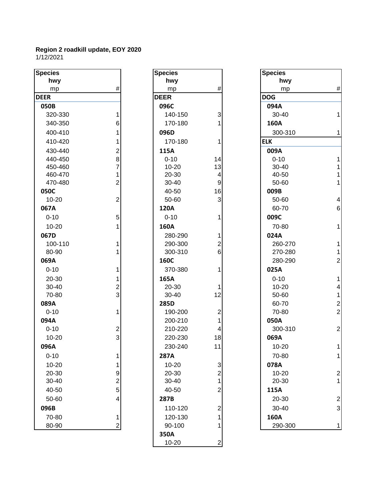| <b>Species</b> |                                       | <b>Species</b> |                           | <b>Species</b> |                |
|----------------|---------------------------------------|----------------|---------------------------|----------------|----------------|
| hwy            |                                       | hwy            |                           | hwy            |                |
| mp             | #                                     | mp             | $\#$                      | mp             | #              |
| <b>DEER</b>    |                                       | <b>DEER</b>    |                           | <b>DOG</b>     |                |
| 050B           |                                       | 096C           |                           | 094A           |                |
| 320-330        | 1                                     | 140-150        | 3                         | 30-40          |                |
| 340-350        | 6                                     | 170-180        | 1                         | 160A           |                |
| 400-410        | 1                                     | 096D           |                           | 300-310        |                |
| 410-420        | 1                                     | 170-180        | 1                         | <b>ELK</b>     |                |
| 430-440        |                                       | 115A           |                           | 009A           |                |
| 440-450        | $\begin{array}{c} 2 \\ 8 \end{array}$ | $0 - 10$       | 14                        | $0 - 10$       |                |
| 450-460        | $\overline{7}$                        | $10 - 20$      | 13                        | 30-40          |                |
| 460-470        | $\mathbf{1}$                          | 20-30          | $\overline{\mathbf{4}}$   | 40-50          |                |
| 470-480        | $\overline{c}$                        | 30-40          | 9                         | 50-60          | 1              |
| 050C           |                                       | 40-50          | 16                        | 009B           |                |
| $10 - 20$      | $\overline{c}$                        | 50-60          | 3                         | 50-60          | 4              |
| 067A           |                                       | 120A           |                           | 60-70          | 6              |
| $0 - 10$       | 5                                     | $0 - 10$       | 1                         | 009C           |                |
| $10 - 20$      | 1                                     | 160A           |                           | 70-80          | 1              |
| 067D           |                                       | 280-290        | 1                         | 024A           |                |
| 100-110        | 1                                     | 290-300        | $\overline{c}$            | 260-270        | 1              |
| 80-90          |                                       | 300-310        | 6                         | 270-280        | 1              |
| 069A           |                                       | 160C           |                           | 280-290        | $\overline{c}$ |
| $0 - 10$       | 1                                     | 370-380        | 1                         | 025A           |                |
| 20-30          | 1                                     | 165A           |                           | $0 - 10$       | 1              |
| 30-40          | $\frac{2}{3}$                         | 20-30          | 1                         | $10 - 20$      | 4              |
| 70-80          |                                       | 30-40          | 12                        | 50-60          | 1              |
| 089A           |                                       | 285D           |                           | 60-70          | $\overline{c}$ |
| $0 - 10$       | 1                                     | 190-200        | $\overline{\mathbf{c}}$   | 70-80          | $\overline{c}$ |
| 094A           |                                       | 200-210        | 1                         | 050A           |                |
| $0 - 10$       | $\overline{\mathbf{c}}$               | 210-220        | 4                         | 300-310        | $\overline{c}$ |
| $10 - 20$      | $\overline{3}$                        | 220-230        | 18                        | 069A           |                |
| 096A           |                                       | 230-240        | 11                        | $10 - 20$      | 1              |
| $0 - 10$       | $\mathbf{1}$                          | 287A           |                           | 70-80          | 1              |
| $10 - 20$      | $\mathbf{1}$                          | 10-20          | $\ensuremath{\mathsf{3}}$ | 078A           |                |
| 20-30          | 9                                     | 20-30          | $\overline{c}$            | $10 - 20$      | 2              |
| 30-40          | $\overline{c}$                        | 30-40          | 1                         | 20-30          | 1              |
| 40-50          | 5                                     | 40-50          | $\overline{2}$            | 115A           |                |
| 50-60          | $\overline{\mathbf{4}}$               | 287B           |                           | 20-30          | 2              |
| 096B           |                                       | 110-120        | $\overline{2}$            | 30-40          | 3              |
| 70-80          | $\mathbf{1}$                          | 120-130        | 1                         | 160A           |                |
| 80-90          | $\overline{2}$                        | 90-100         | 1                         | 290-300        | 1              |
|                |                                       | 350A           |                           |                |                |

| cies     |                  | <b>Species</b> |                         | <b>Species</b> |
|----------|------------------|----------------|-------------------------|----------------|
| hwy      |                  | hwy            |                         | hwy            |
| mp       | $\#$             | mp             | #                       | mp             |
| ₹        |                  | <b>DEER</b>    |                         | <b>DOG</b>     |
| OВ       |                  | 096C           |                         | 094A           |
| 20-330   | 1                | 140-150        | 3                       | $30 - 40$      |
| 40-350   | 6                | 170-180        | 1                       | 160A           |
| 00-410   | $\mathbf{1}$     | 096D           |                         | 300-31         |
| 10-420   | $\mathbf{1}$     | 170-180        | 1                       | <b>ELK</b>     |
| 30-440   | $\overline{2}$   | 115A           |                         | 009A           |
| 40-450   | 8                | $0 - 10$       | 14                      | $0 - 10$       |
| 50-460   | $\overline{7}$   | $10 - 20$      | 13                      | $30 - 40$      |
| 60-470   | $\mathbf{1}$     | 20-30          | 4                       | 40-50          |
| 70-480   | $\overline{2}$   | 30-40          | 9                       | 50-60          |
| 0C       |                  | 40-50          | 16                      | 009B           |
| $0 - 20$ | $\overline{2}$   | 50-60          | 3                       | 50-60          |
| 7Α       |                  | 120A           |                         | 60-70          |
| $-10$    | 5                | $0 - 10$       | 1                       | 009C           |
| $0 - 20$ | 1                | 160A           |                         | 70-80          |
| 7D       |                  | 280-290        | 1                       | 024A           |
| 00-110   | 1                | 290-300        | $\overline{c}$          | 260-27         |
| $0-90$   | 1                | 300-310        | 6                       | 270-28         |
| 9Α       |                  | 160C           |                         | 280-29         |
| $-10$    | 1                | 370-380        | 1                       | 025A           |
| $20-30$  | 1                | 165A           |                         | $0 - 10$       |
| $0 - 40$ | $\overline{c}$   | 20-30          | 1                       | $10 - 20$      |
| $0 - 80$ | 3                | 30-40          | 12                      | 50-60          |
| 9A       |                  | 285D           |                         | 60-70          |
| $-10$    | 1                | 190-200        | $\overline{2}$          | 70-80          |
| 4А       |                  | 200-210        | 1                       | 050A           |
| $-10$    | $\boldsymbol{2}$ | 210-220        | 4                       | 300-31         |
| $0 - 20$ | 3                | 220-230        | 18                      | 069A           |
| 6A       |                  | 230-240        | 11                      | $10 - 20$      |
| $-10$    | 1                | 287A           |                         | 70-80          |
| $0 - 20$ | 1                | $10 - 20$      | 3                       | 078A           |
| $20-30$  | 9                | 20-30          | $\overline{2}$          | 10-20          |
| $0 - 40$ | $\overline{c}$   | 30-40          | 1                       | 20-30          |
| $0 - 50$ | 5                | 40-50          | $\overline{2}$          | 115A           |
| $0 - 60$ | 4                | 287B           |                         | 20-30          |
| 6В       |                  | 110-120        | $\overline{\mathbf{c}}$ | 30-40          |
| $0 - 80$ | 1                | 120-130        | 1                       | 160A           |
| $0-90$   | $\overline{2}$   | 90-100         | 1                       | 290-30         |
|          |                  | 350A           |                         |                |
|          |                  | $10 - 20$      | $\overline{2}$          |                |
|          |                  |                |                         |                |

| hwy<br>hwy<br>#<br>$\#$<br>mp<br>mp<br><b>DEER</b><br><b>DOG</b><br>096C<br>140-150<br>3<br>1<br>170-180<br>1<br>6<br>096D<br><b>ELK</b><br>410-420<br>170-180<br>1<br>430-440<br>$\overline{\mathbf{c}}$<br>115A<br>8<br>440-450<br>$0 - 10$<br>14<br>7<br>13<br>450-460<br>$10 - 20$<br>20-30<br>460-470<br>1<br>4<br>2<br>470-480<br>30-40<br>9<br>50C<br>40-50<br>16<br>3<br>2<br>50-60<br>57A<br><b>120A</b><br>5<br>$0 - 10$<br>$0 - 10$<br>1<br>$10 - 20$<br>160A<br>1<br>57D<br>280-290<br>1<br>100-110<br>290-300<br>2<br>80-90<br>6<br>300-310<br>59A<br>160C<br>$0 - 10$<br>370-380<br>1<br>1<br>20-30<br>165A<br>30-40<br>$\frac{2}{3}$<br>20-30<br>1<br>70-80<br>30-40<br>12<br>39A<br>285D<br>$0 - 10$<br>1<br>190-200<br>$\overline{2}$<br>94A<br>200-210<br>1<br>$0 - 10$<br>$\overline{\mathbf{c}}$<br>210-220<br>4<br>3<br>$10 - 20$<br>220-230<br>18<br>96A<br>230-240<br>11<br>$0 - 10$<br>287A<br>1<br>$10 - 20$<br>$10 - 20$<br>3<br>1<br>$\overline{\mathbf{c}}$<br>20-30<br>20-30<br>9<br>$\overline{\mathbf{c}}$<br>$\mathbf{1}$<br>30-40<br>30-40<br>5<br>$\overline{c}$<br>40-50<br>40-50<br>50-60<br>287B<br>4<br>110-120<br>96B<br>$\overline{\mathbf{c}}$<br>120-130<br>70-80<br>1<br>1<br>80-90<br>1 | cies      |   | <b>Species</b> | <b>Species</b> |
|-------------------------------------------------------------------------------------------------------------------------------------------------------------------------------------------------------------------------------------------------------------------------------------------------------------------------------------------------------------------------------------------------------------------------------------------------------------------------------------------------------------------------------------------------------------------------------------------------------------------------------------------------------------------------------------------------------------------------------------------------------------------------------------------------------------------------------------------------------------------------------------------------------------------------------------------------------------------------------------------------------------------------------------------------------------------------------------------------------------------------------------------------------------------------------------------------------------------------------------|-----------|---|----------------|----------------|
| 094A<br>160A<br>009A<br>009B<br>009C<br>024A<br>025A<br>050A<br>069A<br>078A<br>115A<br>160A                                                                                                                                                                                                                                                                                                                                                                                                                                                                                                                                                                                                                                                                                                                                                                                                                                                                                                                                                                                                                                                                                                                                        |           |   |                | hwy            |
|                                                                                                                                                                                                                                                                                                                                                                                                                                                                                                                                                                                                                                                                                                                                                                                                                                                                                                                                                                                                                                                                                                                                                                                                                                     |           |   |                | mp             |
| 30-40                                                                                                                                                                                                                                                                                                                                                                                                                                                                                                                                                                                                                                                                                                                                                                                                                                                                                                                                                                                                                                                                                                                                                                                                                               | :R        |   |                |                |
|                                                                                                                                                                                                                                                                                                                                                                                                                                                                                                                                                                                                                                                                                                                                                                                                                                                                                                                                                                                                                                                                                                                                                                                                                                     | 50B       |   |                |                |
|                                                                                                                                                                                                                                                                                                                                                                                                                                                                                                                                                                                                                                                                                                                                                                                                                                                                                                                                                                                                                                                                                                                                                                                                                                     | 320-330   |   |                |                |
|                                                                                                                                                                                                                                                                                                                                                                                                                                                                                                                                                                                                                                                                                                                                                                                                                                                                                                                                                                                                                                                                                                                                                                                                                                     | 340-350   |   |                |                |
|                                                                                                                                                                                                                                                                                                                                                                                                                                                                                                                                                                                                                                                                                                                                                                                                                                                                                                                                                                                                                                                                                                                                                                                                                                     | 400-410   |   |                | 300-310        |
| $0 - 10$                                                                                                                                                                                                                                                                                                                                                                                                                                                                                                                                                                                                                                                                                                                                                                                                                                                                                                                                                                                                                                                                                                                                                                                                                            |           |   |                |                |
|                                                                                                                                                                                                                                                                                                                                                                                                                                                                                                                                                                                                                                                                                                                                                                                                                                                                                                                                                                                                                                                                                                                                                                                                                                     |           |   |                |                |
|                                                                                                                                                                                                                                                                                                                                                                                                                                                                                                                                                                                                                                                                                                                                                                                                                                                                                                                                                                                                                                                                                                                                                                                                                                     |           |   |                |                |
| $0 - 10$                                                                                                                                                                                                                                                                                                                                                                                                                                                                                                                                                                                                                                                                                                                                                                                                                                                                                                                                                                                                                                                                                                                                                                                                                            |           |   |                | 30-40          |
|                                                                                                                                                                                                                                                                                                                                                                                                                                                                                                                                                                                                                                                                                                                                                                                                                                                                                                                                                                                                                                                                                                                                                                                                                                     |           |   |                | 40-50          |
| 50-60<br>60-70<br>70-80<br>260-270<br>270-280<br>280-290<br>$10 - 20$<br>50-60<br>60-70<br>70-80<br>300-310                                                                                                                                                                                                                                                                                                                                                                                                                                                                                                                                                                                                                                                                                                                                                                                                                                                                                                                                                                                                                                                                                                                         |           |   |                | 50-60          |
|                                                                                                                                                                                                                                                                                                                                                                                                                                                                                                                                                                                                                                                                                                                                                                                                                                                                                                                                                                                                                                                                                                                                                                                                                                     |           |   |                |                |
|                                                                                                                                                                                                                                                                                                                                                                                                                                                                                                                                                                                                                                                                                                                                                                                                                                                                                                                                                                                                                                                                                                                                                                                                                                     | $10 - 20$ |   |                |                |
|                                                                                                                                                                                                                                                                                                                                                                                                                                                                                                                                                                                                                                                                                                                                                                                                                                                                                                                                                                                                                                                                                                                                                                                                                                     |           |   |                |                |
|                                                                                                                                                                                                                                                                                                                                                                                                                                                                                                                                                                                                                                                                                                                                                                                                                                                                                                                                                                                                                                                                                                                                                                                                                                     |           |   |                |                |
|                                                                                                                                                                                                                                                                                                                                                                                                                                                                                                                                                                                                                                                                                                                                                                                                                                                                                                                                                                                                                                                                                                                                                                                                                                     |           |   |                |                |
|                                                                                                                                                                                                                                                                                                                                                                                                                                                                                                                                                                                                                                                                                                                                                                                                                                                                                                                                                                                                                                                                                                                                                                                                                                     |           |   |                |                |
|                                                                                                                                                                                                                                                                                                                                                                                                                                                                                                                                                                                                                                                                                                                                                                                                                                                                                                                                                                                                                                                                                                                                                                                                                                     |           |   |                |                |
|                                                                                                                                                                                                                                                                                                                                                                                                                                                                                                                                                                                                                                                                                                                                                                                                                                                                                                                                                                                                                                                                                                                                                                                                                                     |           |   |                |                |
|                                                                                                                                                                                                                                                                                                                                                                                                                                                                                                                                                                                                                                                                                                                                                                                                                                                                                                                                                                                                                                                                                                                                                                                                                                     |           |   |                |                |
|                                                                                                                                                                                                                                                                                                                                                                                                                                                                                                                                                                                                                                                                                                                                                                                                                                                                                                                                                                                                                                                                                                                                                                                                                                     |           |   |                |                |
|                                                                                                                                                                                                                                                                                                                                                                                                                                                                                                                                                                                                                                                                                                                                                                                                                                                                                                                                                                                                                                                                                                                                                                                                                                     |           |   |                |                |
|                                                                                                                                                                                                                                                                                                                                                                                                                                                                                                                                                                                                                                                                                                                                                                                                                                                                                                                                                                                                                                                                                                                                                                                                                                     |           |   |                |                |
|                                                                                                                                                                                                                                                                                                                                                                                                                                                                                                                                                                                                                                                                                                                                                                                                                                                                                                                                                                                                                                                                                                                                                                                                                                     |           |   |                |                |
|                                                                                                                                                                                                                                                                                                                                                                                                                                                                                                                                                                                                                                                                                                                                                                                                                                                                                                                                                                                                                                                                                                                                                                                                                                     |           |   |                |                |
|                                                                                                                                                                                                                                                                                                                                                                                                                                                                                                                                                                                                                                                                                                                                                                                                                                                                                                                                                                                                                                                                                                                                                                                                                                     |           |   |                |                |
|                                                                                                                                                                                                                                                                                                                                                                                                                                                                                                                                                                                                                                                                                                                                                                                                                                                                                                                                                                                                                                                                                                                                                                                                                                     |           |   |                |                |
|                                                                                                                                                                                                                                                                                                                                                                                                                                                                                                                                                                                                                                                                                                                                                                                                                                                                                                                                                                                                                                                                                                                                                                                                                                     |           |   |                |                |
|                                                                                                                                                                                                                                                                                                                                                                                                                                                                                                                                                                                                                                                                                                                                                                                                                                                                                                                                                                                                                                                                                                                                                                                                                                     |           |   |                |                |
| 70-80<br>$10 - 20$<br>20-30                                                                                                                                                                                                                                                                                                                                                                                                                                                                                                                                                                                                                                                                                                                                                                                                                                                                                                                                                                                                                                                                                                                                                                                                         |           |   |                | $10 - 20$      |
|                                                                                                                                                                                                                                                                                                                                                                                                                                                                                                                                                                                                                                                                                                                                                                                                                                                                                                                                                                                                                                                                                                                                                                                                                                     |           |   |                |                |
|                                                                                                                                                                                                                                                                                                                                                                                                                                                                                                                                                                                                                                                                                                                                                                                                                                                                                                                                                                                                                                                                                                                                                                                                                                     |           |   |                |                |
|                                                                                                                                                                                                                                                                                                                                                                                                                                                                                                                                                                                                                                                                                                                                                                                                                                                                                                                                                                                                                                                                                                                                                                                                                                     |           |   |                |                |
|                                                                                                                                                                                                                                                                                                                                                                                                                                                                                                                                                                                                                                                                                                                                                                                                                                                                                                                                                                                                                                                                                                                                                                                                                                     |           |   |                |                |
|                                                                                                                                                                                                                                                                                                                                                                                                                                                                                                                                                                                                                                                                                                                                                                                                                                                                                                                                                                                                                                                                                                                                                                                                                                     |           |   |                |                |
|                                                                                                                                                                                                                                                                                                                                                                                                                                                                                                                                                                                                                                                                                                                                                                                                                                                                                                                                                                                                                                                                                                                                                                                                                                     |           |   |                | 20-30          |
| 290-300                                                                                                                                                                                                                                                                                                                                                                                                                                                                                                                                                                                                                                                                                                                                                                                                                                                                                                                                                                                                                                                                                                                                                                                                                             |           |   |                | 30-40          |
|                                                                                                                                                                                                                                                                                                                                                                                                                                                                                                                                                                                                                                                                                                                                                                                                                                                                                                                                                                                                                                                                                                                                                                                                                                     |           |   |                |                |
|                                                                                                                                                                                                                                                                                                                                                                                                                                                                                                                                                                                                                                                                                                                                                                                                                                                                                                                                                                                                                                                                                                                                                                                                                                     |           | 2 | 90-100         |                |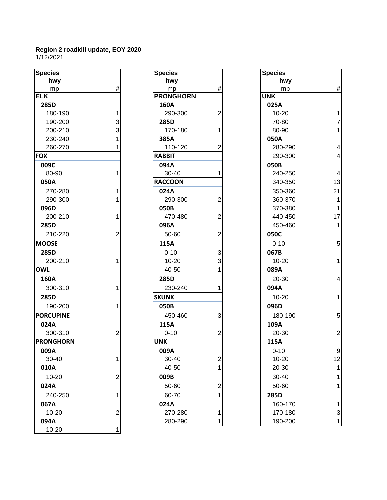| hwy<br>hwy<br>hwy<br>#<br>$\#$<br>mp<br>mp<br>mp<br><b>ELK</b><br><b>UNK</b><br><b>PRONGHORN</b><br>025A<br>285D<br>160A<br>$\overline{2}$<br>180-190<br>290-300<br>$10 - 20$<br>1<br>3<br>190-200<br>285D<br>70-80<br>3<br>170-180<br>80-90<br>200-210<br>1<br>230-240<br>385A<br>050A<br>260-270<br>110-120<br>2<br>280-290<br><b>FOX</b><br><b>RABBIT</b><br>290-300<br>009C<br>094A<br>050B<br>80-90<br>1<br>30-40<br>240-250<br>1<br>050A<br><b>RACCOON</b><br>340-350<br>270-280<br>350-360<br>024A<br>$\overline{2}$<br>290-300<br>290-300<br>360-370 | #<br>1<br>7<br>1<br>4<br>4<br>4<br>13<br>21 |
|--------------------------------------------------------------------------------------------------------------------------------------------------------------------------------------------------------------------------------------------------------------------------------------------------------------------------------------------------------------------------------------------------------------------------------------------------------------------------------------------------------------------------------------------------------------|---------------------------------------------|
|                                                                                                                                                                                                                                                                                                                                                                                                                                                                                                                                                              |                                             |
|                                                                                                                                                                                                                                                                                                                                                                                                                                                                                                                                                              |                                             |
|                                                                                                                                                                                                                                                                                                                                                                                                                                                                                                                                                              |                                             |
|                                                                                                                                                                                                                                                                                                                                                                                                                                                                                                                                                              |                                             |
|                                                                                                                                                                                                                                                                                                                                                                                                                                                                                                                                                              |                                             |
|                                                                                                                                                                                                                                                                                                                                                                                                                                                                                                                                                              |                                             |
|                                                                                                                                                                                                                                                                                                                                                                                                                                                                                                                                                              |                                             |
|                                                                                                                                                                                                                                                                                                                                                                                                                                                                                                                                                              |                                             |
|                                                                                                                                                                                                                                                                                                                                                                                                                                                                                                                                                              |                                             |
|                                                                                                                                                                                                                                                                                                                                                                                                                                                                                                                                                              |                                             |
|                                                                                                                                                                                                                                                                                                                                                                                                                                                                                                                                                              |                                             |
|                                                                                                                                                                                                                                                                                                                                                                                                                                                                                                                                                              |                                             |
|                                                                                                                                                                                                                                                                                                                                                                                                                                                                                                                                                              |                                             |
|                                                                                                                                                                                                                                                                                                                                                                                                                                                                                                                                                              |                                             |
|                                                                                                                                                                                                                                                                                                                                                                                                                                                                                                                                                              | 1                                           |
| 370-380<br>096D<br>050B                                                                                                                                                                                                                                                                                                                                                                                                                                                                                                                                      | $\overline{1}$                              |
| $\overline{2}$<br>200-210<br>470-480<br>440-450                                                                                                                                                                                                                                                                                                                                                                                                                                                                                                              | 17                                          |
| 285D<br>096A<br>450-460                                                                                                                                                                                                                                                                                                                                                                                                                                                                                                                                      | 1                                           |
| $\overline{2}$<br>210-220<br>50-60<br>050C<br>2                                                                                                                                                                                                                                                                                                                                                                                                                                                                                                              |                                             |
| 115A<br>$0 - 10$<br><b>MOOSE</b>                                                                                                                                                                                                                                                                                                                                                                                                                                                                                                                             | 5                                           |
| 3<br>285D<br>$0 - 10$<br>067B                                                                                                                                                                                                                                                                                                                                                                                                                                                                                                                                |                                             |
| 3<br>200-210<br>$10 - 20$<br>$10 - 20$                                                                                                                                                                                                                                                                                                                                                                                                                                                                                                                       | 1                                           |
| <b>OWL</b><br>40-50<br>089A                                                                                                                                                                                                                                                                                                                                                                                                                                                                                                                                  |                                             |
| 160A<br>285D<br>20-30                                                                                                                                                                                                                                                                                                                                                                                                                                                                                                                                        | 4                                           |
| 300-310<br>230-240<br>094A<br>1                                                                                                                                                                                                                                                                                                                                                                                                                                                                                                                              |                                             |
| 285D<br><b>SKUNK</b><br>$10 - 20$                                                                                                                                                                                                                                                                                                                                                                                                                                                                                                                            | 1                                           |
| 190-200<br>050B<br>096D                                                                                                                                                                                                                                                                                                                                                                                                                                                                                                                                      |                                             |
| 3<br><b>PORCUPINE</b><br>450-460<br>180-190                                                                                                                                                                                                                                                                                                                                                                                                                                                                                                                  | 5                                           |
| 024A<br>115A<br>109A                                                                                                                                                                                                                                                                                                                                                                                                                                                                                                                                         |                                             |
| 300-310<br>2<br>$0 - 10$<br>$\overline{2}$<br>20-30                                                                                                                                                                                                                                                                                                                                                                                                                                                                                                          | $\overline{c}$                              |
| <b>PRONGHORN</b><br><b>UNK</b><br>115A                                                                                                                                                                                                                                                                                                                                                                                                                                                                                                                       |                                             |
| 009A<br>009A<br>$0 - 10$                                                                                                                                                                                                                                                                                                                                                                                                                                                                                                                                     | $\mathbf{C}$                                |
| 1<br>$\overline{c}$<br>30-40<br>30-40<br>$10 - 20$                                                                                                                                                                                                                                                                                                                                                                                                                                                                                                           | 12                                          |
| 40-50<br>010A<br>20-30                                                                                                                                                                                                                                                                                                                                                                                                                                                                                                                                       |                                             |
| 10-20<br>$\mathbf{2}$<br>009B<br>30-40                                                                                                                                                                                                                                                                                                                                                                                                                                                                                                                       |                                             |
| 024A<br>50-60<br>$\overline{c}$<br>50-60                                                                                                                                                                                                                                                                                                                                                                                                                                                                                                                     |                                             |
| 240-250<br>60-70<br>285D<br>1                                                                                                                                                                                                                                                                                                                                                                                                                                                                                                                                |                                             |
| 067A<br>024A<br>160-170                                                                                                                                                                                                                                                                                                                                                                                                                                                                                                                                      |                                             |
| $\overline{2}$<br>10-20<br>270-280<br>1<br>170-180                                                                                                                                                                                                                                                                                                                                                                                                                                                                                                           | 3                                           |
| 094A<br>280-290<br>190-200<br>1                                                                                                                                                                                                                                                                                                                                                                                                                                                                                                                              | 1                                           |
| 10-20                                                                                                                                                                                                                                                                                                                                                                                                                                                                                                                                                        |                                             |

| <b>Species</b>   |                |
|------------------|----------------|
| hwy              |                |
| mp               | #              |
| <b>PRONGHORN</b> |                |
| 160A             |                |
| 290-300          | 2              |
| 285D             |                |
| 170-180          | 1              |
| 385A             |                |
| 110-120          | 2              |
| <b>RABBIT</b>    |                |
| 094A             |                |
| 30-40            | 1              |
| <b>RACCOON</b>   |                |
| 024A             |                |
| 290-300          | $\overline{c}$ |
| 050B             |                |
| 470-480          | $\overline{c}$ |
| 096A             |                |
| 50-60            | $\overline{c}$ |
| 115A             |                |
| $0 - 10$         | 3              |
| 10-20            | 3              |
| 40-50            | $\mathbf{1}$   |
| 285D             |                |
| 230-240          | 1              |
| <b>SKUNK</b>     |                |
| 050B             |                |
| 450-460          | 3              |
| 115A             |                |
| $0 - 10$         |                |
| <b>UNK</b>       |                |
| 009A             |                |
| 30-40            | 2              |
| 40-50            | 1              |
| 009B             |                |
| 50-60            | $\overline{c}$ |
| 60-70            | 1              |
| 024A             |                |
| 270-280          | 1              |
| 280-290          | 1              |

| cies           |   | <b>Species</b>   |                         | <b>Species</b> |                          |
|----------------|---|------------------|-------------------------|----------------|--------------------------|
| hwy            |   | hwy              |                         | hwy            |                          |
| mp             | # | mp               | #                       | mp             | $\#$                     |
|                |   | <b>PRONGHORN</b> |                         | <b>UNK</b>     |                          |
| 35D            |   | 160A             |                         | 025A           |                          |
| 180-190        |   | 290-300          | $\overline{2}$          | 10-20          | 1                        |
| 190-200        | 3 | 285D             |                         | 70-80          | $\overline{7}$           |
| 200-210        | 3 | 170-180          |                         | 80-90          | $\mathbf 1$              |
| 230-240        |   | 385A             |                         | 050A           |                          |
| 260-270        |   | 110-120          | 2                       | 280-290        | $\overline{\mathbf{4}}$  |
|                |   | <b>RABBIT</b>    |                         | 290-300        | $\overline{4}$           |
| )9C            |   | 094A             |                         | 050B           |                          |
| 80-90          |   | 30-40            |                         | 240-250        | $\overline{\mathbf{4}}$  |
| 50A            |   | <b>RACCOON</b>   |                         | 340-350        | 13                       |
| 270-280        |   | 024A             |                         | 350-360        | 21                       |
| 290-300        |   | 290-300          | $\overline{2}$          | 360-370        | 1                        |
| 96D            |   | 050B             |                         | 370-380        | $\mathbf{1}$             |
| 200-210        |   | 470-480          | 2                       | 440-450        | 17                       |
| 35D            |   | 096A             |                         | 450-460        | 1                        |
| 210-220        | 2 | 50-60            | $\overline{2}$          | 050C           |                          |
| <b>OSE</b>     |   | 115A             |                         | $0 - 10$       | 5                        |
| 35D            |   | $0 - 10$         | 3                       | 067B           |                          |
| 200-210        |   | $10 - 20$        | 3                       | $10 - 20$      | 1                        |
| ΊL.            |   | 40-50            |                         | 089A           |                          |
| 50A            |   | 285D             |                         | 20-30          | $\overline{\mathcal{A}}$ |
| 300-310        |   | 230-240          |                         | 094A           |                          |
| 35D            |   | <b>SKUNK</b>     |                         | $10 - 20$      | 1                        |
| 190-200        |   | 050B             |                         | 096D           |                          |
| <b>RCUPINE</b> |   | 450-460          | 3                       | 180-190        | $\overline{5}$           |
| 24A            |   | 115A             |                         | 109A           |                          |
| 300-310        | 2 | $0 - 10$         | 2                       | 20-30          | $\overline{2}$           |
| <b>DNGHORN</b> |   | <b>UNK</b>       |                         | 115A           |                          |
| )9A            |   | 009A             |                         | $0 - 10$       | 9                        |
| 30-40          |   | 30-40            | $\overline{\mathbf{c}}$ | $10 - 20$      | 12                       |
| LOA            |   | 40-50            |                         | 20-30          |                          |
| 10-20          | 2 | 009B             |                         | 30-40          |                          |
| 24A            |   | 50-60            | $\overline{c}$          | 50-60          | 1                        |
| 240-250        |   | 60-70            |                         | 285D           |                          |
| 57A            |   | 024A             |                         | 160-170        | 1                        |
| 10-20          | 2 | 270-280          |                         | 170-180        | 3                        |
| )4A            |   | 280-290          | 1                       | 190-200        | 1                        |
|                |   |                  |                         |                |                          |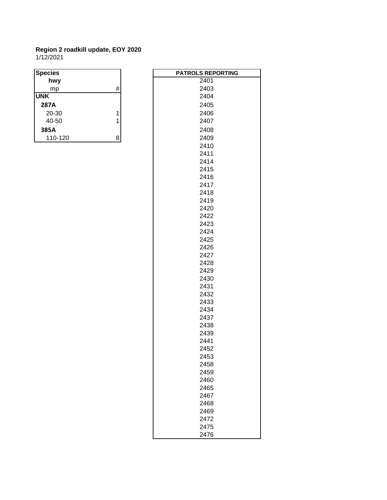#### **Region 2 roadkill update, EOY 2020** 1/12/2021

| <b>Species</b> |   | <b>PATROLS RE</b> |
|----------------|---|-------------------|
| hwy            |   | 2401              |
| mp             | # | 2403              |
| <b>UNK</b>     |   | 2404              |
| 287A           |   | 2405              |
| 20-30          |   | 2406              |
| 40-50          |   | 2407              |
| 385A           |   | 2408              |
| 110-120        | 8 | 2409              |

| <b>PATROLS REPORTING</b> |
|--------------------------|
| 2401                     |
| 2403                     |
| 2404                     |
| 2405                     |
| 2406                     |
| 2407                     |
| 2408                     |
| 2409                     |
| 2410                     |
| 2411                     |
| 2414                     |
| 2415                     |
| 2416                     |
| 2417                     |
| 2418                     |
| 2419                     |
| 2420                     |
| 2422                     |
| 2423                     |
| 2424                     |
| 2425                     |
| 2426                     |
| 2427                     |
| 2428                     |
| 2429                     |
| 2430                     |
| 2431                     |
| 2432                     |
| 2433                     |
| 2434                     |
| 2437                     |
| 2438                     |
| 2439                     |
| 2441                     |
| 2452                     |
| 2453                     |
| 2458                     |
|                          |
| 2459<br>2460             |
|                          |
| 2465<br>2467             |
|                          |
| 2468                     |
| 2469                     |
| 2472                     |
| 2475                     |
| 2476                     |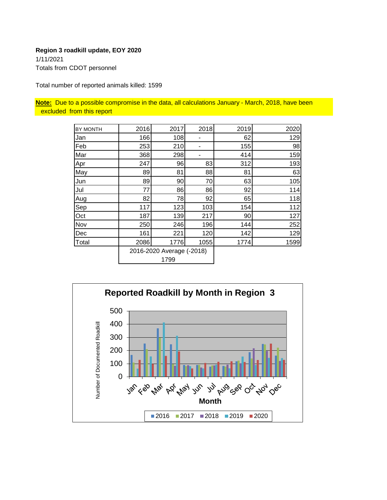#### **Region 3 roadkill update, EOY 2020** 1/11/2021 Totals from CDOT personnel

Total number of reported animals killed: 1599

**Note:** Due to a possible compromise in the data, all calculations January - March, 2018, have been excluded from this report

| BY MONTH | 2016 | 2017                      | 2018 | 2019 | 2020 |
|----------|------|---------------------------|------|------|------|
| Jan      | 166  | 108                       |      | 62   | 129  |
| Feb      | 253  | 210                       | ۰    | 155  | 98   |
| Mar      | 368  | 298                       |      | 414  | 159  |
| Apr      | 247  | 96                        | 83   | 312  | 193  |
| May      | 89   | 81                        | 88   | 81   | 63   |
| Jun      | 89   | 90                        | 70   | 63   | 105  |
| Jul      | 77   | 86                        | 86   | 92   | 114  |
| Aug      | 82   | 78                        | 92   | 65   | 118  |
| Sep      | 117  | 123                       | 103  | 154  | 112  |
| Oct      | 187  | 139                       | 217  | 90   | 127  |
| Nov      | 250  | 246                       | 196  | 144  | 252  |
| Dec      | 161  | 221                       | 120  | 142  | 129  |
| Total    | 2086 | 1776                      | 1055 | 1774 | 1599 |
|          |      | 2016-2020 Average (-2018) |      |      |      |
|          | 1799 |                           |      |      |      |

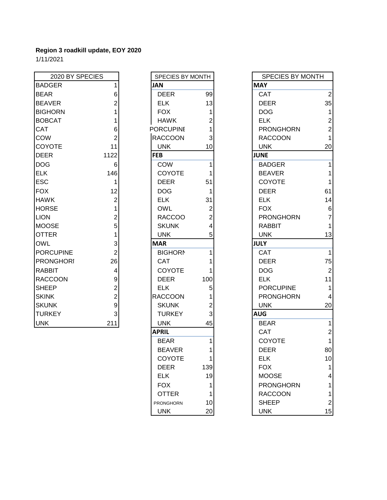| 2020 BY SPECIES  |                | SPECIES BY MONTH |     | <b>SPECIES BY MONTH</b> |                |
|------------------|----------------|------------------|-----|-------------------------|----------------|
| <b>BADGER</b>    |                | <b>JAN</b>       |     | <b>MAY</b>              |                |
| <b>BEAR</b>      | 6              | <b>DEER</b>      | 99  | <b>CAT</b>              | 2              |
| <b>BEAVER</b>    |                | <b>ELK</b>       | 13  | <b>DEER</b>             | 35             |
| <b>BIGHORN</b>   |                | <b>FOX</b>       |     | <b>DOG</b>              |                |
| <b>BOBCAT</b>    |                | <b>HAWK</b>      |     | <b>ELK</b>              | $\overline{2}$ |
| <b>CAT</b>       | 6              | <b>PORCUPINE</b> |     | <b>PRONGHORN</b>        | 2              |
| <b>COW</b>       |                | <b>RACCOON</b>   | 3   | <b>RACCOON</b>          | 1              |
| <b>COYOTE</b>    | 11             | <b>UNK</b>       | 10  | <b>UNK</b>              | 20             |
| <b>DEER</b>      | 1122           | <b>FEB</b>       |     | <b>JUNE</b>             |                |
| <b>DOG</b>       | 6              | <b>COW</b>       |     | <b>BADGER</b>           |                |
| <b>ELK</b>       | 146            | COYOTE           |     | <b>BEAVER</b>           |                |
| <b>ESC</b>       |                | <b>DEER</b>      | 51  | <b>COYOTE</b>           |                |
| <b>FOX</b>       | 12             | <b>DOG</b>       |     | <b>DEER</b>             | 61             |
| <b>HAWK</b>      | $\overline{c}$ | <b>ELK</b>       | 31  | <b>ELK</b>              | 14             |
| <b>HORSE</b>     |                | <b>OWL</b>       | 2   | <b>FOX</b>              | 6              |
| <b>LION</b>      | 2              | <b>RACCOO</b>    | 2   | <b>PRONGHORN</b>        | 7              |
| <b>MOOSE</b>     | 5              | <b>SKUNK</b>     | 4   | <b>RABBIT</b>           |                |
| <b>OTTER</b>     |                | <b>UNK</b>       | 5   | <b>UNK</b>              | 13             |
| <b>OWL</b>       | 3              | <b>MAR</b>       |     | <b>JULY</b>             |                |
| PORCUPINE        | 2              | <b>BIGHORN</b>   |     | <b>CAT</b>              | 1              |
| <b>PRONGHORI</b> | 26             | <b>CAT</b>       |     | <b>DEER</b>             | 75             |
| <b>RABBIT</b>    | 4              | <b>COYOTE</b>    |     | <b>DOG</b>              | 2              |
| <b>RACCOON</b>   | 9              | <b>DEER</b>      | 100 | <b>ELK</b>              | 11             |
| <b>SHEEP</b>     | 2              | <b>ELK</b>       | 5   | <b>PORCUPINE</b>        |                |
| <b>SKINK</b>     | $\overline{2}$ | <b>RACCOON</b>   |     | <b>PRONGHORN</b>        | 4              |
| <b>SKUNK</b>     | 9              | <b>SKUNK</b>     | 2   | <b>UNK</b>              | 20             |
| <b>TURKEY</b>    | 3              | <b>TURKEY</b>    | 3   | <b>AUG</b>              |                |
| <b>UNK</b>       | 211            | <b>UNK</b>       | 45  | <b>BEAR</b>             | 1              |

| SPECIES BY MONTH |                         |  |
|------------------|-------------------------|--|
| JAN              |                         |  |
| <b>DEER</b>      | 99                      |  |
| ELK              | 13                      |  |
| <b>FOX</b>       | 1                       |  |
| <b>HAWK</b>      | $\overline{c}$          |  |
| <b>PORCUPINE</b> | 1                       |  |
| <b>RACCOON</b>   | 3                       |  |
| <b>UNK</b>       | 10                      |  |
| <b>FEB</b>       |                         |  |
| COW              | 1                       |  |
| <b>COYOTE</b>    | 1                       |  |
| <b>DEER</b>      | 51                      |  |
| DOG              | 1                       |  |
| <b>ELK</b>       | 31                      |  |
| <b>OWL</b>       | $\overline{c}$          |  |
| <b>RACCOO</b>    | $\overline{\mathbf{c}}$ |  |
| <b>SKUNK</b>     | 4                       |  |
| <b>UNK</b>       | 5                       |  |
| <b>MAR</b>       |                         |  |
| <b>BIGHORN</b>   | 1                       |  |
| <b>CAT</b>       | 1                       |  |
| <b>COYOTE</b>    | 1                       |  |
| <b>DEER</b>      | 100                     |  |
| <b>ELK</b>       | 5                       |  |
| <b>RACCOON</b>   |                         |  |
| SKUNK            | $\frac{1}{2}$           |  |
| <b>TURKEY</b>    | 3                       |  |
| UNK              | 45                      |  |
| <b>APRIL</b>     |                         |  |
| <b>BEAR</b>      | 1                       |  |
| BEAVER           | 1                       |  |
| COYOTE           | 1                       |  |
| DEER             | 139                     |  |
| ELK              | 19                      |  |
| FOX              | 1                       |  |
| <b>OTTER</b>     | 1                       |  |
| PRONGHORN        | 10                      |  |
| UNK              | 20                      |  |

| 2020 BY SPECIES  |                | SPECIES BY MONTH |                 | <b>SPECIES BY MONTH</b> |                         |
|------------------|----------------|------------------|-----------------|-------------------------|-------------------------|
| <b>BADGER</b>    |                | <b>JAN</b>       |                 | <b>MAY</b>              |                         |
| <b>BEAR</b>      | 6              | <b>DEER</b>      | 99              | <b>CAT</b>              | $\overline{2}$          |
| <b>BEAVER</b>    | $\overline{2}$ | <b>ELK</b>       | 13              | <b>DEER</b>             | 35                      |
| <b>BIGHORN</b>   |                | <b>FOX</b>       |                 | <b>DOG</b>              | $\mathbf{1}$            |
| <b>BOBCAT</b>    |                | <b>HAWK</b>      | 2               | <b>ELK</b>              | $\mathbf 2$             |
| CAT              | 6              | <b>PORCUPINE</b> |                 | <b>PRONGHORN</b>        | $\overline{c}$          |
| COW              | $\overline{2}$ | <b>RACCOON</b>   | 3               | <b>RACCOON</b>          | $\mathbf{1}$            |
| <b>COYOTE</b>    | 11             | <b>UNK</b>       | 10              | <b>UNK</b>              | 20                      |
| <b>DEER</b>      | 1122           | <b>FEB</b>       |                 | <b>JUNE</b>             |                         |
| <b>DOG</b>       | 6              | COW              |                 | <b>BADGER</b>           | 1                       |
| ELK              | 146            | <b>COYOTE</b>    |                 | <b>BEAVER</b>           | $\mathbf{1}$            |
| ESC              | 1              | <b>DEER</b>      | 51              | <b>COYOTE</b>           | $\mathbf{1}$            |
| <b>FOX</b>       | 12             | <b>DOG</b>       | 1               | <b>DEER</b>             | 61                      |
| <b>HAWK</b>      | $\overline{2}$ | <b>ELK</b>       | 31              | <b>ELK</b>              | 14                      |
| <b>HORSE</b>     | 1              | <b>OWL</b>       | $\overline{c}$  | <b>FOX</b>              | $\,6$                   |
| <b>LION</b>      | $\overline{c}$ | <b>RACCOO</b>    | 2               | <b>PRONGHORN</b>        | $\overline{7}$          |
| <b>MOOSE</b>     | 5              | <b>SKUNK</b>     | 4               | <b>RABBIT</b>           | $\mathbf{1}$            |
| <b>OTTER</b>     | 1              | <b>UNK</b>       | 5               | <b>UNK</b>              | 13                      |
| OWL              | 3              | <b>MAR</b>       |                 | <b>JULY</b>             |                         |
| <b>PORCUPINE</b> | $\overline{c}$ | <b>BIGHORN</b>   |                 | <b>CAT</b>              | $\mathbf{1}$            |
| <b>PRONGHORI</b> | 26             | <b>CAT</b>       |                 | <b>DEER</b>             | 75                      |
| RABBIT           | 4              | <b>COYOTE</b>    |                 | <b>DOG</b>              | $\sqrt{2}$              |
| <b>RACCOON</b>   | 9              | <b>DEER</b>      | 100             | <b>ELK</b>              | 11                      |
| <b>SHEEP</b>     | $\overline{2}$ | <b>ELK</b>       | 5               | <b>PORCUPINE</b>        | $\mathbf{1}$            |
| <b>SKINK</b>     | $\overline{2}$ | <b>RACCOON</b>   |                 | <b>PRONGHORN</b>        | $\overline{\mathbf{4}}$ |
| <b>SKUNK</b>     | 9              | <b>SKUNK</b>     | 2               | <b>UNK</b>              | 20                      |
| <b>TURKEY</b>    | 3              | <b>TURKEY</b>    | 3               | <b>AUG</b>              |                         |
| <b>UNK</b>       | 211            | <b>UNK</b>       | 45              | <b>BEAR</b>             | $\mathbf{1}$            |
|                  |                | <b>APRIL</b>     |                 | <b>CAT</b>              | $\overline{c}$          |
|                  |                | <b>BEAR</b>      |                 | COYOTE                  | $\mathbf{1}$            |
|                  |                | <b>BEAVER</b>    | 1               | <b>DEER</b>             | 80                      |
|                  |                | COYOTE           | 1               | <b>ELK</b>              | 10                      |
|                  |                | <b>DEER</b>      | 139             | <b>FOX</b>              | $\mathbf{1}$            |
|                  |                | <b>ELK</b>       | 19              | <b>MOOSE</b>            | 4                       |
|                  |                | <b>FOX</b>       |                 | <b>PRONGHORN</b>        | 1                       |
|                  |                | <b>OTTER</b>     |                 | <b>RACCOON</b>          | $\mathbf{1}$            |
|                  |                | PRONGHORN        | 10              | <b>SHEEP</b>            | $\boldsymbol{2}$        |
|                  |                | <b>UNK</b>       | 20 <sup>1</sup> | <b>UNK</b>              | 15                      |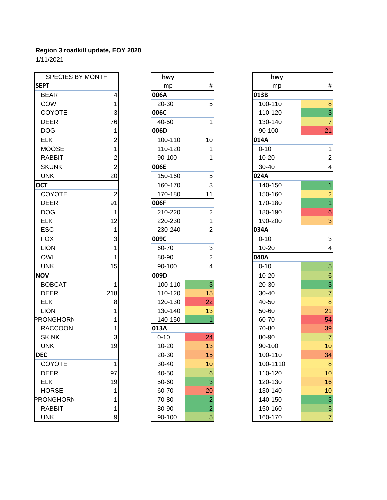| SPECIES BY MONTH |                | hwy       |                | hwy       |                |
|------------------|----------------|-----------|----------------|-----------|----------------|
| <b>SEPT</b>      |                | mp        | #              | mp        | #              |
| <b>BEAR</b>      | 4              | 006A      |                | 013B      |                |
| COW              | 1              | 20-30     | 5              | 100-110   | 8              |
| COYOTE           | 3              | 006C      |                | 110-120   | 3              |
| <b>DEER</b>      | 76             | 40-50     | 1              | 130-140   | $\overline{7}$ |
| <b>DOG</b>       | 1              | 006D      |                | 90-100    | 21             |
| <b>ELK</b>       | $\overline{c}$ | 100-110   | 10             | 014A      |                |
| <b>MOOSE</b>     | 1              | 110-120   | 1              | $0 - 10$  |                |
| <b>RABBIT</b>    | 2              | 90-100    | 1              | $10 - 20$ | $\overline{c}$ |
| <b>SKUNK</b>     | $\overline{2}$ | 006E      |                | 30-40     | 4              |
| <b>UNK</b>       | 20             | 150-160   | 5              | 024A      |                |
| <b>OCT</b>       |                | 160-170   | 3              | 140-150   | 1              |
| <b>COYOTE</b>    | $\mathbf 2$    | 170-180   | 11             | 150-160   | 2              |
| <b>DEER</b>      | 91             | 006F      |                | 170-180   | $\overline{1}$ |
| <b>DOG</b>       | 1              | 210-220   | $\overline{2}$ | 180-190   | $\epsilon$     |
| <b>ELK</b>       | 12             | 220-230   |                | 190-200   | 3              |
| <b>ESC</b>       | 1              | 230-240   | $\overline{c}$ | 034A      |                |
| <b>FOX</b>       | 3              | 009C      |                | $0 - 10$  | 3              |
| <b>LION</b>      |                | 60-70     | 3              | $10 - 20$ | 4              |
| <b>OWL</b>       |                | 80-90     | 2              | 040A      |                |
| <b>UNK</b>       | 15             | 90-100    | 4              | $0 - 10$  | 5              |
| <b>NOV</b>       |                | 009D      |                | $10 - 20$ | $\epsilon$     |
| <b>BOBCAT</b>    | 1              | 100-110   | 3              | 20-30     | 3              |
| <b>DEER</b>      | 218            | 110-120   | 15             | 30-40     | $\overline{7}$ |
| <b>ELK</b>       | 8              | 120-130   | 22             | 40-50     | 8              |
| <b>LION</b>      |                | 130-140   | 13             | 50-60     | 21             |
| <b>PRONGHORN</b> |                | 140-150   | 1              | 60-70     | 54             |
| <b>RACCOON</b>   |                | 013A      |                | 70-80     | 39             |
| <b>SKINK</b>     | 3              | $0 - 10$  | 24             | 80-90     | $\overline{7}$ |
| <b>UNK</b>       | 19             | $10 - 20$ | 13             | 90-100    | 1 <sub>C</sub> |
| <b>DEC</b>       |                | 20-30     | 15             | 100-110   | 34             |
| <b>COYOTE</b>    | 1              | 30-40     | 10             | 100-1110  | 8              |
| <b>DEER</b>      | 97             | 40-50     | 6              | 110-120   | 10             |
| <b>ELK</b>       | 19             | 50-60     | 3              | 120-130   | 16             |
| <b>HORSE</b>     | 1              | 60-70     | 20             | 130-140   | 1 <sub>C</sub> |
| <b>PRONGHORN</b> | 1              | 70-80     | $\overline{c}$ | 140-150   | 3              |
| <b>RABBIT</b>    | 1              | 80-90     | $\overline{2}$ | 150-160   | 5              |
| <b>UNK</b>       | 9              | 90-100    | 5              | 160-170   | 7              |

| hwy        |                         | hwy       |
|------------|-------------------------|-----------|
| mp         | #                       | mp        |
| 006A       |                         | 013B      |
| 20-30      | 5                       | 100-110   |
| 006C       |                         | 110-120   |
| 40-50      | 1                       | 130-140   |
| 006D       |                         | 90-100    |
| 100-110    | 10                      | 014A      |
| 110-120    | 1                       | $0 - 10$  |
| 90-100     | 1                       | $10 - 20$ |
| 006E       |                         | 30-40     |
| 150-160    | 5                       | 024A      |
| 160-170    | 3                       | 140-150   |
| 170-180    | 11                      | 150-160   |
| 006F       |                         | 170-180   |
| 210-220    | 2                       | 180-190   |
| 220-230    | 1                       | 190-200   |
| 230-240    | $\overline{2}$          | 034A      |
| 009C       |                         | $0 - 10$  |
| 60-70      | 3                       | 10-20     |
| 80-90      | $\overline{2}$          | 040A      |
| 90-100     | 4                       | $0 - 10$  |
| 009D       |                         | 10-20     |
| 100-110    | 3                       | 20-30     |
| 110-120    | 15                      | 30-40     |
| 120-130    | 22                      | 40-50     |
| 130-140    | 13                      | 50-60     |
| 140-150    | 1                       | 60-70     |
| 013A       |                         | 70-80     |
| $0 - 10$   | 24                      | 80-90     |
| $10 - 20$  | 13                      | 90-100    |
| 20-30      | 15                      | 100-110   |
| 30-40      | 10                      | 100-111   |
| 40-50      | 6                       | 110-120   |
| 50-60      | 3                       | 120-130   |
| 60-70      | 20                      | 130-140   |
| 70-80      | $\overline{\mathbf{c}}$ | 140-150   |
| 80-90      | $\overline{a}$          | 150-160   |
| $90 - 100$ | $\overline{5}$          | 160-170   |

| hwy       |                         |
|-----------|-------------------------|
| mp        | #                       |
| 013B      |                         |
| 100-110   | 8                       |
| 110-120   | 3                       |
| 130-140   | $\overline{7}$          |
| 90-100    | $\overline{21}$         |
| 014A      |                         |
| $0 - 10$  | 1                       |
| 10-20     | $\overline{\mathbf{c}}$ |
| 30-40     | 4                       |
| 024A      |                         |
| 140-150   | $\overline{1}$          |
| 150-160   | $\overline{c}$          |
| 170-180   | 1                       |
| 180-190   | 6                       |
| 190-200   | 3                       |
| 034A      |                         |
| $0 - 10$  | 3                       |
| $10 - 20$ | 4                       |
| 040A      |                         |
| $0 - 10$  | 5                       |
| 10-20     | 6                       |
| 20-30     | 3                       |
| 30-40     | $\overline{7}$          |
| 40-50     | 8                       |
| 50-60     | 21                      |
| 60-70     | 54                      |
| 70-80     | 39                      |
| 80-90     | 7                       |
| 90-100    | 10                      |
| 100-110   | 34                      |
| 100-1110  | 8                       |
| 110-120   | 10                      |
| 120-130   | 16                      |
| 130-140   | 10                      |
| 140-150   | 3                       |
| 150-160   | 5                       |
| 160-170   | $\overline{7}$          |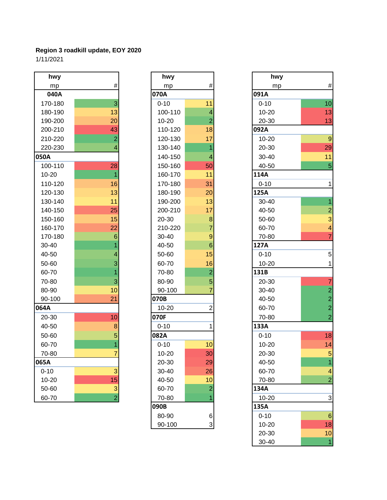| hwy       |                          | hwy       |                         | hwy       |                         |
|-----------|--------------------------|-----------|-------------------------|-----------|-------------------------|
| mp        | $\#$                     | mp        | $\#$                    | mp        | #                       |
| 040A      |                          | 070A      |                         | 091A      |                         |
| 170-180   | 3                        | $0 - 10$  | 11                      | $0 - 10$  | 10                      |
| 180-190   | 13                       | 100-110   | $\overline{\mathbf{4}}$ | $10 - 20$ | 13                      |
| 190-200   | 20                       | $10 - 20$ | $\overline{2}$          | 20-30     | 13                      |
| 200-210   | 43                       | 110-120   | 18                      | 092A      |                         |
| 210-220   | $\overline{2}$           | 120-130   | 17                      | $10 - 20$ | g                       |
| 220-230   | $\overline{\mathcal{A}}$ | 130-140   | $\overline{1}$          | 20-30     | 29                      |
| 050A      |                          | 140-150   | $\overline{4}$          | 30-40     | 11                      |
| 100-110   | 28                       | 150-160   | 50                      | 40-50     | 5                       |
| $10 - 20$ | 1                        | 160-170   | 11                      | 114A      |                         |
| 110-120   | 16                       | 170-180   | 31                      | $0 - 10$  | 1                       |
| 120-130   | 13                       | 180-190   | 20                      | 125A      |                         |
| 130-140   | 11                       | 190-200   | 13                      | $30 - 40$ | $\overline{\mathbf{1}}$ |
| 140-150   | 25                       | 200-210   | 17                      | 40-50     | $\overline{c}$          |
| 150-160   | 15                       | 20-30     | $\bf8$                  | 50-60     | 3                       |
| 160-170   | 22                       | 210-220   | $\overline{7}$          | 60-70     | 4                       |
| 170-180   | $6\phantom{1}6$          | 30-40     | $\boldsymbol{9}$        | 70-80     | $\overline{7}$          |
| 30-40     | 1                        | 40-50     | $\,$ 6 $\,$             | 127A      |                         |
| 40-50     | $\overline{4}$           | 50-60     | 15                      | $0 - 10$  | 5                       |
| 50-60     | 3                        | 60-70     | 16                      | $10 - 20$ | 1                       |
| 60-70     |                          | 70-80     | $\overline{a}$          | 131B      |                         |
| 70-80     | 3                        | 80-90     | $\sqrt{5}$              | 20-30     | 7                       |
| 80-90     | 10                       | 90-100    | $\overline{7}$          | 30-40     | $\overline{\mathbf{c}}$ |
| 90-100    | 21                       | 070B      |                         | 40-50     |                         |
| 064A      |                          | $10 - 20$ | $\overline{2}$          | 60-70     | $\frac{2}{2}$           |
| 20-30     | 10                       | 070F      |                         | 70-80     | $\overline{a}$          |
| 40-50     | $\boldsymbol{8}$         | $0 - 10$  | 1                       | 133A      |                         |
| 50-60     | 5                        | 082A      |                         | $0 - 10$  | 18                      |
| 60-70     | 1                        | $0 - 10$  | 10                      | $10 - 20$ | 14                      |
| 70-80     | $\overline{7}$           | $10 - 20$ | 30 <sup>°</sup>         | 20-30     | $\overline{5}$          |
| 065A      |                          | 20-30     | 29                      | 40-50     | 1                       |
| $0 - 10$  | 3                        | 30-40     | 26                      | 60-70     | 4                       |
| 10-20     | 15                       | 40-50     | 10                      | 70-80     | 2                       |
| 50-60     | $\mathbf{3}$             | 60-70     | $\overline{c}$          | 134A      |                         |
| 60-70     | $\overline{2}$           | 70-80     | 1                       | $10 - 20$ | 3                       |

| hwy      |                         |         |
|----------|-------------------------|---------|
| mp       | #                       |         |
| 070A     |                         | 091A    |
| $0 - 10$ | 11                      | $0 - 1$ |
| 100-110  | 4                       | $10-$   |
| 10-20    | $\overline{2}$          | $20 -$  |
| 110-120  | 18                      | 092A    |
| 120-130  | 17                      | $10-$   |
| 130-140  | $\overline{1}$          | $20 -$  |
| 140-150  | 4                       | 30-     |
| 150-160  | 50                      | 40-     |
| 160-170  | 11                      | 114A    |
| 170-180  | 31                      | $0 - 1$ |
| 180-190  | 20                      | 125A    |
| 190-200  | 13                      | 30-     |
| 200-210  | 17                      | 40-     |
| 20-30    | 8                       | $50-$   |
| 210-220  | $\overline{7}$          | 60-     |
| 30-40    | 9                       | $70-$   |
| 40-50    | 6                       | 127A    |
| 50-60    | 15                      | $0 - 1$ |
| 60-70    | 16                      | $10-$   |
| 70-80    | $\overline{\mathbf{c}}$ | 131B    |
| 80-90    | 5                       | $20 -$  |
| 90-100   | $\overline{7}$          | 30-     |
| 070B     |                         | 40-     |
| 10-20    | $\overline{2}$          | 60-     |
| 070F     |                         | $70-$   |
| $0 - 10$ | 1                       | 133A    |
| 082A     |                         | $0 - 1$ |
| $0 - 10$ | 10                      | $10-$   |
| 10-20    | 30                      | $20 -$  |
| 20-30    | 29                      | 40-     |
| 30-40    | 26                      | 60-     |
| 40-50    | 10                      | $70-$   |
| 60-70    | $\overline{\mathbf{c}}$ | 134A    |
| 70-80    | $\overline{1}$          | $10-$   |
| 090B     |                         | 135A    |
| 80-90    | 6                       | $0 - 1$ |
| 90-100   | 3                       | $10-$   |

| hwy       |                | hwy       |                         | hwy       |                          |
|-----------|----------------|-----------|-------------------------|-----------|--------------------------|
| mp        | #              | mp        | $\#$                    | mp        | $\#$                     |
| 040A      |                | 070A      |                         | 091A      |                          |
| 170-180   | 3              | $0 - 10$  | 11                      | $0 - 10$  | 10                       |
| 180-190   | 13             | 100-110   | $\overline{\mathbf{4}}$ | $10 - 20$ | 13                       |
| 190-200   | 20             | $10 - 20$ | $\overline{2}$          | 20-30     | 13                       |
| 200-210   | 43             | 110-120   | 18                      | 092A      |                          |
| 210-220   | $\overline{c}$ | 120-130   | 17                      | 10-20     | $\boldsymbol{9}$         |
| 220-230   | 4              | 130-140   | $\overline{1}$          | 20-30     | 29                       |
| 50A       |                | 140-150   | 4                       | 30-40     | 11                       |
| 100-110   | 28             | 150-160   | 50                      | 40-50     | $\overline{5}$           |
| $10 - 20$ | 1              | 160-170   | 11                      | 114A      |                          |
| 110-120   | 16             | 170-180   | 31                      | $0 - 10$  | $\mathbf{1}$             |
| 120-130   | 13             | 180-190   | 20                      | 125A      |                          |
| 130-140   | 11             | 190-200   | 13                      | 30-40     | $\overline{1}$           |
| 140-150   | 25             | 200-210   | 17                      | 40-50     | $\overline{c}$           |
| 150-160   | 15             | 20-30     | 8                       | 50-60     | 3                        |
| 160-170   | 22             | 210-220   | $\overline{7}$          | 60-70     | $\overline{\mathbf{4}}$  |
| 170-180   | 6              | 30-40     | $\boldsymbol{9}$        | 70-80     | $\overline{7}$           |
| 30-40     |                | 40-50     | $6\phantom{1}6$         | 127A      |                          |
| 40-50     |                | 50-60     | 15                      | $0 - 10$  | $\sqrt{5}$               |
| 50-60     | 3              | 60-70     | 16                      | 10-20     | $\mathbf{1}$             |
| 60-70     |                | 70-80     | $\overline{2}$          | 131B      |                          |
| 70-80     | 3              | 80-90     | $\sqrt{5}$              | 20-30     | $\overline{7}$           |
| 80-90     | 10             | 90-100    |                         | 30-40     | $\overline{c}$           |
| 90-100    | 21             | 070B      |                         | 40-50     | $\overline{c}$           |
| 54A       |                | $10 - 20$ | $\overline{c}$          | 60-70     | $\overline{2}$           |
| 20-30     | 10             | 070F      |                         | 70-80     | $\overline{c}$           |
| 40-50     | 8              | $0 - 10$  |                         | 133A      |                          |
| 50-60     | 5              | 082A      |                         | $0 - 10$  | 18                       |
| 60-70     | 1              | $0 - 10$  | 10                      | 10-20     | 14                       |
| 70-80     | $\overline{ }$ | $10 - 20$ | 30 <sup>°</sup>         | 20-30     | $\overline{5}$           |
| 55A       |                | 20-30     | 29                      | 40-50     | $\overline{1}$           |
| $0 - 10$  | 3              | 30-40     | 26                      | 60-70     | $\overline{\mathcal{A}}$ |
| 10-20     | 15             | 40-50     | 10                      | 70-80     | $\overline{c}$           |
| 50-60     | 3              | 60-70     | $\overline{c}$          | 134A      |                          |
| 60-70     | $\overline{2}$ | 70-80     |                         | $10 - 20$ | 3                        |
|           |                | 090B      |                         | 135A      |                          |
|           |                | 80-90     | 6                       | $0 - 10$  | $\,$ 6 $\,$              |
|           |                | 90-100    | 3                       | 10-20     | 18                       |
|           |                |           |                         | 20-30     | 10                       |
|           |                |           |                         | 30-40     | $\mathbf{1}$             |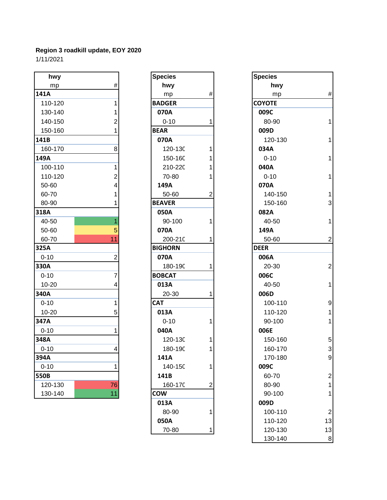| hwy       |                | <b>Species</b> |                | <b>Species</b> |                         |
|-----------|----------------|----------------|----------------|----------------|-------------------------|
| mp        | $\#$           | hwy            |                | hwy            |                         |
| 141A      |                | mp             | $\#$           | mp             | #                       |
| 110-120   | 1              | <b>BADGER</b>  |                | <b>COYOTE</b>  |                         |
| 130-140   | 1              | 070A           |                | 009C           |                         |
| 140-150   | 2              | $0 - 10$       | 1              | 80-90          | 1                       |
| 150-160   |                | <b>BEAR</b>    |                | 009D           |                         |
| 141B      |                | 070A           |                | 120-130        | 1                       |
| 160-170   | 8              | 120-130        | 1              | 034A           |                         |
| 149A      |                | 150-160        | 1              | $0 - 10$       | 1                       |
| 100-110   | 1              | 210-220        |                | 040A           |                         |
| 110-120   | $\overline{c}$ | 70-80          | 1              | $0 - 10$       | 1                       |
| 50-60     | 4              | 149A           |                | 070A           |                         |
| 60-70     |                | 50-60          | $\overline{2}$ | 140-150        | 1                       |
| 80-90     |                | <b>BEAVER</b>  |                | 150-160        | 3                       |
| 318A      |                | 050A           |                | 082A           |                         |
| 40-50     | 1              | 90-100         | 1              | 40-50          | 1                       |
| 50-60     | 5              | 070A           |                | 149A           |                         |
| 60-70     | 11             | 200-210        | 1              | 50-60          | $\overline{c}$          |
| 325A      |                | <b>BIGHORN</b> |                | <b>DEER</b>    |                         |
| $0 - 10$  | $\overline{2}$ | 070A           |                | 006A           |                         |
| 330A      |                | 180-190        | 1              | 20-30          | $\overline{c}$          |
| $0 - 10$  | $\overline{7}$ | <b>BOBCAT</b>  |                | 006C           |                         |
| $10 - 20$ | 4              | 013A           |                | 40-50          | 1                       |
| 340A      |                | 20-30          | 1              | 006D           |                         |
| $0 - 10$  | 1              | <b>CAT</b>     |                | 100-110        | g                       |
| $10 - 20$ | 5              | 013A           |                | 110-120        | $\overline{\mathbf{1}}$ |
| 347A      |                | $0 - 10$       | 1              | 90-100         | 1                       |
| $0 - 10$  | 1              | 040A           |                | 006E           |                         |
| 348A      |                | 120-130        | 1              | 150-160        | 5                       |
| $0 - 10$  | 4              | 180-190        | 1              | 160-170        | 3                       |
| 394A      |                | 141A           |                | 170-180        | $\mathbf{g}$            |
| $0 - 10$  | 1              | 140-150        | 1              | 009C           |                         |
| 550B      |                | 141B           |                | 60-70          | $\overline{\mathbf{c}}$ |
| 120-130   | 76             | 160-170        | $\overline{2}$ | 80-90          | 1                       |
| 130-140   | 11             | cow            |                | 90-100         | 1                       |
|           |                |                |                |                |                         |

| <b>Species</b> |                | <b>Specie</b>   |
|----------------|----------------|-----------------|
| hwy            |                | ŀ               |
| mp             | #              |                 |
| <b>BADGER</b>  |                | <b>COYOT</b>    |
| 070A           |                | 009C            |
| $0 - 10$       | 1              | 80-             |
| <b>BEAR</b>    |                | 009D            |
| 070A           |                | 120             |
| 120-130        | 1              | 034A            |
| 150-160        | 1              | $0 - 1$         |
| 210-220        | 1              | 040A            |
| 70-80          | 1              | $0 - 1$         |
| 149A           |                | 070A            |
| 50-60          | $\overline{c}$ | 140             |
| <b>BEAVER</b>  |                | 150             |
| 050A           |                | 082A            |
| 90-100         | 1              | 40-             |
| 070A           |                | 149A            |
| 200-210        | 1              | 50-             |
| <b>BIGHORN</b> |                | <b>DEER</b>     |
| 070A           |                | 006A            |
| 180-190        | 1              | $20 -$          |
| <b>BOBCAT</b>  |                | 006C            |
| 013A           |                | 40-             |
| 20-30          | 1              | 006D            |
| <b>CAT</b>     |                | 10 <sub>C</sub> |
| 013A           |                | 110             |
| $0 - 10$       | 1              | $90-$           |
| 040A           |                | 006E            |
| 120-130        | 1              | 15 <sub>C</sub> |
| 180-190        | 1              | 160             |
| 141A           |                | 170             |
| 140-150        | 1              | 009C            |
| 141B           |                | 60-             |
| 160-170        | $\overline{2}$ | 80-             |
| <b>COW</b>     |                | 90-             |
| 013A           |                | 009D            |
| 80-90          | 1              | 10 <sub>C</sub> |
| 050A           |                | 110             |
| 70-80          | 1              | 120             |

| pecies       |                | <b>Species</b> |                         |
|--------------|----------------|----------------|-------------------------|
| hwy          |                | hwy            |                         |
| mp           | #              | mp             | $\#$                    |
| <b>ADGER</b> |                | <b>COYOTE</b>  |                         |
| 070A         |                | 009C           |                         |
| $0 - 10$     | 1              | 80-90          | 1                       |
| EAR          |                | 009D           |                         |
| 070A         |                | 120-130        | 1                       |
| 120-130      | 1              | 034A           |                         |
| 150-160      | 1              | $0 - 10$       | 1                       |
| 210-220      | 1              | 040A           |                         |
| 70-80        | 1              | $0 - 10$       | 1                       |
| 149A         |                | 070A           |                         |
| 50-60        | $\overline{2}$ | 140-150        | 1                       |
| <b>EAVER</b> |                | 150-160        | 3                       |
| 050A         |                | 082A           |                         |
| 90-100       | 1              | 40-50          | 1                       |
| 070A         |                | 149A           |                         |
| 200-210      | 1              | 50-60          | $\overline{c}$          |
| <b>GHORN</b> |                | <b>DEER</b>    |                         |
| 070A         |                | 006A           |                         |
| 180-190      | 1              | 20-30          | $\overline{\mathbf{c}}$ |
| <b>OBCAT</b> |                | 006C           |                         |
| 013A         |                | 40-50          | 1                       |
| 20-30        | 1              | 006D           |                         |
| ۹Т           |                | 100-110        | 9                       |
| 013A         |                | 110-120        | 1                       |
| $0 - 10$     | 1              | 90-100         | 1                       |
| 040A         |                | 006E           |                         |
| 120-130      | 1              | 150-160        | 5                       |
| 180-190      | 1              | 160-170        | 3                       |
| 141A         |                | 170-180        | 9                       |
| 140-150      | 1              | 009C           |                         |
| 141B         |                | 60-70          | 2                       |
| 160-170      | $\overline{2}$ | 80-90          | 1                       |
| WC           |                | 90-100         | 1                       |
| 013A         |                | 009D           |                         |
| 80-90        | 1              | 100-110        | 2                       |
| 050A         |                | 110-120        | 13                      |
| 70-80        | 1              | 120-130        | 13                      |
|              |                | 130-140        | 8                       |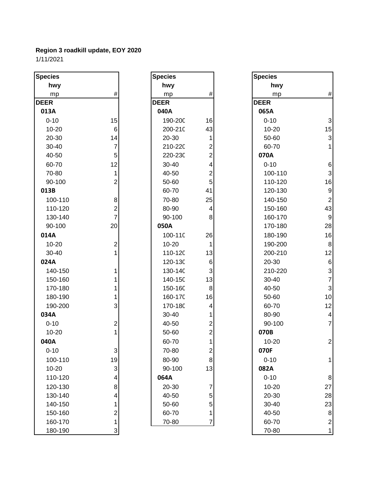| <b>Species</b> |                         | <b>Species</b> |                | <b>Species</b> |                           |
|----------------|-------------------------|----------------|----------------|----------------|---------------------------|
| hwy            |                         | hwy            |                | hwy            |                           |
| mp             | $\#$                    | mp             | #              | mp             | $\#$                      |
| <b>DEER</b>    |                         | <b>DEER</b>    |                | <b>DEER</b>    |                           |
| 013A           |                         | 040A           |                | 065A           |                           |
| $0 - 10$       | 15                      | 190-200        | 16             | $0 - 10$       | $\ensuremath{\mathsf{3}}$ |
| $10 - 20$      | $\,6$                   | 200-210        | 43             | $10 - 20$      | 15                        |
| 20-30          | 14                      | 20-30          | 1              | 50-60          | $\mathbf{3}$              |
| $30 - 40$      | $\overline{7}$          | 210-220        | 2              | 60-70          |                           |
| 40-50          | $\sqrt{5}$              | 220-230        | $\overline{2}$ | 070A           |                           |
| 60-70          | 12                      | 30-40          | 4              | $0 - 10$       | 6                         |
| 70-80          | 1                       | 40-50          | $\overline{c}$ | 100-110        | $\sqrt{3}$                |
| 90-100         | $\overline{c}$          | 50-60          | 5              | 110-120        | 16                        |
| 013B           |                         | 60-70          | 41             | 120-130        | $\boldsymbol{9}$          |
| 100-110        | 8                       | 70-80          | 25             | 140-150        | $\boldsymbol{2}$          |
| 110-120        | $\overline{\mathbf{c}}$ | 80-90          | 4              | 150-160        | 43                        |
| 130-140        | $\overline{7}$          | 90-100         | 8              | 160-170        | $\boldsymbol{9}$          |
| 90-100         | 20                      | 050A           |                | 170-180        | 28                        |
| 014A           |                         | 100-110        | 26             | 180-190        | 16                        |
| $10 - 20$      | $\overline{c}$          | $10 - 20$      | 1              | 190-200        | 8                         |
| 30-40          | $\mathbf{1}$            | 110-120        | 13             | 200-210        | 12                        |
| 024A           |                         | 120-130        | 6              | 20-30          | $\,6$                     |
| 140-150        | 1                       | 130-140        | 3              | 210-220        | $\ensuremath{\mathsf{3}}$ |
| 150-160        | 1                       | 140-150        | 13             | 30-40          | $\overline{7}$            |
| 170-180        | 1                       | 150-160        | 8              | 40-50          | $\sqrt{3}$                |
| 180-190        | 1                       | 160-170        | 16             | 50-60          | 10                        |
| 190-200        | 3                       | 170-180        | 4              | 60-70          | 12                        |
| 034A           |                         | 30-40          |                | 80-90          | 4                         |
| $0 - 10$       | $\overline{c}$          | 40-50          | 2              | 90-100         | 7                         |
| $10 - 20$      | $\mathbf{1}$            | 50-60          | $\overline{c}$ | 070B           |                           |
| 040A           |                         | 60-70          |                | $10 - 20$      | $\boldsymbol{2}$          |
| $0 - 10$       | $\overline{3}$          | 70-80          | $\overline{c}$ | 070F           |                           |
| 100-110        | 19                      | 80-90          | 8              | $0 - 10$       | 1                         |
| $10 - 20$      | $\mathsf 3$             | 90-100         | 13             | 082A           |                           |
| 110-120        | $\vert 4 \vert$         | 064A           |                | $0 - 10$       | $\,8\,$                   |
| 120-130        | 8                       | 20-30          | $\overline{7}$ | 10-20          | 27                        |
| 130-140        | $\overline{\mathbf{r}}$ | 40-50          | 5              | 20-30          | 28                        |
| 140-150        | $\mathbf{1}$            | 50-60          | 5              | 30-40          | 23                        |
| 150-160        | $\overline{2}$          | 60-70          | 1              | 40-50          | 8                         |
| 160-170        | $\mathbf{1}$            | 70-80          | 7              | 60-70          | $\overline{\mathbf{c}}$   |
| 180-190        | $\mathbf{3}$            |                |                | 70-80          | $\overline{1}$            |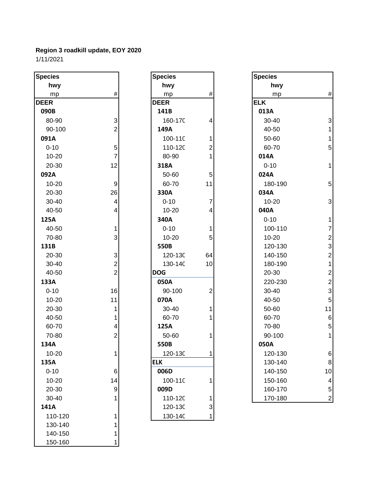| <b>Species</b> |                         | <b>Species</b> |                | <b>Species</b> |
|----------------|-------------------------|----------------|----------------|----------------|
| hwy            |                         | hwy            |                | hwy            |
| mp             | $\#$                    | mp             | $\#$           | mp             |
| <b>DEER</b>    |                         | <b>DEER</b>    |                | <b>ELK</b>     |
| 090B           |                         | 141B           |                | 013A           |
| 80-90          | 3                       | 160-170        | 4              | 30-40          |
| 90-100         | $\overline{c}$          | 149A           |                | 40-50          |
| 091A           |                         | 100-110        | 1              | 50-60          |
| $0 - 10$       | 5                       | 110-120        | $\overline{c}$ | 60-70          |
| $10 - 20$      | $\overline{7}$          | 80-90          | $\mathbf{1}$   | 014A           |
| 20-30          | 12                      | 318A           |                | $0 - 10$       |
| 092A           |                         | 50-60          | 5              | 024A           |
| 10-20          | $\boldsymbol{9}$        | 60-70          | 11             | 180-19         |
| 20-30          | 26                      | 330A           |                | 034A           |
| 30-40          | $\overline{\mathbf{4}}$ | $0 - 10$       | $\overline{7}$ | $10 - 20$      |
| 40-50          | 4                       | $10 - 20$      | 4              | 040A           |
| 125A           |                         | 340A           |                | $0 - 10$       |
| 40-50          | 1                       | $0 - 10$       | 1              | 100-11         |
| 70-80          | 3                       | $10 - 20$      | 5              | $10 - 20$      |
| 131B           |                         | 550B           |                | 120-13         |
| 20-30          | $\sqrt{3}$              | 120-130        | 64             | 140-15         |
| 30-40          | $\overline{2}$          | 130-140        | 10             | 180-19         |
| 40-50          | $\overline{2}$          | <b>DOG</b>     |                | 20-30          |
| 133A           |                         | 050A           |                | 220-23         |
| $0 - 10$       | 16                      | 90-100         | $\mathbf 2$    | 30-40          |
| 10-20          | 11                      | 070A           |                | 40-50          |
| 20-30          | 1                       | 30-40          | 1              | 50-60          |
| 40-50          | 1                       | 60-70          | 1              | 60-70          |
| 60-70          | 4                       | 125A           |                | 70-80          |
| 70-80          | $\overline{2}$          | 50-60          | 1              | 90-100         |
| 134A           |                         | 550B           |                | 050A           |
| 10-20          | 1                       | 120-130        | 1              | 120-13         |
| 135A           |                         | <b>ELK</b>     |                | 130-14         |
| $0 - 10$       | $\,6$                   | 006D           |                | 140-15         |
| 10-20          | 14                      | 100-110        | 1              | 150-16         |
| 20-30          | $\boldsymbol{9}$        | 009D           |                | 160-17         |
| 30-40          | 1                       | 110-120        | 1.             | 170-18         |
| 141A           |                         | 120-130        | 3              |                |
| 110-120        | 1                       | 130-140        | $\mathbf{1}$   |                |
| 130-140        | 1                       |                |                |                |
| 140-150        | 1                       |                |                |                |
| 150-160        | 1                       |                |                |                |

| <b>Species</b> |                                            |
|----------------|--------------------------------------------|
| hwy            |                                            |
| mp             | #                                          |
| <b>DEER</b>    |                                            |
| 141B           |                                            |
| 160-170        | 4                                          |
| 149A           |                                            |
| 100-110        | $\begin{array}{c} 1 \\ 2 \\ 1 \end{array}$ |
| 110-120        |                                            |
| 80-90          |                                            |
| 318A           |                                            |
| 50-60          | $\frac{5}{11}$                             |
| 60-70          |                                            |
| 330A           |                                            |
| $0 - 10$       |                                            |
| $10 - 20$      | 7<br>4                                     |
| 340A           |                                            |
| $0 - 10$       |                                            |
| 10-20          | $\frac{1}{5}$                              |
| 550B           |                                            |
| 120-130        | 64                                         |
| 130-140        | 10                                         |
| DOG            |                                            |
| 050A           |                                            |
| 90-100         | $\overline{c}$                             |
| 070A           |                                            |
| 30-40          | 1                                          |
| 60-70          | $\overline{\mathbf{1}}$                    |
| 125A           |                                            |
| 50-60          | 1                                          |
| 550B           |                                            |
| 120-130        | 1                                          |
| <b>ELK</b>     |                                            |
| 006D           |                                            |
| 100-110        | 1                                          |
| 009D           |                                            |
| 110-120        |                                            |
| 120-130        | $\frac{1}{3}$                              |
| 130-140        |                                            |

| pecies    |                         | <b>Species</b> |                | <b>Species</b> |                         |
|-----------|-------------------------|----------------|----------------|----------------|-------------------------|
| hwy       |                         | hwy            |                | hwy            |                         |
| mp        | $\#$                    | mp             | $\#$           | mp             | $\#$                    |
| EER       |                         | <b>DEER</b>    |                | <b>ELK</b>     |                         |
| 090B      |                         | 141B           |                | 013A           |                         |
| 80-90     | 3                       | 160-170        | 4              | 30-40          | 3                       |
| 90-100    | $\overline{c}$          | 149A           |                | 40-50          | $\mathbf{1}$            |
| 091A      |                         | 100-110        | 1              | 50-60          | $\mathbf{1}$            |
| $0 - 10$  | 5                       | 110-120        | 2              | 60-70          | 5                       |
| $10 - 20$ | $\overline{7}$          | 80-90          |                | 014A           |                         |
| 20-30     | 12                      | 318A           |                | $0 - 10$       | $\mathbf{1}$            |
| 092A      |                         | 50-60          | 5              | 024A           |                         |
| 10-20     | 9                       | 60-70          | 11             | 180-190        | 5                       |
| 20-30     | 26                      | 330A           |                | 034A           |                         |
| $30 - 40$ | 4                       | $0 - 10$       | $\overline{7}$ | 10-20          | $\sqrt{3}$              |
| 40-50     | 4                       | $10 - 20$      | 4              | 040A           |                         |
| 125A      |                         | 340A           |                | $0 - 10$       | $\overline{1}$          |
| 40-50     | 1                       | $0 - 10$       | 1              | 100-110        | $\overline{7}$          |
| 70-80     | 3                       | $10 - 20$      | 5              | $10 - 20$      | $\boldsymbol{2}$        |
| 131B      |                         | 550B           |                | 120-130        | 3                       |
| 20-30     | 3                       | 120-130        | 64             | 140-150        | $\overline{c}$          |
| 30-40     | $\overline{\mathbf{c}}$ | 130-140        | 10             | 180-190        | $\mathbf{1}$            |
| 40-50     | $\overline{2}$          | <b>DOG</b>     |                | 20-30          | $\overline{\mathbf{c}}$ |
| 133A      |                         | 050A           |                | 220-230        | $\overline{c}$          |
| $0 - 10$  | 16                      | 90-100         | $\overline{2}$ | 30-40          | 3                       |
| 10-20     | 11                      | 070A           |                | 40-50          | 5                       |
| 20-30     |                         | 30-40          | 1              | 50-60          | 11                      |
| 40-50     |                         | 60-70          |                | 60-70          | $\,6$                   |
| 60-70     | 4                       | 125A           |                | 70-80          | 5                       |
| 70-80     | 2                       | 50-60          | 1              | 90-100         | $\mathbf{1}$            |
| 134A      |                         | 550B           |                | 050A           |                         |
| 10-20     | 1                       | 120-130        | 1              | 120-130        | 6                       |
| 135A      |                         | <b>ELK</b>     |                | 130-140        | 8                       |
| $0 - 10$  | 6                       | 006D           |                | 140-150        | 10                      |
| 10-20     | 14                      | 100-110        | 1              | 150-160        | 4                       |
| 20-30     | 9                       | 009D           |                | 160-170        | 5                       |
| 30-40     | 1                       | 110-120        | 1              | 170-180        | $\boldsymbol{2}$        |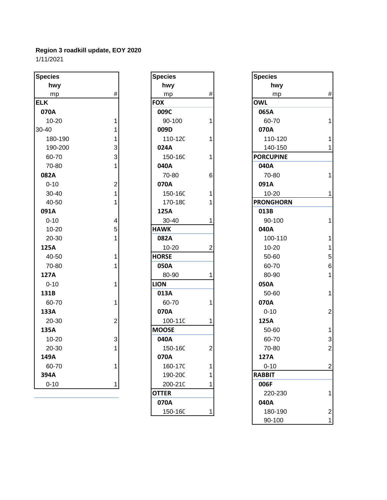| <b>Species</b> |                         | <b>Species</b> |                | <b>Species</b>   |
|----------------|-------------------------|----------------|----------------|------------------|
| hwy            |                         | hwy            |                | hwy              |
| mp             | $\#$                    | mp             | #              | mp               |
| <b>ELK</b>     |                         | <b>FOX</b>     |                | <b>OWL</b>       |
| 070A           |                         | 009C           |                | 065A             |
| $10 - 20$      | 1                       | 90-100         | 1              | 60-70            |
| 30-40          | 1                       | 009D           |                | 070A             |
| 180-190        | 1                       | 110-120        | 1              | 110-120          |
| 190-200        | 3                       | 024A           |                | 140-150          |
| 60-70          | 3                       | 150-160        | 1              | <b>PORCUPINE</b> |
| 70-80          | 1                       | 040A           |                | 040A             |
| 082A           |                         | 70-80          | 6              | 70-80            |
| $0 - 10$       | $\overline{\mathbf{c}}$ | 070A           |                | 091A             |
| 30-40          | 1                       | 150-160        | 1              | $10 - 20$        |
| 40-50          | 1                       | 170-180        | 1              | <b>PRONGHORN</b> |
| 091A           |                         | 125A           |                | 013B             |
| $0 - 10$       | 4                       | 30-40          | 1              | 90-100           |
| $10 - 20$      | 5                       | <b>HAWK</b>    |                | 040A             |
| 20-30          | 1                       | 082A           |                | 100-110          |
| 125A           |                         | $10 - 20$      | $\overline{c}$ | $10 - 20$        |
| 40-50          | 1                       | <b>HORSE</b>   |                | 50-60            |
| 70-80          | 1                       | 050A           |                | 60-70            |
| 127A           |                         | 80-90          | 1              | 80-90            |
| $0 - 10$       | 1                       | <b>LION</b>    |                | 050A             |
| 131B           |                         | 013A           |                | 50-60            |
| 60-70          | 1                       | 60-70          | 1              | 070A             |
| 133A           |                         | 070A           |                | $0 - 10$         |
| 20-30          | $\overline{2}$          | 100-110        | 1              | 125A             |
| 135A           |                         | <b>MOOSE</b>   |                | 50-60            |
| $10 - 20$      | 3                       | 040A           |                | 60-70            |
| 20-30          | 1                       | 150-160        | $\overline{2}$ | 70-80            |
| 149A           |                         | 070A           |                | 127A             |
| 60-70          | 1                       | 160-170        | 1              | $0 - 10$         |
| 394A           |                         | 190-200        | 1              | <b>RABBIT</b>    |
| $0 - 10$       | $\mathbf 1$             | 200-210        | 1              | 006F             |
|                |                         |                |                |                  |

| <b>Species</b> |                | <b>Specie</b>   |
|----------------|----------------|-----------------|
| hwy            |                | ŀ               |
| mp             | #              |                 |
| <b>FOX</b>     |                | <b>OWL</b>      |
| 009C           |                | 065A            |
| 90-100         | 1              | 60-             |
| 009D           |                | 070A            |
| 110-120        | 1              | 110             |
| 024A           |                | 140             |
| 150-160        | 1              | <b>PORCU</b>    |
| 040A           |                | 040A            |
| 70-80          | 6              | $70-$           |
| 070A           |                | 091A            |
| 150-160        | 1              | $10-$           |
| 170-180        | 1              | <b>PRONG</b>    |
| 125A           |                | 013B            |
| 30-40          | 1              | $90-$           |
| <b>HAWK</b>    |                | 040A            |
| 082A           |                | 10 <sub>C</sub> |
| 10-20          | $\overline{c}$ | $10-$           |
| <b>HORSE</b>   |                | 50-             |
| 050A           |                | 60-             |
| 80-90          | 1              | 80-             |
| <b>LION</b>    |                | 050A            |
| 013A           |                | 50-             |
| 60-70          | 1              | 070A            |
| 070A           |                | 0-1             |
| 100-110        | 1              | 125A            |
| <b>MOOSE</b>   |                | 50-             |
| 040A           |                | 60-             |
| 150-160        | $\overline{c}$ | $70-$           |
| 070A           |                | 127A            |
| 160-170        | 1              | $0 - 1$         |
| 190-200        | 1              | <b>RABBI1</b>   |
| 200-210        | 1              | 006F            |
| <b>OTTER</b>   |                | 220             |
| 070A           |                | 040A            |
| 150-160        |                | 180             |

| pecies    |                | <b>Species</b> |                | <b>Species</b>   |                  |
|-----------|----------------|----------------|----------------|------------------|------------------|
| hwy       |                | hwy            |                | hwy              |                  |
| mp        | $\#$           | mp             | $\#$           | mp               | $\#$             |
| LK.       |                | <b>FOX</b>     |                | <b>OWL</b>       |                  |
| 070A      |                | 009C           |                | 065A             |                  |
| $10 - 20$ | 1              | 90-100         | 1              | 60-70            | $\mathbf{1}$     |
| $-40$     | 1              | 009D           |                | 070A             |                  |
| 180-190   | 1              | 110-120        |                | 110-120          | $\mathbf{1}$     |
| 190-200   | 3              | 024A           |                | 140-150          | $\mathbf 1$      |
| 60-70     | 3              | 150-160        | 1              | <b>PORCUPINE</b> |                  |
| 70-80     |                | 040A           |                | 040A             |                  |
| 082A      |                | 70-80          | 6              | 70-80            | $\mathbf{1}$     |
| $0 - 10$  | $\overline{c}$ | 070A           |                | 091A             |                  |
| 30-40     | 1              | 150-160        | 1              | $10 - 20$        | $\mathbf{1}$     |
| 40-50     |                | 170-180        |                | <b>PRONGHORN</b> |                  |
| 091A      |                | 125A           |                | 013B             |                  |
| $0 - 10$  | 4              | 30-40          | 1              | 90-100           | $\mathbf{1}$     |
| 10-20     | 5              | <b>HAWK</b>    |                | 040A             |                  |
| 20-30     |                | 082A           |                | 100-110          | $\mathbf{1}$     |
| 125A      |                | $10 - 20$      | $\overline{2}$ | $10 - 20$        | $\mathbf{1}$     |
| 40-50     | 1              | <b>HORSE</b>   |                | 50-60            | $\mathbf 5$      |
| 70-80     | 1              | 050A           |                | 60-70            | $\,6$            |
| 127A      |                | 80-90          | 1              | 80-90            | $\mathbf{1}$     |
| $0 - 10$  | 1              | <b>LION</b>    |                | 050A             |                  |
| 131B      |                | 013A           |                | 50-60            | $\mathbf{1}$     |
| 60-70     | 1              | 60-70          |                | 070A             |                  |
| 133A      |                | 070A           |                | $0 - 10$         | $\boldsymbol{2}$ |
| 20-30     | $\overline{c}$ | 100-110        | 1              | 125A             |                  |
| 135A      |                | <b>MOOSE</b>   |                | 50-60            | $\mathbf{1}$     |
| $10 - 20$ | 3              | 040A           |                | 60-70            | $\mathsf 3$      |
| 20-30     | 1              | 150-160        | $\mathbf{2}$   | 70-80            | $\mathbf 2$      |
| 149A      |                | 070A           |                | 127A             |                  |
| 60-70     | 1              | 160-170        | 1              | $0 - 10$         | $\sqrt{2}$       |
| 394A      |                | 190-200        |                | <b>RABBIT</b>    |                  |
| $0 - 10$  | 1              | 200-210        |                | 006F             |                  |
|           |                | <b>OTTER</b>   |                | 220-230          | 1                |
|           |                | 070A           |                | 040A             |                  |
|           |                | 150-160        | 1              | 180-190          | $\overline{2}$   |
|           |                |                |                | 90-100           | $\mathbf 1$      |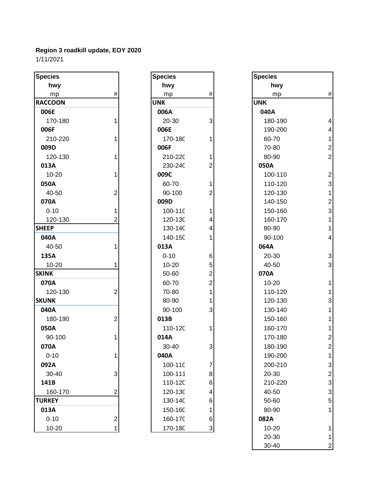| <b>Species</b> |                           | <b>Species</b> |                           | <b>Species</b> |                         |
|----------------|---------------------------|----------------|---------------------------|----------------|-------------------------|
| hwy            |                           | hwy            |                           | hwy            |                         |
| mp             | #                         | mp             | $\#$                      | mp             | Ħ                       |
| <b>RACCOON</b> |                           | <b>UNK</b>     |                           | <b>UNK</b>     |                         |
| 006E           |                           | 006A           |                           | 040A           |                         |
| 170-180        |                           | 20-30          | 3                         | 180-190        | 4                       |
| 006F           |                           | 006E           |                           | 190-200        | 4                       |
| 210-220        |                           | 170-180        |                           | 60-70          | 1                       |
| 009D           |                           | 006F           |                           | 70-80          | $\overline{\mathbf{c}}$ |
| 120-130        |                           | 210-220        |                           | 80-90          | $\overline{a}$          |
| 013A           |                           | 230-240        | 2                         | 050A           |                         |
| 10-20          |                           | 009C           |                           | 100-110        | $\overline{\mathbf{c}}$ |
| 050A           |                           | 60-70          |                           | 110-120        | 3                       |
| 40-50          | $\overline{c}$            | 90-100         | 2                         | 120-130        | 1                       |
| 070A           |                           | 009D           |                           | 140-150        | $\overline{a}$          |
| $0 - 10$       |                           | 100-110        |                           | 150-160        | 3                       |
| 120-130        | 2                         | 120-130        | 4                         | 160-170        | 1                       |
| <b>SHEEP</b>   |                           | 130-140        | 4                         | 80-90          | 1                       |
| 040A           |                           | 140-150        |                           | 90-100         | 4                       |
| 40-50          |                           | 013A           |                           | 064A           |                         |
| 135A           |                           | $0 - 10$       | 6                         | 20-30          | 3                       |
| 10-20          |                           | $10 - 20$      | 5                         | 40-50          | 3                       |
| <b>SKINK</b>   |                           | 50-60          | 2                         | 070A           |                         |
| 070A           |                           | 60-70          | 2                         | 10-20          | 1                       |
| 120-130        | $\overline{c}$            | 70-80          |                           | 110-120        | 1                       |
| <b>SKUNK</b>   |                           | 80-90          |                           | 120-130        | 3                       |
| 040A           |                           | 90-100         | 3                         | 130-140        | 1                       |
| 180-190        | 2                         | 013B           |                           | 150-160        | 1                       |
| 050A           |                           | 110-120        | 1                         | 160-170        |                         |
| 90-100         |                           | 014A           |                           | 170-180        | 2                       |
| 070A           |                           | 30-40          | 3                         | 180-190        | $\overline{c}$          |
| $0 - 10$       |                           | 040A           |                           | 190-200        |                         |
| 092A           |                           | 100-110        | $\boldsymbol{7}$          | 200-210        | 3                       |
| 30-40          | $\ensuremath{\mathsf{3}}$ | 100-111        | 8                         | 20-30          | 2                       |
| 141B           |                           | 110-120        | 6                         | 210-220        | 3                       |
| 160-170        | $\overline{2}$            | 120-130        | 4                         | 40-50          | 3                       |
| <b>TURKEY</b>  |                           | 130-140        | 6                         | 50-60          | 5                       |
| 013A           |                           | 150-160        | 1                         | 80-90          | 1                       |
| $0 - 10$       | $\overline{\mathbf{c}}$   | 160-170        | 6                         | 082A           |                         |
| 10-20          | 1                         | 170-180        | $\ensuremath{\mathsf{3}}$ | $10 - 20$      | 1                       |

| Species    |                                            |
|------------|--------------------------------------------|
| hwy        |                                            |
| mp         | #                                          |
| <b>JNK</b> |                                            |
| 006A       |                                            |
| 20-30      | 3                                          |
| 006E       |                                            |
| 170-180    | 1                                          |
| 006F       |                                            |
| 210-220    | 1                                          |
| 230-240    | $\overline{c}$                             |
| 009C       |                                            |
| 60-70      | $\mathbf 1$                                |
| 90-100     | $\overline{c}$                             |
| 009D       |                                            |
| 100-110    | $\begin{array}{c} 1 \\ 4 \\ 4 \end{array}$ |
| 120-130    |                                            |
| 130-140    |                                            |
| 140-150    | $\overline{1}$                             |
| 013A       |                                            |
| 0-10       | 6                                          |
| 10-20      | $522$<br>$11$                              |
| 50-60      |                                            |
| 60-70      |                                            |
| 70-80      |                                            |
| 80-90      |                                            |
| 90-100     | 3                                          |
| 013B       |                                            |
| 110-120    | 1                                          |
| 014A       |                                            |
| 30-40      | 3                                          |
| ∩4∩∆       |                                            |
| 100-110    | 7                                          |
| 100-111    | 8                                          |
| 110-120    | 6                                          |
| 120-130    | 4                                          |
| 130-140    | 6                                          |
| 150-160    | 1                                          |
| 160-170    | 6                                          |
| 170-180    |                                            |

| cies        |   | <b>Species</b> |                           | <b>Species</b> |  |
|-------------|---|----------------|---------------------------|----------------|--|
| hwy         |   | hwy            |                           | hwy            |  |
| mp          | # | mp             | #                         | mp             |  |
| COON:       |   | <b>UNK</b>     |                           | <b>UNK</b>     |  |
| 06E         |   | 006A           |                           | 040A           |  |
| 170-180     |   | 20-30          | 3                         | 180-190        |  |
| )6F         |   | 006E           |                           | 190-200        |  |
| 210-220     |   | 170-180        |                           | 60-70          |  |
| )9D         |   | 006F           |                           | 70-80          |  |
| 120-130     |   | 210-220        |                           | 80-90          |  |
| L3A         |   | 230-240        | 2                         | 050A           |  |
| 10-20       |   | 009C           |                           | 100-110        |  |
| 50A         |   | 60-70          |                           | 110-120        |  |
| 40-50       | 2 | 90-100         | $\overline{2}$            | 120-130        |  |
| 70A         |   | 009D           |                           | 140-150        |  |
| $0 - 10$    |   | 100-110        |                           | 150-160        |  |
| 120-130     |   | 120-130        | 4                         | 160-170        |  |
| EP          |   | 130-140        | 4                         | 80-90          |  |
| 10A         |   | 140-150        |                           | 90-100         |  |
| 40-50       |   | 013A           |                           | 064A           |  |
| 35A         |   | $0 - 10$       | 6                         | 20-30          |  |
| 10-20       |   | $10 - 20$      | 5                         | 40-50          |  |
| ΝК          |   | 50-60          | 2                         | 070A           |  |
| 70A         |   | 60-70          | $\overline{2}$            | $10 - 20$      |  |
| 120-130     | 2 | 70-80          | 1                         | 110-120        |  |
| <b>INK</b>  |   | 80-90          |                           | 120-130        |  |
| 10A         |   | 90-100         | 3                         | 130-140        |  |
| 180-190     | 2 | 013B           |                           | 150-160        |  |
| 50A         |   | 110-120        |                           | 160-170        |  |
| 90-100      |   | 014A           |                           | 170-180        |  |
| 70A         |   | 30-40          | 3                         | 180-190        |  |
| 0-10        |   | 040A           |                           | 190-200        |  |
| 92A         |   | 100-110        | $\overline{7}$            | 200-210        |  |
| 30-40       | 3 | 100-111        | 8                         | 20-30          |  |
| 11 B        |   | 110-120        | 6                         | 210-220        |  |
| 160-170     | 2 | 120-130        | 4                         | 40-50          |  |
| <b>RKEY</b> |   | 130-140        | 6                         | 50-60          |  |
| L3A         |   | 150-160        | 1                         | 80-90          |  |
| $0 - 10$    | 2 | 160-170        | 6                         | 082A           |  |
| 10-20       | 1 | 170-180        | $\ensuremath{\mathsf{3}}$ | $10 - 20$      |  |
|             |   |                |                           | 20-30          |  |
|             |   |                |                           | 30-40          |  |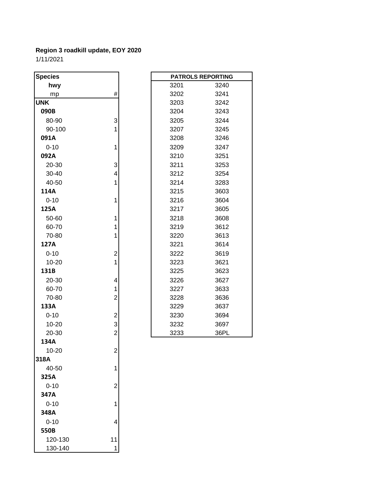120-130 11 130-140 1

| <b>Species</b> |                         |      | <b>PATROLS REPORTING</b> |
|----------------|-------------------------|------|--------------------------|
| hwy            |                         | 3201 | 3240                     |
| mp             | #                       | 3202 | 3241                     |
| <b>UNK</b>     |                         | 3203 | 3242                     |
| 090B           |                         | 3204 | 3243                     |
| 80-90          | 3                       | 3205 | 3244                     |
| 90-100         | 1                       | 3207 | 3245                     |
| 091A           |                         | 3208 | 3246                     |
| $0 - 10$       | 1                       | 3209 | 3247                     |
| 092A           |                         | 3210 | 3251                     |
| 20-30          | 3                       | 3211 | 3253                     |
| 30-40          | 4                       | 3212 | 3254                     |
| 40-50          | 1                       | 3214 | 3283                     |
| 114A           |                         | 3215 | 3603                     |
| $0 - 10$       | 1                       | 3216 | 3604                     |
| 125A           |                         | 3217 | 3605                     |
| 50-60          | 1                       | 3218 | 3608                     |
| 60-70          | 1                       | 3219 | 3612                     |
| 70-80          | 1                       | 3220 | 3613                     |
| 127A           |                         | 3221 | 3614                     |
| $0 - 10$       | $\overline{\mathbf{c}}$ | 3222 | 3619                     |
| 10-20          | $\mathbf 1$             | 3223 | 3621                     |
| 131B           |                         | 3225 | 3623                     |
| 20-30          | 4                       | 3226 | 3627                     |
| 60-70          | 1                       | 3227 | 3633                     |
| 70-80          | $\overline{\mathbf{c}}$ | 3228 | 3636                     |
| 133A           |                         | 3229 | 3637                     |
| $0 - 10$       | $\overline{\mathbf{c}}$ | 3230 | 3694                     |
| 10-20          | 3                       | 3232 | 3697                     |
| 20-30          | $\overline{\mathbf{c}}$ | 3233 | 36PL                     |
| 134A           |                         |      |                          |
| 10-20          | 2                       |      |                          |
| 318A           |                         |      |                          |
| 40-50          | 1                       |      |                          |
| 325A           |                         |      |                          |
| $0 - 10$       | $\overline{2}$          |      |                          |
| 347A           |                         |      |                          |
| $0 - 10$       | 1                       |      |                          |
| 348A           |                         |      |                          |
| $0 - 10$       | 4                       |      |                          |
| 550B           |                         |      |                          |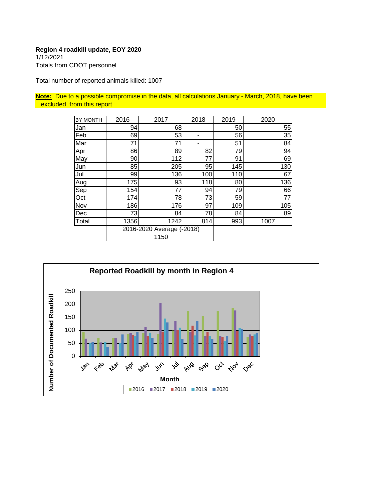1/12/2021 Totals from CDOT personnel

Total number of reported animals killed: 1007

**Note:** Due to a possible compromise in the data, all calculations January - March, 2018, have been excluded from this report

| BY MONTH | 2016                              | 2017 | 2018           | 2019 | 2020            |
|----------|-----------------------------------|------|----------------|------|-----------------|
| Jan      | 94                                | 68   | ٠              | 50   | 55              |
| Feb      | 69                                | 53   | $\blacksquare$ | 56   | 35              |
| Mar      | 71                                | 71   |                | 51   | $\overline{84}$ |
| Apr      | 86                                | 89   | 82             | 79   | 94              |
| May      | 90                                | 112  | 77             | 91   | 69              |
| Jun      | 85                                | 205  | 95             | 145  | 130             |
| Jul      | 99                                | 136  | 100            | 110  | 67              |
| Aug      | 175                               | 93   | 118            | 80   | 136             |
| Sep      | 154                               | 77   | 94             | 79   | 66              |
| Oct      | 174                               | 78   | 73             | 59   | 77              |
| Nov      | 186                               | 176  | 97             | 109  | 105             |
| Dec      | 73                                | 84   | 78             | 84   | 89              |
| Total    | 1356                              | 1242 | 814            | 993  | 1007            |
|          | 2016-2020 Average (-2018)<br>1150 |      |                |      |                 |

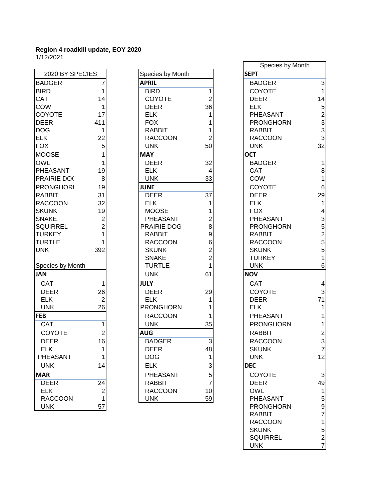| 2020 BY SPECIES                |                                                       |  |  |
|--------------------------------|-------------------------------------------------------|--|--|
| <b>BADGER</b>                  | 7                                                     |  |  |
| <b>BIRD</b>                    |                                                       |  |  |
| CAT                            | $\begin{array}{c} 1 \\ 14 \end{array}$                |  |  |
| COW                            | 1                                                     |  |  |
| <b>COYOTE</b>                  | 17                                                    |  |  |
| <b>DEER</b>                    | 411                                                   |  |  |
| <b>DOG</b>                     | 1                                                     |  |  |
| ELK                            | $\begin{array}{c} 22 \\ 5 \\ 1 \\ 1 \end{array}$      |  |  |
| <b>FOX</b>                     |                                                       |  |  |
| <b>MOOSE</b>                   |                                                       |  |  |
| OWL                            |                                                       |  |  |
| PHEASANT                       | 19                                                    |  |  |
| PRAIRIE DO(                    | 8                                                     |  |  |
| <b>PRONGHORI</b>               | 19                                                    |  |  |
| <b>RABBIT</b>                  | 31                                                    |  |  |
| <b>RACCOON</b>                 | 32                                                    |  |  |
| <b>SKUNK</b>                   |                                                       |  |  |
| <b>SNAKE</b>                   |                                                       |  |  |
| SQUIRREL                       | $\begin{array}{c} 19 \\ 2 \\ 2 \\ 1 \\ 1 \end{array}$ |  |  |
| <b>TURKEY</b>                  |                                                       |  |  |
| <b>TURTLE</b>                  |                                                       |  |  |
| <b>UNK</b>                     | 392                                                   |  |  |
| Species by Month               |                                                       |  |  |
| <b>JAN</b>                     |                                                       |  |  |
|                                |                                                       |  |  |
| CAT                            | 1                                                     |  |  |
| <b>DEER</b>                    | 26                                                    |  |  |
| <b>ELK</b>                     | $\overline{c}$                                        |  |  |
| <b>UNK</b>                     | 26                                                    |  |  |
| <b>FEB</b><br>$\overline{CAT}$ |                                                       |  |  |
|                                | $\mathbf 1$                                           |  |  |
| COYOTE                         | $\begin{array}{c} 2 \\ 16 \end{array}$                |  |  |
| <b>DEER</b>                    |                                                       |  |  |
| <b>ELK</b>                     | 1                                                     |  |  |
| PHEASANT                       | 1                                                     |  |  |
| UNK                            |                                                       |  |  |
| MAR                            |                                                       |  |  |
| <b>DEER</b>                    | $\frac{24}{2}$                                        |  |  |
| <b>ELK</b>                     |                                                       |  |  |
| RACCOON                        |                                                       |  |  |
| UNK                            |                                                       |  |  |

| 2020 BY SPECIES  |                         | Species by Month |                | <b>SEPT</b> |
|------------------|-------------------------|------------------|----------------|-------------|
| <b>BADGER</b>    | 7                       | <b>APRIL</b>     |                | ΒA          |
| <b>BIRD</b>      | 1                       | <b>BIRD</b>      | $\mathbf{1}$   | CC          |
| <b>CAT</b>       | 14                      | <b>COYOTE</b>    | $\overline{2}$ | DE          |
| COW              | 1                       | <b>DEER</b>      | 36             | EL          |
| COYOTE           | 17                      | <b>ELK</b>       | 1              | PH          |
| <b>DEER</b>      | 411                     | <b>FOX</b>       | 1              | PR          |
| <b>DOG</b>       | 1                       | <b>RABBIT</b>    | 1              | RA          |
| ELK              | 22                      | <b>RACCOON</b>   | 2              | RA          |
| FOX              | 5                       | <b>UNK</b>       | 50             | UN          |
| MOOSE            | 1                       | <b>MAY</b>       |                | <b>OCT</b>  |
| OWL              | 1                       | <b>DEER</b>      | 32             | BA          |
| PHEASANT         | 19                      | <b>ELK</b>       | 4              | CA          |
| PRAIRIE DOC      | 8                       | <b>UNK</b>       | 33             | CC          |
| <b>PRONGHORI</b> | 19                      | <b>JUNE</b>      |                | CC          |
| RABBIT           | 31                      | <b>DEER</b>      | 37             | DE          |
| <b>RACCOON</b>   | 32                      | <b>ELK</b>       | 1              | EL          |
| <b>SKUNK</b>     | 19                      | <b>MOOSE</b>     | 1              | <b>FO</b>   |
| <b>SNAKE</b>     | 2                       | PHEASANT         | 2              | PH          |
| <b>SQUIRREL</b>  | $\overline{2}$          | PRAIRIE DOG      | 8              | PR          |
| <b>TURKEY</b>    | 1                       | <b>RABBIT</b>    | 9              | <b>RA</b>   |
| <b>TURTLE</b>    | 1                       | <b>RACCOON</b>   | 6              | RA          |
| <b>UNK</b>       | 392                     | <b>SKUNK</b>     | 2              | SK          |
|                  |                         | <b>SNAKE</b>     | $\overline{2}$ | TU          |
| Species by Month |                         | <b>TURTLE</b>    | 1              | UN          |
| JAN              |                         | <b>UNK</b>       | 61             | <b>NOV</b>  |
| CAT              | 1                       | <b>JULY</b>      |                | CA          |
| <b>DEER</b>      | 26                      | <b>DEER</b>      | 29             | CC          |
| <b>ELK</b>       | $\overline{2}$          | <b>ELK</b>       | 1              | DE          |
| <b>UNK</b>       | 26                      | <b>PRONGHORN</b> | 1              | EL          |
| <b>FEB</b>       |                         | <b>RACCOON</b>   | 1              | РH          |
| <b>CAT</b>       | $\mathbf{1}$            | <b>UNK</b>       | 35             | PR          |
| COYOTE           | $\overline{2}$          | <b>AUG</b>       |                | <b>RA</b>   |
| <b>DEER</b>      | 16                      | <b>BADGER</b>    | 3              | RA          |
| <b>ELK</b>       | $\mathbf{1}$            | <b>DEER</b>      | 48             | <b>SK</b>   |
| PHEASANT         | 1                       | <b>DOG</b>       | 1              | UN          |
| <b>UNK</b>       | 14                      | <b>ELK</b>       | 3              | <b>DEC</b>  |
| <b>MAR</b>       |                         | PHEASANT         | 5              | CC          |
| <b>DEER</b>      | 24                      | <b>RABBIT</b>    | $\overline{7}$ | DE          |
| <b>ELK</b>       | $\overline{\mathbf{c}}$ | <b>RACCOON</b>   | 10             | OV          |
| <b>RACCOON</b>   | 1                       | <b>UNK</b>       | 59             | PH          |

| 17 14/404 1      |                |                  |                |                  |                                            |
|------------------|----------------|------------------|----------------|------------------|--------------------------------------------|
|                  |                |                  |                | Species by Month |                                            |
| 2020 BY SPECIES  |                | Species by Month |                | <b>SEPT</b>      |                                            |
| <b>BADGER</b>    | 7              | <b>APRIL</b>     |                | <b>BADGER</b>    | 3                                          |
| <b>BIRD</b>      | 1              | <b>BIRD</b>      | 1              | COYOTE           | $\mathbf{1}$                               |
| CAT              | 14             | <b>COYOTE</b>    | $\overline{c}$ | <b>DEER</b>      | 14                                         |
| COW              | 1              | <b>DEER</b>      | 36             | <b>ELK</b>       | 5                                          |
| COYOTE           | 17             | <b>ELK</b>       |                | PHEASANT         | $\boldsymbol{2}$                           |
| <b>DEER</b>      | 411            | <b>FOX</b>       |                | <b>PRONGHORN</b> | 3                                          |
| <b>DOG</b>       | 1              | <b>RABBIT</b>    |                | <b>RABBIT</b>    | 3                                          |
| <b>ELK</b>       | 22             | <b>RACCOON</b>   |                | <b>RACCOON</b>   | 3                                          |
| <b>FOX</b>       | 5              | <b>UNK</b>       | 50             | <b>UNK</b>       | 32                                         |
| <b>MOOSE</b>     | 1              | <b>MAY</b>       |                | <b>OCT</b>       |                                            |
| <b>OWL</b>       | 1              | <b>DEER</b>      | 32             | <b>BADGER</b>    | $\mathbf{1}$                               |
| PHEASANT         | 19             | <b>ELK</b>       | 4              | <b>CAT</b>       | 8                                          |
| PRAIRIE DOC      | 8              | <b>UNK</b>       | 33             | COW              | $\mathbf{1}$                               |
| <b>PRONGHORI</b> | 19             | <b>JUNE</b>      |                | COYOTE           | $\,6$                                      |
| RABBIT           | 31             | <b>DEER</b>      | 37             | <b>DEER</b>      | 29                                         |
| <b>RACCOON</b>   | 32             | <b>ELK</b>       |                | <b>ELK</b>       | $\mathbf{1}$                               |
| <b>SKUNK</b>     | 19             | <b>MOOSE</b>     |                | <b>FOX</b>       | $\overline{\mathbf{4}}$                    |
| <b>SNAKE</b>     | $\overline{2}$ | PHEASANT         | 2              | PHEASANT         |                                            |
| <b>SQUIRREL</b>  | $\overline{2}$ | PRAIRIE DOG      | 8              | <b>PRONGHORN</b> | $\frac{3}{5}$                              |
| <b>TURKEY</b>    | 1              | <b>RABBIT</b>    | 9              | <b>RABBIT</b>    |                                            |
| <b>TURTLE</b>    |                | <b>RACCOON</b>   | 6              | <b>RACCOON</b>   | $\begin{array}{c} 2 \\ 5 \\ 5 \end{array}$ |
| <b>UNK</b>       | 392            | <b>SKUNK</b>     | $\overline{2}$ | <b>SKUNK</b>     |                                            |
|                  |                | <b>SNAKE</b>     | $\overline{2}$ | <b>TURKEY</b>    | $\mathbf{1}$                               |
| Species by Month |                | <b>TURTLE</b>    |                | <b>UNK</b>       | 6                                          |
| JAN              |                | <b>UNK</b>       | 61             | <b>NOV</b>       |                                            |
| <b>CAT</b>       | 1              | <b>JULY</b>      |                | <b>CAT</b>       | 4                                          |
| <b>DEER</b>      | 26             | <b>DEER</b>      | 29             | COYOTE           | 3                                          |
| <b>ELK</b>       | $\overline{2}$ | <b>ELK</b>       |                | <b>DEER</b>      | 71                                         |
| <b>UNK</b>       | 26             | <b>PRONGHORN</b> |                | <b>ELK</b>       | $\mathbf{1}$                               |
| <b>FEB</b>       |                | <b>RACCOON</b>   |                | PHEASANT         | 1                                          |
| <b>CAT</b>       | 1              | <b>UNK</b>       | 35             | <b>PRONGHORN</b> | $\mathbf{1}$                               |
| COYOTE           | $\overline{c}$ | <b>AUG</b>       |                | <b>RABBIT</b>    | $\boldsymbol{2}$                           |
| <b>DEER</b>      | 16             | <b>BADGER</b>    | $\overline{3}$ | <b>RACCOON</b>   | 3                                          |
| <b>ELK</b>       | 1              | <b>DEER</b>      | 48             | <b>SKUNK</b>     | $\overline{7}$                             |
| PHEASANT         | 1              | <b>DOG</b>       |                | <b>UNK</b>       | 12                                         |
| <b>UNK</b>       | 14             | <b>ELK</b>       | 3              | <b>DEC</b>       |                                            |
| <b>MAR</b>       |                | <b>PHEASANT</b>  | 5              | COYOTE           | 3                                          |
| <b>DEER</b>      | 24             | <b>RABBIT</b>    | $\overline{7}$ | <b>DEER</b>      | 49                                         |
| <b>ELK</b>       | $\mathbf 2$    | <b>RACCOON</b>   | 10             | <b>OWL</b>       | $\mathbf 1$                                |
| <b>RACCOON</b>   | $\mathbf{1}$   | <b>UNK</b>       | 59             | PHEASANT         | $\mathbf 5$                                |
| <b>UNK</b>       | 57             |                  |                | <b>PRONGHORN</b> | $\boldsymbol{9}$                           |
|                  |                |                  |                | <b>RABBIT</b>    | $\overline{7}$                             |
|                  |                |                  |                | <b>RACCOON</b>   | $\mathbf{1}$                               |
|                  |                |                  |                | <b>SKUNK</b>     | $\mathbf 5$                                |
|                  |                |                  |                | <b>SQUIRREL</b>  | $\overline{c}$                             |
|                  |                |                  |                | <b>UNK</b>       | $\overline{7}$                             |
|                  |                |                  |                |                  |                                            |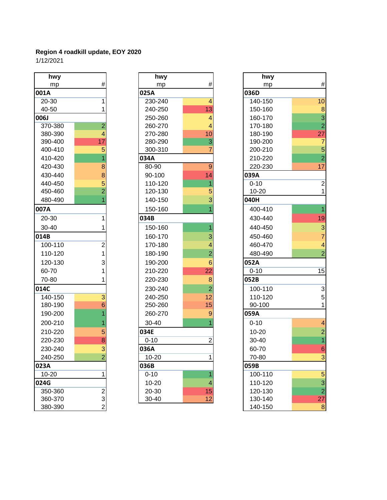| hwy     |                         |
|---------|-------------------------|
| mp      | #                       |
| 001A    |                         |
| 20-30   | 1                       |
| 40-50   | 1                       |
| 006J    |                         |
| 370-380 | $\overline{c}$          |
| 380-390 | 4                       |
| 390-400 | 17                      |
| 400-410 | 5                       |
| 410-420 | 1                       |
| 420-430 | 8                       |
| 430-440 | 8                       |
| 440-450 | $\frac{5}{2}$           |
| 450-460 |                         |
| 480-490 | 1                       |
| 007A    |                         |
| 20-30   | 1                       |
| 30-40   | 1                       |
| 014B    |                         |
| 100-110 | $\overline{2}$          |
| 110-120 | 1                       |
| 120-130 | 3                       |
| 60-70   | $\overline{\mathbf{1}}$ |
| 70-80   | 1                       |
| 014C    |                         |
| 140-150 | $\overline{3}$          |
| 180-190 | 6                       |
| 190-200 | $\overline{\mathbf{1}}$ |
| 200-210 | $\frac{1}{2}$           |
| 210-220 |                         |
| 220-230 | $\frac{5}{3}$           |
| 230-240 |                         |
| 240-250 | 2                       |
| 023A    |                         |
| 10-20   | 1                       |
| 024G    |                         |
| 350-360 |                         |
| 360-370 |                         |
| 380-390 |                         |

| hwy       |                | hwy       |                | hwy       |
|-----------|----------------|-----------|----------------|-----------|
| mp        | #              | mp        | $\#$           | mp        |
| 001A      |                | 025A      |                | 036D      |
| 20-30     | 1              | 230-240   | 4              | 140-150   |
| 40-50     | 1              | 240-250   | 13             | 150-160   |
| 006J      |                | 250-260   | 4              | 160-170   |
| 370-380   | $\overline{2}$ | 260-270   | 4              | 170-180   |
| 380-390   | 4              | 270-280   | 10             | 180-190   |
| 390-400   | 17             | 280-290   | 3              | 190-200   |
| 400-410   | 5              | 300-310   | 7              | 200-210   |
| 410-420   | $\overline{1}$ | 034A      |                | 210-220   |
| 420-430   | 8              | 80-90     | $\overline{9}$ | 220-230   |
| 430-440   | 8              | 90-100    | 14             | 039A      |
| 440-450   | 5              | 110-120   | 1              | $0 - 10$  |
| 450-460   | $\overline{2}$ | 120-130   | 5              | 10-20     |
| 480-490   | $\overline{1}$ | 140-150   | 3              | 040H      |
| 007A      |                | 150-160   |                | 400-410   |
| 20-30     | 1              | 034B      |                | 430-440   |
| 30-40     | 1              | 150-160   | 1              | 440-450   |
| 014B      |                | 160-170   | 3              | 450-460   |
| 100-110   | $\overline{2}$ | 170-180   | 4              | 460-470   |
| 110-120   | $\overline{1}$ | 180-190   | $\overline{2}$ | 480-490   |
| 120-130   | 3              | 190-200   | 6              | 052A      |
| 60-70     | 1              | 210-220   | 22             | $0 - 10$  |
| 70-80     | 1              | 220-230   | 8              | 052B      |
| 014C      |                | 230-240   | $\overline{2}$ | 100-110   |
| 140-150   | $\overline{3}$ | 240-250   | 12             | 110-120   |
| 180-190   | $\overline{6}$ | 250-260   | 15             | 90-100    |
| 190-200   | 1              | 260-270   | 9              | 059A      |
| 200-210   | 1              | 30-40     |                | $0 - 10$  |
| 210-220   | 5              | 034E      |                | $10 - 20$ |
| 220-230   | 8              | $0 - 10$  | $\overline{2}$ | 30-40     |
| 230-240   | 3              | 036A      |                | 60-70     |
| 240-250   | $\overline{2}$ | $10 - 20$ | 1              | 70-80     |
| 023A      |                | 036B      |                | 059B      |
| $10 - 20$ | 1              | $0 - 10$  | 1              | 100-110   |
| 024G      |                | $10 - 20$ | 4              | 110-120   |
| 350-360   | $\overline{2}$ | 20-30     | 15             | 120-130   |
| 360-370   | $\overline{A}$ | 30-40     | 12             | 130-140   |

| hwy     |                 | hwy       |                | hwy       |                         |
|---------|-----------------|-----------|----------------|-----------|-------------------------|
| mp      | $\#$            | mp        | #              | mp        | $\#$                    |
| 001A    |                 | 025A      |                | 036D      |                         |
| 20-30   | 1               | 230-240   | 4              | 140-150   | 10                      |
| 40-50   | 1               | 240-250   | 13             | 150-160   | $\bf 8$                 |
| 006J    |                 | 250-260   | 4              | 160-170   | $\overline{3}$          |
| 370-380 | $\overline{2}$  | 260-270   |                | 170-180   | $\overline{c}$          |
| 380-390 | 4               | 270-280   | 10             | 180-190   | 27                      |
| 390-400 | 17              | 280-290   | 3              | 190-200   | $\overline{7}$          |
| 400-410 | $\overline{5}$  | 300-310   |                | 200-210   | $\overline{5}$          |
| 410-420 | 1               | 034A      |                | 210-220   | $\overline{2}$          |
| 420-430 | 8               | 80-90     | 9              | 220-230   | 17                      |
| 430-440 | 8               | 90-100    | 14             | 039A      |                         |
| 440-450 | 5               | 110-120   |                | $0 - 10$  | $\overline{2}$          |
| 450-460 | $\overline{2}$  | 120-130   | 5              | $10 - 20$ | $\mathbf{1}$            |
| 480-490 |                 | 140-150   | 3              | 040H      |                         |
| 007A    |                 | 150-160   |                | 400-410   | $\overline{1}$          |
| 20-30   | 1               | 034B      |                | 430-440   | 19                      |
| 30-40   | 1               | 150-160   |                | 440-450   | 3                       |
| 014B    |                 | 160-170   | 3              | 450-460   | $\overline{7}$          |
| 100-110 | $\overline{2}$  | 170-180   | 4              | 460-470   | $\overline{\mathbf{4}}$ |
| 110-120 | $\mathbf{1}$    | 180-190   | $\overline{2}$ | 480-490   | $\overline{2}$          |
| 120-130 | 3               | 190-200   | 6              | 052A      |                         |
| 60-70   | 1               | 210-220   | 22             | $0 - 10$  | 15                      |
| 70-80   | 1               | 220-230   | 8              | 052B      |                         |
| 014C    |                 | 230-240   | $\overline{2}$ | 100-110   | 3                       |
| 140-150 | $\overline{3}$  | 240-250   | 12             | 110-120   | 5                       |
| 180-190 | $6\phantom{1}6$ | 250-260   | 15             | 90-100    | $\mathbf{1}$            |
| 190-200 |                 | 260-270   | 9              | 059A      |                         |
| 200-210 |                 | 30-40     |                | $0 - 10$  | $\overline{\mathbf{4}}$ |
| 210-220 | 5               | 034E      |                | $10 - 20$ | $\overline{2}$          |
| 220-230 | 8               | $0 - 10$  | $\overline{2}$ | 30-40     | $\overline{1}$          |
| 230-240 | 3               | 036A      |                | 60-70     | $6\phantom{1}$          |
| 240-250 | $\overline{2}$  | $10 - 20$ | 1              | 70-80     | 3                       |
| 023A    |                 | 036B      |                | 059B      |                         |
| 10-20   | 1               | $0 - 10$  |                | 100-110   | 5                       |
| 024G    |                 | $10 - 20$ | 4              | 110-120   | 3                       |
| 350-360 | $\mathbf 2$     | 20-30     | 15             | 120-130   | $\overline{2}$          |
| 360-370 | 3               | 30-40     | 12             | 130-140   | 27                      |
| 380-390 | $\overline{2}$  |           |                | 140-150   | $\bf 8$                 |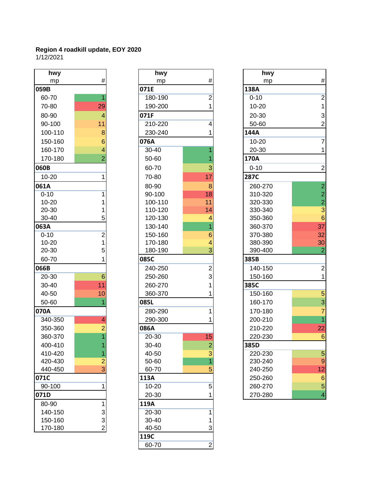| hwy       |                         |                 |
|-----------|-------------------------|-----------------|
| mp        | #                       |                 |
| 059B      |                         | 071E            |
| 60-70     | 1                       | 180             |
| 70-80     | 29                      | 190             |
| 80-90     | 4                       | 071F            |
| 90-100    | 11                      | 210             |
| 100-110   | 8                       | 230             |
| 150-160   | 6                       | 076A            |
| 160-170   | $\overline{\mathbf{4}}$ | $30 -$          |
| 170-180   | $\overline{2}$          | 50-             |
| 060B      |                         | 60-             |
| 10-20     | 1                       | $70-$           |
| 061A      |                         | 80-             |
| $0 - 10$  | 1                       | 90-             |
| $10 - 20$ | 1                       | 10 <sub>C</sub> |
| 20-30     | 1                       | 11C             |
| 30-40     | 5                       | 120             |
| 063A      |                         | 13C             |
| $0 - 10$  | $\overline{c}$          | 15 <sub>C</sub> |
| $10 - 20$ | $\overline{1}$          | 170             |
| 20-30     | 5                       | 180             |
| 60-70     | 1                       | 085C            |
| 066B      |                         | 240             |
| 20-30     | 6                       | 250             |
| 30-40     | 11                      | 260             |
| 40-50     | 10                      | 360             |
| 50-60     | $\overline{1}$          | 085L            |
| 070A      |                         | 280             |
| 340-350   | $\overline{4}$          | 290             |
| 350-360   | $\overline{c}$          | 086A            |
| 360-370   | $\overline{1}$          | $20 -$          |
| 400-410   | $\overline{1}$          | $30 -$          |
| 410-420   | 1                       | 40-             |
| 420-430   | $\frac{2}{3}$           | 50-             |
| 440-450   |                         | 60-             |
| 071C      |                         | 113A            |
| 90-100    | $\overline{1}$          | $10-$           |
| 071D      |                         | $20 -$          |
| 80-90     | 1                       | 119A            |
| 140-150   | $\frac{3}{3}$           | $20 -$          |
| 150-160   |                         | $30 -$          |
| 170-180   | $\overline{2}$          | 40-             |

| hwy       |                          | hwy       |                | hwy       |
|-----------|--------------------------|-----------|----------------|-----------|
| mp        | #                        | mp        | $\#$           | mp        |
| 059B      |                          | 071E      |                | 138A      |
| 60-70     | 1                        | 180-190   | $\overline{2}$ | $0 - 10$  |
| 70-80     | 29                       | 190-200   | 1              | 10-20     |
| 80-90     | $\overline{\mathcal{A}}$ | 071F      |                | 20-30     |
| 90-100    | 11                       | 210-220   | 4              | 50-60     |
| 100-110   | 8                        | 230-240   | 1              | 144A      |
| 150-160   | 6                        | 076A      |                | $10 - 20$ |
| 160-170   | $\overline{4}$           | 30-40     |                | 20-30     |
| 170-180   | $\overline{2}$           | 50-60     | 1              | 170A      |
| 060B      |                          | 60-70     | 3              | $0 - 10$  |
| 10-20     | 1                        | 70-80     | 17             | 287C      |
| 061A      |                          | 80-90     | 8              | 260-270   |
| $0 - 10$  | 1                        | 90-100    | 18             | 310-320   |
| $10 - 20$ | 1                        | 100-110   | 11             | 320-330   |
| 20-30     | 1                        | 110-120   | 14             | 330-340   |
| 30-40     | 5                        | 120-130   | 4              | 350-360   |
| 063A      |                          | 130-140   | 1              | 360-370   |
| $0 - 10$  | $\overline{2}$           | 150-160   | 6              | 370-380   |
| $10 - 20$ | $\overline{1}$           | 170-180   | 4              | 380-390   |
| 20-30     | 5                        | 180-190   | 3              | 390-400   |
| 60-70     | 1                        | 085C      |                | 385B      |
| 066B      |                          | 240-250   | $\overline{2}$ | 140-150   |
| 20-30     | $6\phantom{1}6$          | 250-260   | 3              | 150-160   |
| 30-40     | 11                       | 260-270   | 1              | 385C      |
| 40-50     | 10                       | 360-370   |                | 150-160   |
| 50-60     | 1                        | 085L      |                | 160-170   |
| 070A      |                          | 280-290   | 1              | 170-180   |
| 340-350   | $\overline{4}$           | 290-300   |                | 200-210   |
| 350-360   | $\overline{2}$           | 086A      |                | 210-220   |
| 360-370   | $\overline{1}$           | 20-30     | 15             | 220-230   |
| 400-410   | 1                        | 30-40     | $\overline{2}$ | 385D      |
| 410-420   | 1                        | 40-50     | 3              | 220-230   |
| 420-430   | $\overline{c}$           | 50-60     | 1              | 230-240   |
| 440-450   | $\overline{3}$           | 60-70     | 5              | 240-250   |
| 071C      |                          | 113A      |                | 250-260   |
| 90-100    | 1                        | $10 - 20$ | 5              | 260-270   |
| 071D      |                          | 20-30     |                | 270-280   |
| 80-90     | 1                        | 119A      |                |           |
| 140-150   | 3                        | 20-30     | 1              |           |
| 150-160   | 3                        | 30-40     | 1              |           |
| 170-180   | $\overline{2}$           | 40-50     | 3              |           |
|           |                          | 119C      |                |           |
|           |                          | 60-70     | $\overline{2}$ |           |

| hwy       |                 | hwy       |                         | hwy         |                                                 |
|-----------|-----------------|-----------|-------------------------|-------------|-------------------------------------------------|
| mp        | $\#$            | mp        | $\#$                    | mp          | $\#$                                            |
| 059B      |                 | 071E      |                         | 138A        |                                                 |
| 60-70     |                 | 180-190   | 2                       | $0 - 10$    | $\overline{2}$                                  |
| 70-80     | 29              | 190-200   |                         | $10 - 20$   | 1                                               |
| 80-90     | $\overline{4}$  | 071F      |                         | 20-30       | 3                                               |
| 90-100    | 11              | 210-220   | 4                       | 50-60       | $\overline{c}$                                  |
| 100-110   | 8               | 230-240   |                         | 144A        |                                                 |
| 150-160   | 6               | 076A      |                         | $10 - 20$   | $\overline{7}$                                  |
| 160-170   | 4               | 30-40     |                         | 20-30       | 1                                               |
| 170-180   | $\overline{2}$  | 50-60     |                         | 170A        |                                                 |
| 060B      |                 | 60-70     | 3                       | $0 - 10$    | $\overline{2}$                                  |
| $10 - 20$ | 1               | 70-80     | 17                      | <b>287C</b> |                                                 |
| 061A      |                 | 80-90     | 8                       | 260-270     |                                                 |
| $0 - 10$  | 1               | 90-100    | 18                      | 310-320     | $\begin{array}{c} 2 \\ 2 \\ 2 \\ 3 \end{array}$ |
| $10 - 20$ |                 | 100-110   | 11                      | 320-330     |                                                 |
| 20-30     |                 | 110-120   | 14                      | 330-340     |                                                 |
| 30-40     | 5               | 120-130   |                         | 350-360     | $6\phantom{1}6$                                 |
| 063A      |                 | 130-140   |                         | 360-370     | 37                                              |
| $0 - 10$  | $\overline{c}$  | 150-160   | 6                       | 370-380     | 32                                              |
| $10 - 20$ | $\mathbf 1$     | 170-180   |                         | 380-390     | 30                                              |
| 20-30     | 5               | 180-190   | 3                       | 390-400     | $\overline{2}$                                  |
| 60-70     |                 | 085C      |                         | 385B        |                                                 |
| 066B      |                 | 240-250   | $\overline{c}$          | 140-150     | $\overline{c}$                                  |
| 20-30     | $6\phantom{1}6$ | 250-260   | 3                       | 150-160     | 1                                               |
| 30-40     | 11              | 260-270   |                         | 385C        |                                                 |
| 40-50     | 10              | 360-370   |                         | 150-160     | $\overline{5}$                                  |
| 50-60     |                 | 085L      |                         | 160-170     | 3                                               |
| 070A      |                 | 280-290   |                         | 170-180     | 7                                               |
| 340-350   | 4               | 290-300   |                         | 200-210     | $\overline{1}$                                  |
| 350-360   | $\overline{2}$  | 086A      |                         | 210-220     | 22                                              |
| 360-370   |                 | 20-30     | 15                      | 220-230     | $6\phantom{1}6$                                 |
| 400-410   |                 | 30-40     | $\overline{\mathbf{c}}$ | 385D        |                                                 |
| 410-420   | 1               | 40-50     | 3                       | 220-230     | 5                                               |
| 420-430   | $\overline{2}$  | 50-60     |                         | 230-240     | $\boldsymbol{9}$                                |
| 440-450   | 3               | 60-70     | 5                       | 240-250     | 12                                              |
| 071C      |                 | 113A      |                         | 250-260     | $6\phantom{1}6$                                 |
| 90-100    |                 | $10 - 20$ | 5                       | 260-270     | 5                                               |
| 071D      |                 | 20-30     |                         | 270-280     | $\overline{\mathcal{A}}$                        |
|           |                 |           |                         |             |                                                 |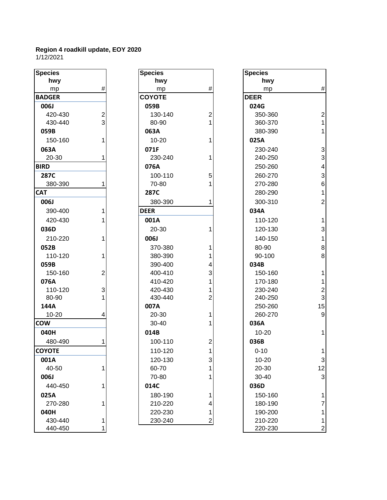| <b>Species</b> |                                            |
|----------------|--------------------------------------------|
| hwy            |                                            |
| mp             | #                                          |
| <b>BADGER</b>  |                                            |
| <b>006J</b>    |                                            |
| 420-430        | 2<br>3                                     |
| 430-440        |                                            |
| 059B           |                                            |
| 150-160        | 1                                          |
| 063A           |                                            |
| 20-30          | 1                                          |
| <b>BIRD</b>    |                                            |
| 287C           |                                            |
| 380-390        | 1                                          |
| <b>CAT</b>     |                                            |
| 006J           |                                            |
| 390-400        | 1                                          |
| 420-430        | 1                                          |
| 036D           |                                            |
| 210-220        | 1                                          |
| 052B           |                                            |
| 110-120        | 1                                          |
| 059B           |                                            |
| 150-160        |                                            |
| 076A           | $\begin{array}{c} 2 \\ 3 \\ 1 \end{array}$ |
| 110-120        |                                            |
| 80-90          |                                            |
| 144A           |                                            |
| 10-20          | 4                                          |
| <b>COW</b>     |                                            |
| 040H           |                                            |
| 480-490        | 1                                          |
| <b>COYOTE</b>  |                                            |
| 001A           |                                            |
| 40-50          | 1                                          |
| <b>006J</b>    |                                            |
| 440-450        | 1                                          |
| 025A           |                                            |
| 270-280        | 1                                          |
| 040H           |                                            |
| 430-440        |                                            |
| 440-450        |                                            |

| <b>Species</b>      |                                           | <b>Species</b>      |                                         | <b>Species</b> |
|---------------------|-------------------------------------------|---------------------|-----------------------------------------|----------------|
| hwy                 |                                           | hwy                 |                                         | hwy            |
|                     | #                                         |                     | #                                       | mp             |
| mp<br><b>BADGER</b> |                                           | mp<br><b>COYOTE</b> |                                         | <b>DEER</b>    |
|                     |                                           |                     |                                         |                |
| 006J                |                                           | 059B                |                                         | 024G<br>350-36 |
| 420-430<br>430-440  | $\overline{\mathbf{c}}$<br>$\overline{3}$ | 130-140<br>80-90    | $\overline{\mathbf{c}}$<br>$\mathbf{1}$ | 360-37         |
| 059B                |                                           | 063A                |                                         | 380-39         |
|                     |                                           |                     |                                         |                |
| 150-160             | 1                                         | $10 - 20$           | 1                                       | 025A           |
| 063A                |                                           | 071F                |                                         | 230-24         |
| 20-30               | 1                                         | 230-240             | 1                                       | 240-25         |
| <b>BIRD</b>         |                                           | 076A                |                                         | 250-26         |
| 287C                |                                           | 100-110             | 5                                       | 260-27         |
| 380-390             | 1                                         | 70-80               |                                         | 270-28         |
| <b>CAT</b>          |                                           | 287C                |                                         | 280-29         |
| 006J                |                                           | 380-390             | 1                                       | 300-31         |
| 390-400             | 1                                         | <b>DEER</b>         |                                         | 034A           |
| 420-430             | 1                                         | 001A                |                                         | 110-12         |
| 036D                |                                           | 20-30               | 1                                       | 120-13         |
| 210-220             | 1                                         | 006J                |                                         | 140-15         |
| 052B                |                                           | 370-380             | 1                                       | 80-90          |
| 110-120             | 1                                         | 380-390             | 1                                       | 90-100         |
| 059B                |                                           | 390-400             | 4                                       | 034B           |
| 150-160             | $\overline{2}$                            | 400-410             | 3                                       | 150-16         |
| 076A                |                                           | 410-420             | 1                                       | 170-18         |
| 110-120             | 3                                         | 420-430             | 1                                       | 230-24         |
| 80-90               | 1                                         | 430-440             | $\overline{2}$                          | 240-25         |
| 144A                |                                           | 007A                |                                         | 250-26         |
| 10-20               | 4                                         | 20-30               | 1                                       | 260-27         |
| <b>COW</b>          |                                           | 30-40               | 1                                       | 036A           |
| 040H                |                                           | 014B                |                                         | $10 - 20$      |
| 480-490             | 1                                         | 100-110             | 2                                       | 036B           |
| <b>COYOTE</b>       |                                           | 110-120             | $\overline{1}$                          | $0 - 10$       |
| 001A                |                                           | 120-130             | 3                                       | 10-20          |
| 40-50               | 1                                         | 60-70               | 1                                       | 20-30          |
| 006J                |                                           | 70-80               |                                         | 30-40          |
| 440-450             | 1                                         | 014C                |                                         | 036D           |
| 025A                |                                           | 180-190             | 1                                       | 150-16         |
| 270-280             | 1                                         | 210-220             | 4                                       | 180-19         |
| 040H                |                                           | 220-230             | 1                                       | 190-20         |
| 430-440             | 1                                         | 230-240             | 2                                       | 210-22         |
|                     |                                           |                     |                                         |                |

| <b>Species</b> |                | <b>Species</b> |                | <b>Species</b> |                                       |
|----------------|----------------|----------------|----------------|----------------|---------------------------------------|
| hwy            |                | hwy            |                | hwy            |                                       |
| mp             | $\#$           | mp             | $\#$           | mp             | $\#$                                  |
| <b>BADGER</b>  |                | <b>COYOTE</b>  |                | <b>DEER</b>    |                                       |
| 006J           |                | 059B           |                | 024G           |                                       |
| 420-430        | $\frac{2}{3}$  | 130-140        | 2              | 350-360        | $\begin{array}{c} 2 \\ 1 \end{array}$ |
| 430-440        |                | 80-90          |                | 360-370        |                                       |
| 059B           |                | 063A           |                | 380-390        | $\mathbf{1}$                          |
| 150-160        | 1              | $10 - 20$      |                | 025A           |                                       |
| 063A           |                | 071F           |                | 230-240        | 3                                     |
| 20-30          | 1              | 230-240        |                | 240-250        | 3                                     |
| <b>BIRD</b>    |                | 076A           |                | 250-260        | $\overline{\mathbf{4}}$               |
| <b>287C</b>    |                | 100-110        | 5              | 260-270        | 3                                     |
| 380-390        | 1              | 70-80          |                | 270-280        | 6                                     |
| <b>CAT</b>     |                | 287C           |                | 280-290        | $\mathbf{1}$                          |
| 006J           |                | 380-390        |                | 300-310        | $\overline{c}$                        |
| 390-400        | 1              | <b>DEER</b>    |                | 034A           |                                       |
| 420-430        | 1              | 001A           |                | 110-120        | $\mathbf{1}$                          |
| 036D           |                | 20-30          |                | 120-130        | 3                                     |
| 210-220        | 1              | 006J           |                | 140-150        | $\mathbf{1}$                          |
| 052B           |                | 370-380        |                | 80-90          | 8                                     |
| 110-120        | 1              | 380-390        |                | 90-100         | 8                                     |
| 059B           |                | 390-400        |                | 034B           |                                       |
| 150-160        | $\overline{2}$ | 400-410        | 3              | 150-160        | $\mathbf{1}$                          |
| 076A           |                | 410-420        |                | 170-180        | $\mathbf{1}$                          |
| 110-120        | 3              | 420-430        |                | 230-240        | $\overline{\mathbf{c}}$               |
| 80-90          |                | 430-440        | $\overline{2}$ | 240-250        | 3                                     |
| 144A           |                | 007A           |                | 250-260        | 15                                    |
| $10 - 20$      | 4              | 20-30          |                | 260-270        | $\boldsymbol{9}$                      |
| <b>COW</b>     |                | 30-40          |                | 036A           |                                       |
| 040H           |                | 014B           |                | $10 - 20$      | $\mathbf{1}$                          |
| 480-490        | 1              | 100-110        | 2              | 036B           |                                       |
| <b>COYOTE</b>  |                | 110-120        |                | $0 - 10$       | $\mathbf{1}$                          |
| 001A           |                | 120-130        | 3              | 10-20          | $\ensuremath{\mathsf{3}}$             |
| 40-50          | 1              | 60-70          |                | 20-30          | 12                                    |
| 006J           |                | 70-80          |                | 30-40          | 3                                     |
| 440-450        | 1              | 014C           |                | 036D           |                                       |
| 025A           |                | 180-190        |                | 150-160        | $\mathbf 1$                           |
| 270-280        | 1              | 210-220        | 4              | 180-190        | $\overline{7}$                        |
| 040H           |                | 220-230        | 1              | 190-200        | $\mathbf{1}$                          |
| 430-440        | 1              | 230-240        | 2              | 210-220        | $\mathbf{1}$                          |
| 440-450        | 1              |                |                | 220-230        | $\overline{\mathbf{c}}$               |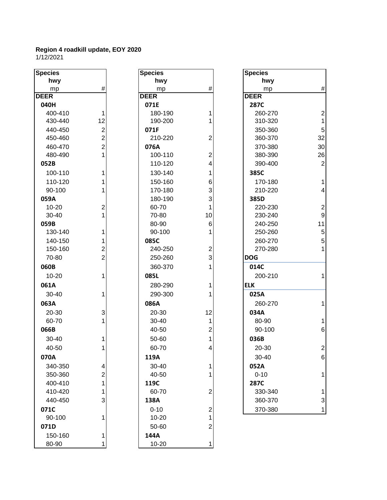| <b>Species</b> |                  | <b>Species</b> |                         | <b>Species</b> |                         |
|----------------|------------------|----------------|-------------------------|----------------|-------------------------|
| hwy            |                  | hwy            |                         | hwy            |                         |
| mp             | #                | mp             | $\#$                    | mp             | #                       |
| <b>DEER</b>    |                  | <b>DEER</b>    |                         | <b>DEER</b>    |                         |
| 040H           |                  | 071E           |                         | <b>287C</b>    |                         |
| 400-410        | 1                | 180-190        | 1                       | 260-270        | 2                       |
| 430-440        | 12               | 190-200        | 1                       | 310-320        |                         |
| 440-450        | $\boldsymbol{2}$ | 071F           |                         | 350-360        | 5                       |
| 450-460        | $\overline{2}$   | 210-220        | $\overline{2}$          | 360-370        | 32                      |
| 460-470        | $\overline{2}$   | 076A           |                         | 370-380        | 3 <sub>C</sub>          |
| 480-490        | 1                | 100-110        | $\boldsymbol{2}$        | 380-390        | 26                      |
| 052B           |                  | 110-120        | $\overline{\mathbf{4}}$ | 390-400        | $\tilde{z}$             |
| 100-110        | 1                | 130-140        | $\mathbf{1}$            | 385C           |                         |
| 110-120        | 1                | 150-160        | 6                       | 170-180        | 1                       |
| 90-100         |                  | 170-180        | 3                       | 210-220        | 4                       |
| 059A           |                  | 180-190        | 3                       | 385D           |                         |
| $10 - 20$      | $\boldsymbol{2}$ | 60-70          | $\mathbf{1}$            | 220-230        | $\overline{\mathbf{z}}$ |
| 30-40          | 1                | 70-80          | 10                      | 230-240        | ç                       |
| 059B           |                  | 80-90          | 6                       | 240-250        | 11                      |
| 130-140        | 1                | 90-100         | 1                       | 250-260        | 5                       |
| 140-150        | 1                | 085C           |                         | 260-270        | 5                       |
| 150-160        | $\overline{c}$   | 240-250        | $\overline{c}$          | 270-280        | 1                       |
| 70-80          | $\overline{2}$   | 250-260        | 3                       | <b>DOG</b>     |                         |
| 060B           |                  | 360-370        | 1                       | 014C           |                         |
| 10-20          | 1                | 085L           |                         | 200-210        |                         |
| 061A           |                  | 280-290        | 1                       | <b>ELK</b>     |                         |
| 30-40          | 1                | 290-300        | 1                       | 025A           |                         |
| 063A           |                  | 086A           |                         | 260-270        |                         |
| 20-30          | 3                | 20-30          | 12                      | 034A           |                         |
| 60-70          | 1                | 30-40          | $\mathbf{1}$            | 80-90          | 1                       |
| 066B           |                  | 40-50          | $\overline{c}$          | 90-100         | $\epsilon$              |
| 30-40          | 1                | 50-60          | 1                       | 036B           |                         |
| 40-50          | 1                | 60-70          | 4                       | 20-30          | 2                       |
| 070A           |                  | 119A           |                         | 30-40          | Е                       |
| 340-350        | $\overline{4}$   | 30-40          | $\mathbf 1$             | 052A           |                         |
| 350-360        | $\overline{c}$   | 40-50          | 1                       | $0 - 10$       |                         |
| 400-410        | $\mathbf{1}$     | 119C           |                         | 287C           |                         |
| 410-420        | 1                | 60-70          | $\boldsymbol{2}$        | 330-340        |                         |
| 440-450        | 3                | 138A           |                         | 360-370        | 3                       |
| 071C           |                  | $0 - 10$       | $\overline{\mathbf{c}}$ | 370-380        | 1                       |
| 90-100         | 1                | $10 - 20$      | $\mathbf{1}$            |                |                         |
| 071D           |                  | 50-60          | $\overline{2}$          |                |                         |
| 150-160        | $\mathbf 1$      | 144A           |                         |                |                         |
| 80-90          | 1                | $10 - 20$      | 1                       |                |                         |
|                |                  |                |                         |                |                         |

| Species         |        |
|-----------------|--------|
| hwy             |        |
| mp              | #      |
| DEER            |        |
| 071E            |        |
| 180-190         | 1      |
| 190-200         | 1      |
| 071F            |        |
| 210-220         | 2      |
| 076A            |        |
| 100-110         | 2      |
| 110-120         | 4      |
| 130-140         | 1      |
| 150-160         | 6      |
| 170-180         | 3      |
| 180-190         | 3      |
| 60-70           | 1      |
| 70-80           | 10     |
| 80-90           | 6      |
| 90-100          | 1      |
| 085C<br>240-250 |        |
| 250-260         | 2      |
|                 | 3<br>1 |
| 360-370         |        |
| 085L            |        |
| 280-290         | 1      |
| 290-300         | 1      |
| 086A            |        |
| 20-30           | 12     |
| 30-40           | 1      |
| 40-50           | 2      |
| 50-60           | 1      |
| 60-70           | 4      |
| 119A            |        |
| 30-40           | 1      |
| 40-50           | 1      |
| 119C            |        |
| 60-70           | 2      |
| 138A            |        |
| $0 - 10$        | 2      |
| 10-20           | 1      |
| 50-60           | 2      |
| 144A            |        |
| 10-20           | 1      |

| <b>Species</b> |                |
|----------------|----------------|
| hwy            |                |
| mp             | #              |
| <b>DEER</b>    |                |
| 287C           |                |
| 260-270        | $\overline{c}$ |
| 310-320        | 1              |
| 350-360        | 5              |
| 360-370        | 32             |
| 370-380        | 30             |
| 380-390        | 26             |
| 390-400        | 2              |
| 385C           |                |
| 170-180        | 1              |
| 210-220        | 4              |
| 385D           |                |
| 220-230        | $\overline{c}$ |
| 230-240        | 9              |
| 240-250        | 11             |
| 250-260        | 5              |
| 260-270        | 5              |
| 270-280        | $\overline{1}$ |
| DOG            |                |
| 014C           |                |
| 200-210        | 1              |
| <b>ELK</b>     |                |
| 025A           |                |
| 260-270        | 1              |
| 034A           |                |
| 80-90          | 1              |
| 90-100         | 6              |
| 036B           |                |
| 20-30          | 2              |
| 30-40          | 6              |
| 052A           |                |
| $0 - 10$       | 1              |
| 287C           |                |
| 330-340        | 1              |
| 360-370        | 3              |
| 370-380        | 1              |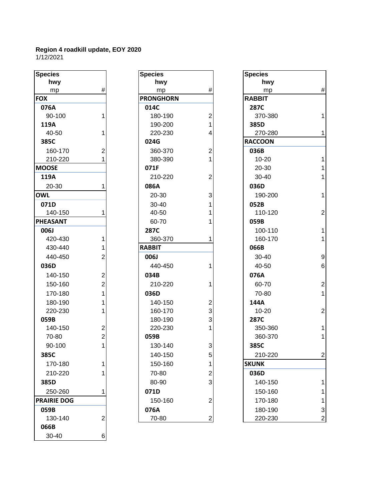| Species            |                                            |
|--------------------|--------------------------------------------|
| hwy                |                                            |
| <u>mp</u>          | #                                          |
| <b>FOX</b>         |                                            |
| 076A               |                                            |
| 90-100             | 1                                          |
| 119A               |                                            |
| 40-50              | 1                                          |
| 385C               |                                            |
| 160-170            | $\frac{2}{1}$                              |
| 210-220            |                                            |
| <b>MOOSE</b>       |                                            |
| 119A               |                                            |
| 20-30              | 1                                          |
| <b>OWL</b>         |                                            |
| 071D               |                                            |
| 140-150            | 1                                          |
| <b>PHEASANT</b>    |                                            |
| <b>006J</b>        |                                            |
| 420-430            |                                            |
| 430-440            | 1 1 2 2 2 1 1                              |
| 440-450            |                                            |
| 036D               |                                            |
| 140-150            |                                            |
| 150-160            |                                            |
| 170-180            |                                            |
| 180-190            |                                            |
| 220-230            |                                            |
| 059B               |                                            |
| 140-150            |                                            |
| 70-80              | $\begin{array}{c} 2 \\ 2 \\ 1 \end{array}$ |
| 90-100             |                                            |
| 385C               |                                            |
| 170-180            | 1                                          |
| 210-220            | 1                                          |
| 385D               |                                            |
| 250-260            | 1                                          |
| <b>PRAIRIE DOG</b> |                                            |
| 059B               |                                            |
| 130-140            | $\overline{c}$                             |
| 066B               |                                            |
| 30-40              |                                            |

| <b>Species</b>     |                         | <b>Species</b>   |                  | <b>Species</b> |
|--------------------|-------------------------|------------------|------------------|----------------|
| hwy                |                         | hwy              |                  | hwy            |
| mp                 | #                       | mp               | #                | mp             |
| <b>FOX</b>         |                         | <b>PRONGHORN</b> |                  | <b>RABBIT</b>  |
| 076A               |                         | 014C             |                  | 287C           |
| 90-100             | 1                       | 180-190          | $\boldsymbol{2}$ | 370-38         |
| 119A               |                         | 190-200          | $\mathbf{1}$     | 385D           |
| 40-50              | 1                       | 220-230          | 4                | 270-28         |
| 385C               |                         | 024G             |                  | <b>RACCOON</b> |
| 160-170            | $\overline{c}$          | 360-370          | 2                | 036B           |
| 210-220            | 1                       | 380-390          | 1                | $10 - 20$      |
| <b>MOOSE</b>       |                         | 071F             |                  | 20-30          |
| 119A               |                         | 210-220          | $\overline{2}$   | 30-40          |
| 20-30              | 1                       | 086A             |                  | 036D           |
| <b>OWL</b>         |                         | 20-30            | 3                | 190-20         |
| 071D               |                         | 30-40            | 1                | 052B           |
| 140-150            | 1                       | 40-50            | 1                | 110-12         |
| PHEASANT           |                         | 60-70            |                  | 059B           |
| 006J               |                         | 287C             |                  | 100-11         |
| 420-430            | 1                       | 360-370          | 1                | 160-17         |
| 430-440            | 1                       | <b>RABBIT</b>    |                  | 066B           |
| 440-450            | $\overline{2}$          | 006J             |                  | $30 - 40$      |
| 036D               |                         | 440-450          | 1                | 40-50          |
| 140-150            | $\overline{c}$          | 034B             |                  | 076A           |
| 150-160            | $\overline{c}$          | 210-220          | 1                | 60-70          |
| 170-180            | $\mathbf{1}$            | 036D             |                  | 70-80          |
| 180-190            | 1                       | 140-150          | 2                | 144A           |
| 220-230            | 1                       | 160-170          | 3                | $10 - 20$      |
| 059B               |                         | 180-190          | 3                | 287C           |
| 140-150            | $\overline{\mathbf{c}}$ | 220-230          | 1                | 350-36         |
| 70-80              | $\overline{2}$          | 059B             |                  | 360-37         |
| 90-100             | 1                       | 130-140          | 3                | 385C           |
| 385C               |                         | 140-150          | 5                | 210-22         |
| 170-180            | 1                       | 150-160          | 1                | <b>SKUNK</b>   |
| 210-220            | 1                       | 70-80            | 2                | 036D           |
| 385D               |                         | 80-90            | 3                | 140-15         |
| 250-260            | 1                       | 071D             |                  | 150-16         |
| <b>PRAIRIE DOG</b> |                         | 150-160          | $\overline{2}$   | 170-18         |
| 059B               |                         | 076A             |                  | 180-19         |
| 130-140            | $\overline{2}$          | 70-80            | $\overline{2}$   | 220-23         |

| <b>Species</b>     |                         | <b>Species</b>   |                         | <b>Species</b> |                  |
|--------------------|-------------------------|------------------|-------------------------|----------------|------------------|
| hwy                |                         | hwy              |                         | hwy            |                  |
| mp                 | $\#$                    | mp               | #                       | mp             | $\#$             |
| <b>FOX</b>         |                         | <b>PRONGHORN</b> |                         | <b>RABBIT</b>  |                  |
| 076A               |                         | 014C             |                         | 287C           |                  |
| 90-100             | 1                       | 180-190          | 2                       | 370-380        | $\mathbf{1}$     |
| 119A               |                         | 190-200          |                         | 385D           |                  |
| 40-50              | 1                       | 220-230          | 4                       | 270-280        | $\mathbf{1}$     |
| 385C               |                         | 024G             |                         | <b>RACCOON</b> |                  |
| 160-170            | $\overline{2}$          | 360-370          | 2                       | 036B           |                  |
| 210-220            | 1                       | 380-390          |                         | $10 - 20$      | $\mathbf{1}$     |
| <b>MOOSE</b>       |                         | 071F             |                         | 20-30          | $\mathbf{1}$     |
| 119A               |                         | 210-220          | $\overline{2}$          | 30-40          | $\mathbf 1$      |
| 20-30              | 1                       | 086A             |                         | 036D           |                  |
| <b>OWL</b>         |                         | 20-30            | 3                       | 190-200        | $\mathbf{1}$     |
| 071D               |                         | $30 - 40$        |                         | 052B           |                  |
| 140-150            |                         | 40-50            |                         | 110-120        | $\overline{2}$   |
| PHEASANT           |                         | 60-70            |                         | 059B           |                  |
| 006J               |                         | 287C             |                         | 100-110        | $\mathbf{1}$     |
| 420-430            | 1                       | 360-370          |                         | 160-170        | $\mathbf 1$      |
| 430-440            | 1                       | <b>RABBIT</b>    |                         | 066B           |                  |
| 440-450            | $\overline{2}$          | 006J             |                         | 30-40          | $\overline{9}$   |
| 036D               |                         | 440-450          |                         | 40-50          | $6\phantom{1}6$  |
| 140-150            | $\overline{\mathbf{c}}$ | 034B             |                         | 076A           |                  |
| 150-160            | $\overline{2}$          | 210-220          |                         | 60-70          | $\overline{2}$   |
| 170-180            | $\mathbf{1}$            | 036D             |                         | 70-80          | $\mathbf{1}$     |
| 180-190            | 1                       | 140-150          | 2                       | 144A           |                  |
| 220-230            | 1                       | 160-170          | 3                       | $10 - 20$      | $\overline{2}$   |
| 059B               |                         | 180-190          | 3                       | <b>287C</b>    |                  |
| 140-150            | $\overline{c}$          | 220-230          |                         | 350-360        | $\mathbf{1}$     |
| 70-80              | $\overline{2}$          | 059B             |                         | 360-370        | $\mathbf{1}$     |
| 90-100             | $\mathbf{1}$            | 130-140          | 3                       | 385C           |                  |
| 385C               |                         | 140-150          | 5                       | 210-220        | $\mathbf 2$      |
| 170-180            | $\mathbf 1$             | 150-160          | 1                       | <b>SKUNK</b>   |                  |
| 210-220            | 1                       | 70-80            | 2                       | 036D           |                  |
| 385D               |                         | 80-90            | 3                       | 140-150        | $\mathbf{1}$     |
| 250-260            | 1                       | 071D             |                         | 150-160        | $\mathbf{1}$     |
| <b>PRAIRIE DOG</b> |                         | 150-160          | $\overline{2}$          | 170-180        | $\mathbf{1}$     |
| 059B               |                         | 076A             |                         | 180-190        | 3                |
| 130-140            | $\overline{\mathbf{c}}$ | 70-80            | $\overline{\mathbf{c}}$ | 220-230        | $\boldsymbol{2}$ |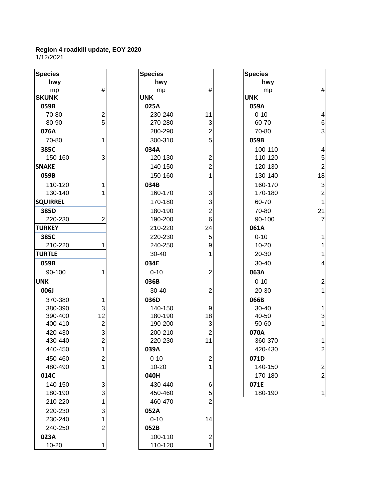| <b>Species</b>  |                | <b>Species</b> |                         | <b>Species</b> |
|-----------------|----------------|----------------|-------------------------|----------------|
| hwy             |                | hwy            |                         | h١             |
| mp              | #              | mp             | #                       | $\mathsf{m}$   |
| <b>SKUNK</b>    |                | <b>UNK</b>     |                         | <b>UNK</b>     |
| 059B            |                | 025A           |                         | 059A           |
| 70-80           | 2              | 230-240        | 11                      | $0 - 10$       |
| 80-90           | 5              | 270-280        | 3                       | 60-7           |
| 076A            |                | 280-290        | $\overline{c}$          | $70 - 8$       |
| 70-80           | 1              | 300-310        | 5                       | 059B           |
| 385C            |                | 034A           |                         | $100 -$        |
| 150-160         | 3              | 120-130        | $\overline{c}$          | $110 -$        |
| <b>SNAKE</b>    |                | 140-150        | $\overline{2}$          | $120 -$        |
| 059B            |                | 150-160        | 1                       | 130-           |
| 110-120         | 1              | 034B           |                         | 160-           |
| 130-140         | 1              | 160-170        | 3                       | $170 -$        |
| <b>SQUIRREL</b> |                | 170-180        | 3                       | $60 - 7$       |
| 385D            |                | 180-190        | $\overline{2}$          | $70-8$         |
| 220-230         | 2              | 190-200        | 6                       | $90 - 1$       |
| <b>TURKEY</b>   |                | 210-220        | 24                      | 061A           |
| 385C            |                | 220-230        | 5                       | $0 - 10$       |
| 210-220         | 1              | 240-250        | 9                       | $10 - 2$       |
| <b>TURTLE</b>   |                | 30-40          | 1                       | $20-3$         |
| 059B            |                | 034E           |                         | $30 - 4$       |
| 90-100          | 1              | $0 - 10$       | $\overline{2}$          | 063A           |
| <b>UNK</b>      |                | 036B           |                         | $0 - 10$       |
| 006J            |                | $30 - 40$      | $\overline{2}$          | $20 - 3$       |
| 370-380         | 1              | 036D           |                         | 066B           |
| 380-390         | 3              | 140-150        | 9                       | $30 - 4$       |
| 390-400         | 12             | 180-190        | 18                      | $40 - 5$       |
| 400-410         | $\overline{c}$ | 190-200        | 3                       | $50 - 6$       |
| 420-430         | 3              | 200-210        | $\overline{2}$          | 070A           |
| 430-440         | $\overline{2}$ | 220-230        | 11                      | 360-           |
| 440-450         | $\mathbf{1}$   | 039A           |                         | 420-           |
| 450-460         | 2              | $0 - 10$       | $\overline{c}$          | 071D           |
| 480-490         | $\overline{1}$ | 10-20          | 1                       | 140-           |
| 014C            |                | 040H           |                         | $170 -$        |
| 140-150         | 3              | 430-440        | 6                       | 071E           |
| 180-190         | 3              | 450-460        | 5                       | 180-           |
| 210-220         | $\mathbf{1}$   | 460-470        | $\overline{2}$          |                |
| 220-230         | 3              | 052A           |                         |                |
| 230-240         | 1              | $0 - 10$       | 14                      |                |
| 240-250         | $\overline{2}$ | 052B           |                         |                |
| 023A            |                | 100-110        | $\overline{\mathbf{c}}$ |                |
| $10 - 20$       | 1              | 110-120        | $\overline{1}$          |                |

| hwy<br>hwy<br>$\#$<br>$\#$<br>mp<br>mp<br><b>KUNK</b><br><b>UNK</b><br><b>UNK</b><br>059B<br>025A<br>059A<br>$\overline{c}$<br>11<br>70-80<br>230-240<br>5<br>3<br>80-90<br>270-280<br>$\overline{2}$<br>076A<br>280-290<br>5<br>70-80<br>300-310<br>059B<br>1<br>385C<br>034A | hwy<br>mp<br>$0 - 10$<br>60-70<br>70-80<br>100-11<br>110-12<br>120-13<br>130-14<br>160-17<br>170-18<br>60-70 |
|--------------------------------------------------------------------------------------------------------------------------------------------------------------------------------------------------------------------------------------------------------------------------------|--------------------------------------------------------------------------------------------------------------|
|                                                                                                                                                                                                                                                                                |                                                                                                              |
|                                                                                                                                                                                                                                                                                |                                                                                                              |
|                                                                                                                                                                                                                                                                                |                                                                                                              |
|                                                                                                                                                                                                                                                                                |                                                                                                              |
|                                                                                                                                                                                                                                                                                |                                                                                                              |
|                                                                                                                                                                                                                                                                                |                                                                                                              |
|                                                                                                                                                                                                                                                                                |                                                                                                              |
|                                                                                                                                                                                                                                                                                |                                                                                                              |
|                                                                                                                                                                                                                                                                                |                                                                                                              |
| 3<br>120-130<br>$\overline{c}$<br>150-160                                                                                                                                                                                                                                      |                                                                                                              |
| $\overline{2}$<br><b>NAKE</b><br>140-150                                                                                                                                                                                                                                       |                                                                                                              |
| 1<br>150-160<br>059B                                                                                                                                                                                                                                                           |                                                                                                              |
| 110-120<br>034B<br>1                                                                                                                                                                                                                                                           |                                                                                                              |
| 3<br>130-140<br>1<br>160-170                                                                                                                                                                                                                                                   |                                                                                                              |
| 3<br><b>QUIRREL</b><br>170-180                                                                                                                                                                                                                                                 |                                                                                                              |
| 180-190<br>$\overline{2}$<br>385D                                                                                                                                                                                                                                              | 70-80                                                                                                        |
| 220-230<br>2<br>190-200<br>6                                                                                                                                                                                                                                                   | 90-100                                                                                                       |
| 24<br>061A<br><b>JRKEY</b><br>210-220                                                                                                                                                                                                                                          |                                                                                                              |
| 385C<br>220-230<br>5<br>$0 - 10$                                                                                                                                                                                                                                               |                                                                                                              |
| 240-250<br>9<br>210-220<br>1                                                                                                                                                                                                                                                   | $10 - 20$                                                                                                    |
| <b>JRTLE</b><br>30-40<br>1                                                                                                                                                                                                                                                     | 20-30                                                                                                        |
| 059B<br>034E                                                                                                                                                                                                                                                                   | 30-40                                                                                                        |
| $\overline{2}$<br>063A<br>90-100<br>$0 - 10$<br>1                                                                                                                                                                                                                              |                                                                                                              |
| NΚ<br>036B<br>$0 - 10$                                                                                                                                                                                                                                                         |                                                                                                              |
| $\overline{2}$<br>006J<br>30-40                                                                                                                                                                                                                                                | 20-30                                                                                                        |
| 066B<br>036D<br>370-380<br>1                                                                                                                                                                                                                                                   |                                                                                                              |
| 3<br>140-150<br>9<br>380-390                                                                                                                                                                                                                                                   | 30-40                                                                                                        |
| 12<br>180-190<br>18<br>390-400                                                                                                                                                                                                                                                 | 40-50                                                                                                        |
| $\overline{2}$<br>3<br>400-410<br>190-200                                                                                                                                                                                                                                      | 50-60                                                                                                        |
| 3<br>$\overline{2}$<br>070A<br>420-430<br>200-210                                                                                                                                                                                                                              |                                                                                                              |
| $\overline{2}$<br>11<br>430-440<br>220-230                                                                                                                                                                                                                                     | 360-37                                                                                                       |
| $\mathbf{1}$<br>440-450<br>039A                                                                                                                                                                                                                                                | 420-43                                                                                                       |
| 450-460<br>2<br>$0 - 10$<br>2<br>071D                                                                                                                                                                                                                                          |                                                                                                              |
| 1<br>1<br>480-490<br>$10 - 20$                                                                                                                                                                                                                                                 | 140-15                                                                                                       |
| 014C<br>040H                                                                                                                                                                                                                                                                   | 170-18                                                                                                       |
| 3<br>430-440<br>140-150<br>071E<br>6                                                                                                                                                                                                                                           |                                                                                                              |
| 3<br>5<br>180-190<br>450-460                                                                                                                                                                                                                                                   | 180-19                                                                                                       |
| $\overline{2}$<br>1<br>460-470<br>210-220                                                                                                                                                                                                                                      |                                                                                                              |
| 3<br>220-230<br>052A                                                                                                                                                                                                                                                           |                                                                                                              |
| $0 - 10$<br>230-240<br>1<br>14                                                                                                                                                                                                                                                 |                                                                                                              |
| $\overline{2}$<br>240-250<br>052B                                                                                                                                                                                                                                              |                                                                                                              |
| 100-110<br>$\overline{\mathbf{c}}$<br>023A                                                                                                                                                                                                                                     |                                                                                                              |
| $\overline{1}$<br>10-20<br>110-120<br>1                                                                                                                                                                                                                                        |                                                                                                              |

| <b>Species</b>  |                           | <b>Species</b> |                         | <b>Species</b> |                         |
|-----------------|---------------------------|----------------|-------------------------|----------------|-------------------------|
| hwy             |                           | hwy            |                         | hwy            |                         |
| mp              | $\#$                      | mp             | #                       | mp             | $\#$                    |
| <b>SKUNK</b>    |                           | <b>UNK</b>     |                         | <b>UNK</b>     |                         |
| 059B            |                           | 025A           |                         | 059A           |                         |
| 70-80           | $\overline{2}$            | 230-240        | 11                      | $0 - 10$       | 4                       |
| 80-90           | 5                         | 270-280        | 3                       | 60-70          | $6\phantom{1}6$         |
| 076A            |                           | 280-290        | $\overline{c}$          | 70-80          | 3                       |
| 70-80           | 1                         | 300-310        | 5                       | 059B           |                         |
| 385C            |                           | 034A           |                         | 100-110        | $\overline{\mathbf{4}}$ |
| 150-160         | 3                         | 120-130        | 2                       | 110-120        | $\sqrt{5}$              |
| <b>SNAKE</b>    |                           | 140-150        | $\overline{2}$          | 120-130        | $\overline{2}$          |
| 059B            |                           | 150-160        | 1                       | 130-140        | 18                      |
| 110-120         |                           | 034B           |                         | 160-170        | 3                       |
| 130-140         |                           | 160-170        | 3                       | 170-180        | $\overline{c}$          |
| <b>SQUIRREL</b> |                           | 170-180        | 3                       | 60-70          | 1                       |
| 385D            |                           | 180-190        | $\overline{\mathbf{c}}$ | 70-80          | 21                      |
| 220-230         | 2                         | 190-200        | 6                       | 90-100         | 7                       |
| <b>TURKEY</b>   |                           | 210-220        | 24                      | 061A           |                         |
| 385C            |                           | 220-230        | 5                       | $0 - 10$       | 1                       |
| 210-220         |                           | 240-250        | 9                       | $10 - 20$      | 1                       |
| <b>TURTLE</b>   |                           | 30-40          | 1                       | 20-30          | 1                       |
| 059B            |                           | 034E           |                         | 30-40          | 4                       |
| 90-100          | 1                         | $0 - 10$       | $\overline{2}$          | 063A           |                         |
| <b>UNK</b>      |                           | 036B           |                         | $0 - 10$       | $\overline{\mathbf{c}}$ |
| 006J            |                           | 30-40          | 2                       | 20-30          | 1                       |
| 370-380         | 1                         | 036D           |                         | 066B           |                         |
| 380-390         | 3                         | 140-150        | 9                       | 30-40          | 1                       |
| 390-400         | 12                        | 180-190        | 18                      | 40-50          | 3                       |
| 400-410         | $\overline{2}$            | 190-200        | 3                       | 50-60          | 1                       |
| 420-430         | 3                         | 200-210        | 2                       | 070A           |                         |
| 430-440         | $\overline{2}$            | 220-230        | 11                      | 360-370        | 1                       |
| 440-450         | $\mathbf{1}$              | 039A           |                         | 420-430        | $\overline{2}$          |
| 450-460         | $\overline{c}$            | $0 - 10$       | $\overline{c}$          | 071D           |                         |
| 480-490         |                           | $10 - 20$      |                         | 140-150        | $\boldsymbol{2}$        |
| 014C            |                           | 040H           |                         | 170-180        | $\overline{2}$          |
| 140-150         | $\ensuremath{\mathsf{3}}$ | 430-440        | 6                       | 071E           |                         |
| 180-190         | 3                         | 450-460        | 5                       | 180-190        | $\mathbf{1}$            |
| 240.220         |                           | 100.170        |                         |                |                         |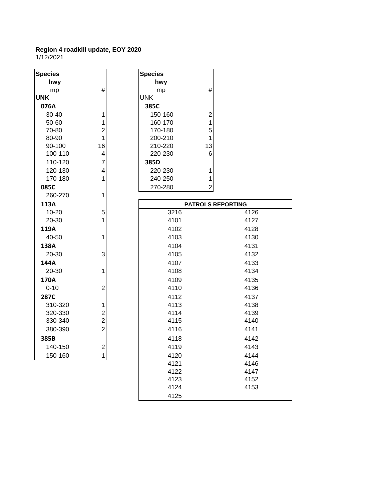| <b>Species</b> |                | <b>Species</b>            |
|----------------|----------------|---------------------------|
| hwy            |                | hwy                       |
| mp             | #              | #<br>mp                   |
| <b>UNK</b>     |                | <b>UNK</b>                |
| 076A           |                | 385C                      |
| 30-40          | 1              | $\overline{c}$<br>150-160 |
| 50-60          | 1              | 1<br>160-170              |
| 70-80          | $\overline{c}$ | 170-180<br>5              |
| 80-90          | 1              | 1<br>200-210              |
| 90-100         | 16             | 210-220<br>13             |
| 100-110        | $\overline{4}$ | 220-230<br>6              |
| 110-120        | $\overline{7}$ | 385D                      |
| 120-130        | 4              | 1<br>220-230              |
| 170-180        | 1              | 1<br>240-250              |
| 085C           |                | $\overline{a}$<br>270-280 |
| 260-270        | $\mathbf{1}$   |                           |
| 113A           |                | <b>PATROLS</b>            |
| $10 - 20$      | 5              | 3216                      |
| 20-30          | 1              | 4101                      |
| 119A           |                | 4102                      |
| 40-50          | 1              | 4103                      |
| 138A           |                | 4104                      |
| 20-30          | 3              | 4105                      |
| 144A           |                | 4107                      |
| 20-30          | 1              | 4108                      |
| 170A           |                | 4109                      |
| $0 - 10$       | $\overline{c}$ | 4110                      |
| 287C           |                | 4112                      |
| 310-320        | 1              | 4113                      |
| 320-330        | $\overline{c}$ | 4114                      |
| 330-340        | $\overline{c}$ | 4115                      |
| 380-390        | $\overline{2}$ | 4116                      |
|                |                |                           |
| 385B           |                | 4118                      |
| 140-150        | $\overline{c}$ | 4119                      |
| 150-160        | 1              | 4120                      |
|                |                | 4121                      |

| <b>Species</b> |    |
|----------------|----|
| hwy            |    |
| mp             | #  |
| <b>UNK</b>     |    |
| 385C           |    |
| 150-160        | 2  |
| 160-170        | 1  |
| 170-180        | 5  |
| 200-210        | 1  |
| 210-220        | 13 |
| 220-230        | 6  |
| 385D           |    |
| 220-230        |    |
| 240-250        | 1  |
| 270-280        | 2  |
|                |    |

| 113A     |                |      | <b>PATROLS REPORTING</b> |
|----------|----------------|------|--------------------------|
| 10-20    | 5              | 3216 | 4126                     |
| 20-30    | 1              | 4101 | 4127                     |
| 119A     |                | 4102 | 4128                     |
| 40-50    | 1              | 4103 | 4130                     |
| 138A     |                | 4104 | 4131                     |
| 20-30    | 3              | 4105 | 4132                     |
| 144A     |                | 4107 | 4133                     |
| 20-30    | 1              | 4108 | 4134                     |
| 170A     |                | 4109 | 4135                     |
| $0 - 10$ | $\overline{2}$ | 4110 | 4136                     |
| 287C     |                | 4112 | 4137                     |
| 310-320  | 1              | 4113 | 4138                     |
| 320-330  | 2              | 4114 | 4139                     |
| 330-340  | $\overline{c}$ | 4115 | 4140                     |
| 380-390  | $\overline{2}$ | 4116 | 4141                     |
| 385B     |                | 4118 | 4142                     |
| 140-150  | 2              | 4119 | 4143                     |
| 150-160  | 1              | 4120 | 4144                     |
|          |                | 4121 | 4146                     |
|          |                | 4122 | 4147                     |
|          |                | 4123 | 4152                     |
|          |                | 4124 | 4153                     |
|          |                | 4125 |                          |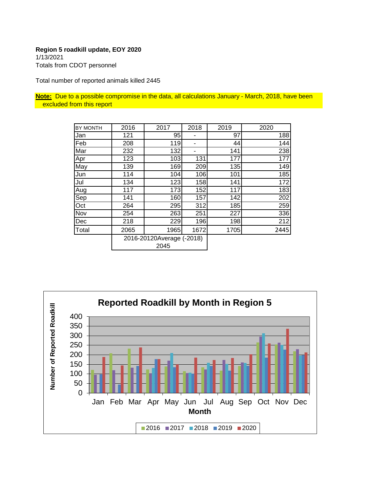1/13/2021 Totals from CDOT personnel

Total number of reported animals killed 2445

**Note:** Due to a possible compromise in the data, all calculations January - March, 2018, have been excluded from this report

| BY MONTH | 2016                              | 2017 | 2018 | 2019 | 2020 |
|----------|-----------------------------------|------|------|------|------|
| Jan      | 121                               | 95   |      | 97   | 188  |
| Feb      | 208                               | 119  |      | 44   | 144  |
| Mar      | 232                               | 132  |      | 141  | 238  |
| Apr      | 123                               | 103  | 131  | 177  | 177  |
| May      | 139                               | 169  | 209  | 135  | 149  |
| Jun      | 114                               | 104  | 106  | 101  | 185  |
| Jul      | 134                               | 123  | 158  | 141  | 172  |
| Aug      | 117                               | 173  | 152  | 117  | 183  |
| Sep      | 141                               | 160  | 157  | 142  | 202  |
| Oct      | 264                               | 295  | 312  | 185  | 259  |
| Nov      | 254                               | 263  | 251  | 227  | 336  |
| Dec      | 218                               | 229  | 196  | 198  | 212  |
| Total    | 2065                              | 1965 | 1672 | 1705 | 2445 |
|          | 2016-20120Average (-2018)<br>2045 |      |      |      |      |

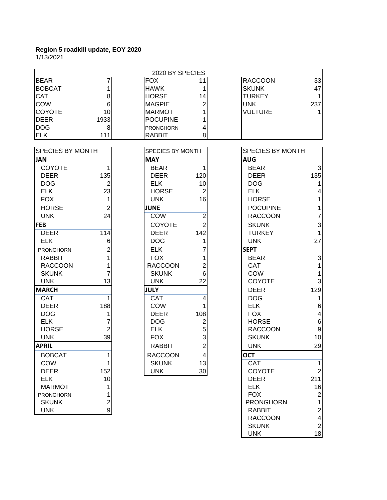1/13/2021

|                         | 2020 BY SPECIES |                  |                 |                  |                         |  |  |
|-------------------------|-----------------|------------------|-----------------|------------------|-------------------------|--|--|
| <b>BEAR</b>             |                 | <b>FOX</b>       | 11              | <b>RACCOON</b>   | 33                      |  |  |
| <b>BOBCAT</b>           |                 | <b>HAWK</b>      | 1               | <b>SKUNK</b>     | 47                      |  |  |
| <b>CAT</b>              | 8               | <b>HORSE</b>     | 14              | <b>TURKEY</b>    | 1                       |  |  |
| <b>COW</b>              | 6               | <b>MAGPIE</b>    | 2               | <b>UNK</b>       | 237                     |  |  |
| <b>COYOTE</b>           | 10              | <b>MARMOT</b>    | 1               | <b>VULTURE</b>   |                         |  |  |
| <b>DEER</b>             | 1933            | <b>POCUPINE</b>  | 1               |                  |                         |  |  |
| <b>DOG</b>              | 8               | PRONGHORN        | 4               |                  |                         |  |  |
| <b>ELK</b>              | 111             | <b>RABBIT</b>    | 8               |                  |                         |  |  |
| <b>SPECIES BY MONTH</b> |                 | SPECIES BY MONTH |                 | SPECIES BY MONTH |                         |  |  |
| <b>JAN</b>              |                 | <b>MAY</b>       |                 | <b>AUG</b>       |                         |  |  |
| <b>COYOTE</b>           | 1               | <b>BEAR</b>      | 1               | <b>BEAR</b>      | 3                       |  |  |
| <b>DEER</b>             | 135             | <b>DEER</b>      | 120             | <b>DEER</b>      | 135                     |  |  |
| <b>DOG</b>              | 2               | <b>ELK</b>       | 10              | <b>DOG</b>       | 1                       |  |  |
| <b>ELK</b>              | 23              | <b>HORSE</b>     | 2               | <b>ELK</b>       | 4                       |  |  |
| <b>FOX</b>              | 1               | <b>UNK</b>       | 16              | <b>HORSE</b>     | 1                       |  |  |
| <b>HORSE</b>            | $\overline{2}$  | <b>JUNE</b>      |                 | <b>POCUPINE</b>  | 1                       |  |  |
| <b>UNK</b>              | 24              | <b>COW</b>       | $\overline{2}$  | <b>RACCOON</b>   | 7                       |  |  |
| <b>FEB</b>              |                 | COYOTE           | $\overline{2}$  | <b>SKUNK</b>     | 3                       |  |  |
| <b>DEER</b>             | 114             | <b>DEER</b>      | 142             | <b>TURKEY</b>    |                         |  |  |
| <b>ELK</b>              | 6               | <b>DOG</b>       | 1               | <b>UNK</b>       | 27                      |  |  |
| <b>PRONGHORN</b>        | $\overline{c}$  | <b>ELK</b>       | 7               | <b>SEPT</b>      |                         |  |  |
| <b>RABBIT</b>           |                 | <b>FOX</b>       | 1               | <b>BEAR</b>      | $\overline{3}$          |  |  |
| <b>RACCOON</b>          |                 | <b>RACCOON</b>   | $\overline{c}$  | <b>CAT</b>       | 1                       |  |  |
| <b>SKUNK</b>            | 7               | <b>SKUNK</b>     | $6\phantom{1}6$ | <b>COW</b>       |                         |  |  |
| <b>UNK</b>              | 13              | <b>UNK</b>       | 22              | <b>COYOTE</b>    | 3                       |  |  |
| <b>MARCH</b>            |                 | <b>JULY</b>      |                 | <b>DEER</b>      | 129                     |  |  |
| <b>CAT</b>              | 1               | <b>CAT</b>       | 4               | <b>DOG</b>       | 1                       |  |  |
| <b>DEER</b>             | 188             | COW              | 1               | <b>ELK</b>       | 6                       |  |  |
| <b>DOG</b>              | 1               | <b>DEER</b>      | 108             | <b>FOX</b>       | 4                       |  |  |
| <b>ELK</b>              | 7               | <b>DOG</b>       | $\overline{c}$  | <b>HORSE</b>     | 6                       |  |  |
| <b>HORSE</b>            | $\overline{2}$  | <b>ELK</b>       | 5               | <b>RACCOON</b>   | $\boldsymbol{9}$        |  |  |
| <b>UNK</b>              | 39              | <b>FOX</b>       | 3               | <b>SKUNK</b>     | 10                      |  |  |
| <b>APRIL</b>            |                 | <b>RABBIT</b>    | $\overline{2}$  | <b>UNK</b>       | 29                      |  |  |
| <b>BOBCAT</b>           |                 | <b>RACCOON</b>   | $\overline{4}$  | <b>OCT</b>       |                         |  |  |
| <b>COW</b>              |                 | <b>SKUNK</b>     | 13              | <b>CAT</b>       |                         |  |  |
| <b>DEER</b>             | 152             | <b>UNK</b>       | 30              | COYOTE           | 2                       |  |  |
| <b>ELK</b>              | 10              |                  |                 | <b>DEER</b>      | 211                     |  |  |
| <b>MARMOT</b>           |                 |                  |                 | <b>ELK</b>       | 16                      |  |  |
| PRONGHORN               |                 |                  |                 | <b>FOX</b>       | 2                       |  |  |
| <b>SKUNK</b>            | $\mathbf 2$     |                  |                 | <b>PRONGHORN</b> | 1                       |  |  |
| <b>UNK</b>              | 9               |                  |                 | <b>RABBIT</b>    | $\overline{\mathbf{c}}$ |  |  |
|                         |                 |                  |                 | <b>RACCOON</b>   | $\overline{\mathbf{4}}$ |  |  |
|                         |                 |                  |                 | <b>SKUNK</b>     | $\overline{2}$          |  |  |
|                         |                 |                  |                 | <b>UNK</b>       | 18                      |  |  |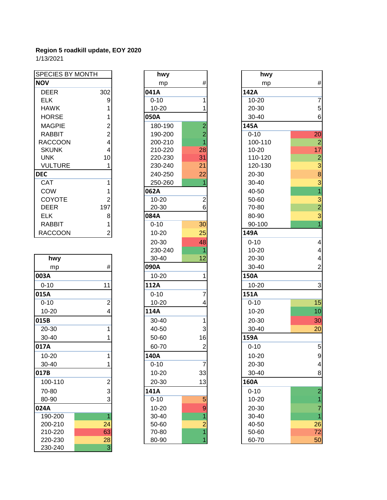| <b>SPECIES BY MONTH</b> |     | hwy       |                 | hwy       |            |
|-------------------------|-----|-----------|-----------------|-----------|------------|
| <b>NOV</b>              |     | mp        | #               | mp        | #          |
| <b>DEER</b>             | 302 | 041A      |                 | 142A      |            |
| <b>ELK</b>              | 9   | $0 - 10$  |                 | $10 - 20$ | 7          |
| <b>HAWK</b>             |     | $10 - 20$ |                 | 20-30     | 5          |
| <b>HORSE</b>            |     | 050A      |                 | $30 - 40$ | $\epsilon$ |
| <b>MAGPIE</b>           | 2   | 180-190   | 2               | 145A      |            |
| <b>RABBIT</b>           | 2   | 190-200   | 2               | $0 - 10$  | 20         |
| <b>RACCOON</b>          | 4   | 200-210   |                 | 100-110   | 2          |
| <b>SKUNK</b>            | 4   | 210-220   | 28              | $10 - 20$ | 17         |
| <b>UNK</b>              | 10  | 220-230   | 31              | 110-120   | 2          |
| <b>VULTURE</b>          |     | 230-240   | 21              | 120-130   | 3          |
| <b>DEC</b>              |     | 240-250   | 22              | 20-30     | S          |
| <b>CAT</b>              |     | 250-260   |                 | $30 - 40$ | e          |
| <b>COW</b>              |     | 062A      |                 | 40-50     |            |
| <b>COYOTE</b>           |     | $10 - 20$ | $\overline{2}$  | 50-60     | G          |
| <b>DEER</b>             | 197 | 20-30     | 6               | 70-80     | 2          |
| <b>ELK</b>              | 8   | 084A      |                 | 80-90     | 3          |
| <b>RABBIT</b>           |     | $0 - 10$  | 30 <sup>°</sup> | 90-100    |            |
| <b>RACCOON</b>          | 2   | $10 - 20$ | 25              | 149A      |            |

| hwy       |                           |      | 30-40    | 12             | $20 -$  |
|-----------|---------------------------|------|----------|----------------|---------|
| mp        | $\#$                      | 090A |          |                | $30-$   |
| 003A      |                           |      | 10-20    | 1              | 150A    |
| $0 - 10$  | 11                        | 112A |          |                | $10-$   |
| 015A      |                           |      | $0 - 10$ | 7              | 151A    |
| $0 - 10$  | $\overline{2}$            |      | 10-20    | 4              | $0 - 1$ |
| $10 - 20$ | 4                         | 114A |          |                | $10-$   |
| 015B      |                           |      | 30-40    | 1              | $20 -$  |
| 20-30     |                           |      | 40-50    | 3              | $30-$   |
| 30-40     |                           |      | 50-60    | 16             | 159A    |
| 017A      |                           |      | 60-70    | $\overline{2}$ | $0 - 1$ |
| $10 - 20$ |                           | 140A |          |                | $10-$   |
| 30-40     |                           |      | $0 - 10$ | $\overline{7}$ | $20 -$  |
| 017B      |                           |      | 10-20    | 33             | $30-$   |
| 100-110   | $\overline{2}$            |      | 20-30    | 13             | 160A    |
| 70-80     | 3                         | 141A |          |                | $0 - 1$ |
| 80-90     | 3                         |      | $0 - 10$ | 5              | $10-$   |
| 024A      |                           |      | 10-20    | 9              | $20 -$  |
| 190-200   | 1                         |      | 30-40    |                | $30 -$  |
| 200-210   | 24                        |      | 50-60    | $\overline{2}$ | 40-     |
| 210-220   | 63                        |      | 70-80    |                | $50-$   |
| 220-230   | 28                        |      | 80-90    |                | 60-     |
| 230-240   | $\ensuremath{\mathsf{3}}$ |      |          |                |         |

| <b>SPECIES BY MONTH</b> |                | hwy       |                |                 |
|-------------------------|----------------|-----------|----------------|-----------------|
| VOI                     |                | mp        | #              |                 |
| <b>DEER</b>             | 302            | 041A      |                | 142A            |
| <b>ELK</b>              | 9              | $0 - 10$  | 1              | $10-$           |
| <b>HAWK</b>             | 1              | $10 - 20$ | 1              | $20 -$          |
| <b>HORSE</b>            | 1              | 050A      |                | $30-$           |
| <b>MAGPIE</b>           | 2              | 180-190   | $\overline{2}$ | 145A            |
| <b>RABBIT</b>           | $\overline{2}$ | 190-200   | $\overline{2}$ | $0 - 1$         |
| <b>RACCOON</b>          | 4              | 200-210   | 1              | 10 <sub>C</sub> |
| <b>SKUNK</b>            | 4              | 210-220   | 28             | $10-$           |
| <b>UNK</b>              | 10             | 220-230   | 31             | 110             |
| <b>VULTURE</b>          | 1              | 230-240   | 21             | 120             |
| ŒС                      |                | 240-250   | 22             | -20             |
| <b>CAT</b>              | 1              | 250-260   | 1              | $30-$           |
| COW                     | 1              | 062A      |                | 40-             |
| <b>COYOTE</b>           | $\overline{2}$ | $10 - 20$ | $\overline{2}$ | $50-$           |
| <b>DEER</b>             | 197            | 20-30     | 6              | $70-$           |
| <b>ELK</b>              | 8              | 084A      |                | 80-             |
| <b>RABBIT</b>           | 1              | $0 - 10$  | 30             | $90 -$          |
| <b>RACCOON</b>          | $\overline{2}$ | 10-20     | 25             | 149A            |
|                         |                | 20-30     | 48             | $0 - 1$         |
|                         |                | 230-240   | 1              | $10-$           |
| hwy                     |                | 30-40     | 12             | $20 -$          |
| mp                      | #              | 090A      |                | $30-$           |
| 03A                     |                | $10 - 20$ | 1              | 150A            |
| $0 - 10$                | 11             | 112A      |                | $10-$           |
| 15A                     |                | $0 - 10$  | 7              | 151A            |
| $0 - 10$                | $\overline{2}$ | 10-20     | 4              | $0 - 1$         |
| $10 - 20$               | 4              | 114A      |                | $10-$           |
| 15B                     |                | 30-40     | 1              | $20 -$          |
| 20-30                   | 1              | 40-50     | 3              | $30-$           |
| 30-40                   | 1              | 50-60     | 16             | 159A            |
| 17A                     |                | 60-70     | $\overline{2}$ | $0 - 1$         |
| 10-20                   | 1              | 140A      |                | $10-$           |
| 30-40                   | 1              | $0 - 10$  | 7              | $20 -$          |
| 17B                     |                | 10-20     | 33             | $30-$           |
| 100-110                 | $\overline{2}$ | 20-30     | 13             | 160A            |
| 70-80                   | 3              | 141A      |                | $0 - 1$         |
| 80-90                   | 3              | $0 - 10$  | 5              | $10-$           |
| 24A                     |                | 10-20     | 9              | $20 -$          |
| 190-200                 | $\overline{1}$ | 30-40     | 1              | $30-$           |
| 200-210                 | 24             | 50-60     | $\overline{2}$ | 40-             |
| 210-220                 | 63             | 70-80     | 1              | 50-             |
| 220-230                 | 28             | 80-90     | 1              | 60-             |

| <b>SPECIES BY MONTH</b> |                         | hwy       |                         | hwy       |                         |
|-------------------------|-------------------------|-----------|-------------------------|-----------|-------------------------|
| <b>NOV</b>              |                         | mp        | $\#$                    | mp        | $\#$                    |
| <b>DEER</b>             | 302                     | 041A      |                         | 142A      |                         |
| <b>ELK</b>              | 9                       | $0 - 10$  | 1                       | 10-20     | $\overline{7}$          |
| <b>HAWK</b>             | 1                       | 10-20     |                         | 20-30     | $\sqrt{5}$              |
| <b>HORSE</b>            |                         | 050A      |                         | 30-40     | $\,6$                   |
| <b>MAGPIE</b>           | 2                       | 180-190   | $\overline{c}$          | 145A      |                         |
| <b>RABBIT</b>           | $\overline{2}$          | 190-200   | $\overline{c}$          | $0 - 10$  | 20                      |
| <b>RACCOON</b>          | $\overline{\mathbf{4}}$ | 200-210   |                         | 100-110   | $\overline{2}$          |
| <b>SKUNK</b>            | 4                       | 210-220   | 28                      | 10-20     | 17                      |
| <b>UNK</b>              | 10                      | 220-230   | 31                      | 110-120   | $\overline{\mathbf{c}}$ |
| <b>VULTURE</b>          |                         | 230-240   | 21                      | 120-130   | 3                       |
| <b>DEC</b>              |                         | 240-250   | 22                      | 20-30     | $\bf8$                  |
| CAT                     |                         | 250-260   |                         | 30-40     | 3                       |
| COW                     | 1                       | 062A      |                         | 40-50     | $\overline{1}$          |
| COYOTE                  | 2                       | $10 - 20$ | $\overline{\mathbf{c}}$ | 50-60     | 3                       |
| <b>DEER</b>             | 197                     | 20-30     | 6                       | 70-80     | $\overline{2}$          |
| <b>ELK</b>              | 8                       | 084A      |                         | 80-90     | 3                       |
| <b>RABBIT</b>           | 1                       | $0 - 10$  | 30                      | 90-100    | $\overline{1}$          |
| <b>RACCOON</b>          | $\overline{a}$          | $10 - 20$ | 25                      | 149A      |                         |
|                         |                         | 20-30     | 48                      | $0 - 10$  | $\overline{\mathbf{4}}$ |
|                         |                         | 230-240   |                         | $10 - 20$ | 4                       |
| hwy                     |                         | 30-40     | 12                      | 20-30     | $\overline{\mathbf{4}}$ |
| mp                      | $\#$                    | 090A      |                         | 30-40     | $\overline{2}$          |
| 003A                    |                         | $10 - 20$ | 1                       | 150A      |                         |
| $0 - 10$                | 11                      | 112A      |                         | 10-20     | $\mathsf 3$             |
| 015A                    |                         | $0 - 10$  | 7                       | 151A      |                         |
| $0 - 10$                | $\overline{2}$          | $10 - 20$ |                         | $0 - 10$  | 15                      |
| $10 - 20$               | 4                       | 114A      |                         | $10 - 20$ | 10                      |
| 015B                    |                         | 30-40     | 1                       | 20-30     | 30                      |
| 20-30                   | 1                       | 40-50     | 3                       | $30 - 40$ | 20                      |
| 30-40                   |                         | 50-60     | 16                      | 159A      |                         |
| 017A                    |                         | 60-70     | $\overline{\mathbf{c}}$ | $0 - 10$  | $\sqrt{5}$              |
| $10 - 20$               | 1                       | 140A      |                         | 10-20     | $\boldsymbol{9}$        |
| 30-40                   |                         | $0 - 10$  | $\overline{7}$          | 20-30     | $\overline{\mathbf{4}}$ |
| 017B                    |                         | $10 - 20$ | 33                      | 30-40     | 8                       |
| 100-110                 | $\overline{\mathbf{c}}$ | 20-30     | 13                      | 160A      |                         |
| 70-80                   | 3                       | 141A      |                         | $0 - 10$  | $\overline{a}$          |
| 80-90                   | 3                       | $0 - 10$  | 5                       | 10-20     |                         |
| 024A                    |                         | 10-20     | 9                       | 20-30     | 7                       |
| 190-200                 | 1                       | 30-40     |                         | 30-40     | 1                       |
| 200-210                 | 24                      | 50-60     | $\overline{c}$          | 40-50     | 26                      |
| 210-220                 | 63                      | 70-80     |                         | 50-60     | 72                      |
| 220-230                 | 28                      | 80-90     | 1                       | 60-70     | 50                      |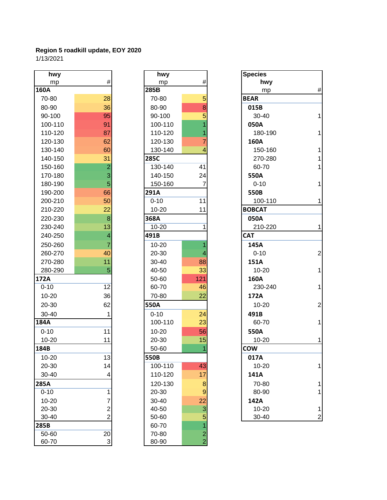| hwy      |                         |          | hwy       |                | <b>Species</b> |
|----------|-------------------------|----------|-----------|----------------|----------------|
| mp       | $\#$                    |          | mp        | $\#$           | h٧             |
| 160A     |                         | 285B     |           |                | m              |
| 70-80    | 28                      |          | 70-80     | 5              | <b>BEAR</b>    |
| 80-90    | 36                      |          | 80-90     | 8              | 015B           |
| 90-100   | 95                      |          | 90-100    | 5              | $30 - 4$       |
| 100-110  | 91                      |          | 100-110   | 1              | 050A           |
| 110-120  | 87                      |          | 110-120   | 1              | $180 -$        |
| 120-130  | 62                      |          | 120-130   | $\overline{7}$ | 160A           |
| 130-140  | 60                      |          | 130-140   | 4              | $150 -$        |
| 140-150  | 31                      | 285C     |           |                | $270 -$        |
| 150-160  | $\overline{2}$          |          | 130-140   | 41             | 60-7           |
| 170-180  | 3                       |          | 140-150   | 24             | 550A           |
| 180-190  | 5                       |          | 150-160   | $\overline{7}$ | $0 - 10$       |
| 190-200  | 66                      | 291A     |           |                | 550B           |
| 200-210  | 50                      | $0 - 10$ |           | 11             | $100 -$        |
| 210-220  | 22                      |          | 10-20     | 11             | <b>BOBCAT</b>  |
| 220-230  | 8                       | 368A     |           |                | 050A           |
| 230-240  | 13                      |          | 10-20     | 1              | $210 -$        |
| 240-250  | $\overline{\mathbf{4}}$ | 491B     |           |                | <b>CAT</b>     |
| 250-260  | $\overline{7}$          |          | $10 - 20$ | 1              | 145A           |
| 260-270  | 40                      |          | 20-30     | 4              | $0 - 10$       |
| 270-280  | 11                      |          | 30-40     | 88             | 151A           |
| 280-290  | 5                       |          | 40-50     | 33             | $10 - 2$       |
| 172A     |                         |          | 50-60     | 121            | 160A           |
| $0 - 10$ | 12                      |          | 60-70     | 46             | $230 -$        |
| 10-20    | 36                      |          | 70-80     | 22             | 172A           |
| 20-30    | 62                      | 550A     |           |                | $10 - 2$       |
| 30-40    | 1                       | $0 - 10$ |           | 24             | 491B           |
| 184A     |                         |          | 100-110   | 23             | 60-7           |
| $0 - 10$ | 11                      |          | 10-20     | 56             | 550A           |
| 10-20    | 11                      |          | 20-30     | 15             | $10 - 2$       |
| 184B     |                         |          | 50-60     | 1              | <b>COW</b>     |
| 10-20    | 13                      | 550B     |           |                | 017A           |
| 20-30    | 14                      |          | 100-110   | 43             | $10 - 2$       |
| 30-40    | 4                       |          | 110-120   | 17             | 141A           |
| 285A     |                         |          | 120-130   | 8              | $70 - 8$       |
| $0 - 10$ | 1                       |          | 20-30     | 9              | 80-9           |
| 10-20    | 7                       |          | $30 - 40$ | 22             | 142A           |
| 20-30    | $\overline{2}$          |          | 40-50     | 3              | $10 - 2$       |
| 30-40    | $\overline{2}$          |          | 50-60     | 5              | $30 - 4$       |
| 285B     |                         |          | 60-70     | 1              |                |
| 50-60    | 20                      |          | 70-80     | $\overline{c}$ |                |
| 60-70    | 3                       |          | 80-90     | $\overline{2}$ |                |

| hwy            |                         | hwy       |                | <b>Species</b> |
|----------------|-------------------------|-----------|----------------|----------------|
| mp             | #                       | mp        | #              | hwy            |
|                |                         | 285B      |                | mp             |
| -80            | 28                      | 70-80     | 5              | <b>BEAR</b>    |
| -90            | 36                      | 80-90     | 8              | 015B           |
| $-100$         | 95                      | 90-100    | 5              | $30 - 40$      |
| $0 - 110$      | 91                      | 100-110   | 1              | 050A           |
| 0-120          | 87                      | 110-120   | 1              | 180-19         |
| 0-130          | 62                      | 120-130   | 7              | 160A           |
| $0 - 140$      | 60                      | 130-140   | 4              | 150-16         |
| 0-150          | 31                      | 285C      |                | 270-28         |
| 0-160          | $\overline{2}$          | 130-140   | 41             | 60-70          |
| $0 - 180$      | 3                       | 140-150   | 24             | 550A           |
| $0 - 190$      | 5                       | 150-160   | 7              | $0 - 10$       |
| 0-200          | 66                      | 291A      |                | 550B           |
| 0-210          | 50                      | $0 - 10$  | 11             | 100-11         |
| 0-220          | 22                      | 10-20     | 11             | <b>BOBCAT</b>  |
| 0-230          | 8                       | 368A      |                | 050A           |
| 0-240          | 13                      | 10-20     | 1              | 210-22         |
| 0-250          | $\overline{\mathbf{4}}$ | 491B      |                | <b>CAT</b>     |
| 0-260          | 7                       | 10-20     | 1              | 145A           |
| 0-270          | 40                      | 20-30     | 4              | $0 - 10$       |
| 0-280          | 11                      | 30-40     | 88             | 151A           |
| 0-290          | 5                       | 40-50     | 33             | $10 - 20$      |
| V              |                         | 50-60     | 121            | 160A           |
| $\overline{0}$ | 12                      | 60-70     | 46             | 230-24         |
| -20            | 36                      | 70-80     | 22             | 172A           |
| $-30$          | 62                      | 550A      |                | $10 - 20$      |
| -40            | 1                       | $0 - 10$  | 24             | 491B           |
| Í.             |                         | 100-110   | 23             | 60-70          |
| $\overline{0}$ | 11                      | $10 - 20$ | 56             | 550A           |
| $-20$          | 11                      | 20-30     | 15             | $10 - 20$      |
| Š              |                         | 50-60     | $\mathbf{1}$   | <b>COW</b>     |
| -20            | 13                      | 550B      |                | 017A           |
| $-30$          | 14                      | 100-110   | 43             | $10 - 20$      |
| $-40$          | 4                       | 110-120   | 17             | 141A           |
| V              |                         | 120-130   | 8              | 70-80          |
| $\overline{0}$ | 1                       | 20-30     | $9$            | 80-90          |
| $-20$          | 7                       | 30-40     | 22             | 142A           |
| -30            | 2                       | 40-50     | 3              | 10-20          |
| -40            | $\overline{2}$          | 50-60     | 5              | 30-40          |
|                |                         | 60-70     | $\overline{1}$ |                |
| -60            | 20                      | 70-80     | $\overline{c}$ |                |
| $-70$          | 3                       | 80-90     | $\overline{2}$ |                |

| hwy       |                         | hwy       |                |
|-----------|-------------------------|-----------|----------------|
| mp        | $\#$                    | mp        | #              |
| 160A      |                         | 285B      |                |
| 70-80     | 28                      | 70-80     | 5              |
| 80-90     | 36                      | 80-90     | 8              |
| 90-100    | 95                      | 90-100    | 5              |
| 100-110   | 91                      | 100-110   |                |
| 110-120   | 87                      | 110-120   |                |
| 120-130   | 62                      | 120-130   | 7              |
| 130-140   | 60                      | 130-140   | 4              |
| 140-150   | 31                      | 285C      |                |
| 150-160   | $\overline{a}$          | 130-140   | 41             |
| 170-180   | 3                       | 140-150   | 24             |
| 180-190   | 5                       | 150-160   | $\overline{7}$ |
| 190-200   | 66                      | 291A      |                |
|           | 50                      | $0 - 10$  | 11             |
| 200-210   |                         |           |                |
| 210-220   | 22                      | $10 - 20$ | 11             |
| 220-230   | $\,8\,$                 | 368A      |                |
| 230-240   | 13                      | $10 - 20$ | 1              |
| 240-250   | $\overline{4}$          | 491B      |                |
| 250-260   | 7                       | $10 - 20$ |                |
| 260-270   | 40                      | 20-30     |                |
| 270-280   | 11                      | 30-40     | 88             |
| 280-290   | 5                       | 40-50     | 33             |
| 172A      |                         | 50-60     | 121            |
| $0 - 10$  | 12                      | 60-70     | 46             |
| 10-20     | 36                      | 70-80     | 22             |
| 20-30     | 62                      | 550A      |                |
| 30-40     | 1                       | $0 - 10$  | 24             |
| 184A      |                         | 100-110   | 23             |
| $0 - 10$  | 11                      | $10 - 20$ | 56             |
| $10 - 20$ | 11                      | 20-30     | 15             |
| 184B      |                         | 50-60     | $\overline{1}$ |
| $10 - 20$ | 13                      | 550B      |                |
| 20-30     | 14                      | 100-110   | 43             |
| 30-40     | 4                       | 110-120   | 17             |
|           |                         |           |                |
| 285A      |                         | 120-130   | $\bf8$         |
| $0 - 10$  | 1                       | 20-30     | $\overline{9}$ |
| $10 - 20$ | 7                       | 30-40     | 22             |
| 20-30     | $\overline{\mathbf{c}}$ | 40-50     | $\mathbf{3}$   |
| 30-40     | $\overline{2}$          | 50-60     | 5              |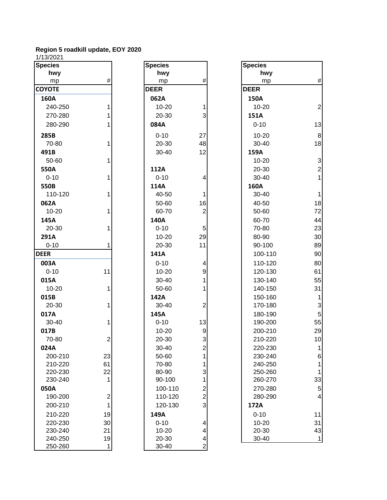| <b>Species</b> |                | <b>Species</b> |                         |
|----------------|----------------|----------------|-------------------------|
| hwy            |                | hwy            |                         |
| mp             | #              | mp             | #                       |
| <b>COYOTE</b>  |                | <b>DEER</b>    |                         |
| 160A           |                | 062A           |                         |
| 240-250        | 1              | 10-20          | 1                       |
| 270-280        | 1              | 20-30          | 3                       |
| 280-290        | 1              | 084A           |                         |
| 285B           |                | $0 - 10$       | 27                      |
| 70-80          | 1              | 20-30          | 48                      |
| 491B           |                | 30-40          | 12                      |
| 50-60          | 1              |                |                         |
| 550A           |                | 112A           |                         |
| $0 - 10$       | 1              | $0 - 10$       | 4                       |
| 550B           |                | 114A           |                         |
| 110-120        | 1              | 40-50          | $\overline{1}$          |
| 062A           |                | 50-60          | 16                      |
| 10-20          | 1              | 60-70          | $\overline{a}$          |
| 145A           |                | 140A           |                         |
| 20-30          | 1              | $0 - 10$       | 5                       |
| 291A           |                | $10 - 20$      | 29                      |
| $0 - 10$       | 1              | 20-30          | 11                      |
| <b>DEER</b>    |                | 141A           |                         |
| 003A           |                | $0 - 10$       | 4                       |
| $0 - 10$       | 11             | $10 - 20$      | 9                       |
| 015A           |                | 30-40          | 1                       |
| 10-20          | 1              | 50-60          | $\overline{1}$          |
| 015B           |                | 142A           |                         |
| 20-30          | 1              | 30-40          | $\overline{2}$          |
| 017A           |                | 145A           |                         |
| 30-40          | 1              | $0 - 10$       | 13                      |
| 017B           |                | 10-20          | 9                       |
| 70-80          | $\overline{2}$ | 20-30          | 3                       |
| 024A           |                | 30-40          | $\overline{c}$          |
| 200-210        | 23             | 50-60          | 1                       |
| 210-220        | 61             | 70-80          | 1                       |
| 220-230        | 22             | 80-90          | 3                       |
| 230-240        | 1              | 90-100         | 1                       |
| 050A           |                | 100-110        | $\overline{\mathbf{c}}$ |
| 190-200        | $\overline{c}$ | 110-120        | $\overline{c}$          |
| 200-210        | 1              | 120-130        | 3                       |
| 210-220        | 19             | 149A           |                         |
| 220-230        | 30             | $0 - 10$       | 4                       |
| 230-240        | 21             | 10-20          | 4                       |
| 240-250        | 19             | 20-30          | 4                       |
| 250-260        | 1              | 30-40          | $\overline{c}$          |

| $11.00 - 0 - 1$     |                         |                   |                         |                   |                         |
|---------------------|-------------------------|-------------------|-------------------------|-------------------|-------------------------|
| <b>Species</b>      |                         | <b>Species</b>    |                         | <b>Species</b>    |                         |
| hwy                 | #                       | hwy               | #                       | hwy               | $\sharp$                |
| mp<br><b>COYOTE</b> |                         | mp<br><b>DEER</b> |                         | mp<br><b>DEER</b> |                         |
|                     |                         |                   |                         |                   |                         |
| 160A                |                         | 062A              |                         | 150A              |                         |
| 240-250             | $\mathbf{1}$            | $10 - 20$         | 1                       | $10 - 20$         | 2                       |
| 270-280             | 1                       | 20-30             | 3                       | 151A              |                         |
| 280-290             | 1                       | 084A              |                         | $0 - 10$          | 13                      |
| 285B                |                         | $0 - 10$          | 27                      | $10 - 20$         | 8                       |
| 70-80               | 1                       | 20-30             | 48                      | 30-40             | 18                      |
| 491B                |                         | 30-40             | 12                      | 159A              |                         |
| 50-60               | $\mathbf{1}$            |                   |                         | $10 - 20$         | $\mathbf{G}$            |
| 550A                |                         | 112A              |                         | 20-30             | $\tilde{z}$             |
| $0 - 10$            | 1                       | $0 - 10$          | 4                       | 30-40             | $\overline{\mathbf{1}}$ |
| 550B                |                         | 114A              |                         | 160A              |                         |
| 110-120             | 1                       | 40-50             | 1                       | 30-40             | 1                       |
| 062A                |                         | 50-60             | 16                      | 40-50             | 18                      |
| 10-20               | 1                       | 60-70             | $\overline{c}$          | 50-60             | 72                      |
| 145A                |                         | 140A              |                         | 60-70             | 44                      |
| 20-30               | 1                       | $0 - 10$          | 5                       | 70-80             | 23                      |
| 291A                |                         | $10 - 20$         | 29                      | 80-90             | 3 <sub>C</sub>          |
| $0 - 10$            | 1                       | 20-30             | 11                      | 90-100            | <b>89</b>               |
| <b>DEER</b>         |                         | 141A              |                         | 100-110           | 90                      |
| 003A                |                         | $0 - 10$          | 4                       | 110-120           | 8C                      |
| $0 - 10$            | 11                      | 10-20             | 9                       | 120-130           | 61                      |
| 015A                |                         | 30-40             | 1                       | 130-140           | 55                      |
| 10-20               | 1                       | 50-60             | 1                       | 140-150           | 31                      |
| 015B                |                         | 142A              |                         | 150-160           | 1                       |
| 20-30               | 1                       | 30-40             | $\overline{\mathbf{c}}$ | 170-180           | $\mathbf{G}$            |
| 017A                |                         | 145A              |                         | 180-190           | 5                       |
| 30-40               | 1                       | $0 - 10$          | 13                      | 190-200           | 55                      |
| 017B                |                         | $10 - 20$         | $\boldsymbol{9}$        | 200-210           | 29                      |
| 70-80               | $\overline{2}$          | 20-30             | $\overline{3}$          | 210-220           | 1 <sub>C</sub>          |
| 024A                |                         | 30-40             | $\overline{\mathbf{c}}$ | 220-230           | 1                       |
| 200-210             | 23                      | 50-60             | 1                       | 230-240           | $\epsilon$              |
| 210-220             | 61                      | 70-80             | 1                       | 240-250           | 1                       |
| 220-230             | 22                      | 80-90             | 3                       | 250-260           | 1                       |
| 230-240             | 1                       | 90-100            | 1                       | 260-270           | 33                      |
| 050A                |                         | 100-110           | $\overline{\mathbf{c}}$ | 270-280           | 5                       |
| 190-200             | $\overline{\mathbf{c}}$ | 110-120           | $\overline{c}$          | 280-290           | 4                       |
| 200-210             | $\mathbf{1}$            | 120-130           | 3                       | 172A              |                         |
| 210-220             | 19                      | 149A              |                         | $0 - 10$          | 11                      |
| 220-230             | 30                      | $0 - 10$          | 4                       | $10 - 20$         | 31                      |
| 230-240             | 21                      | 10-20             | 4                       | 20-30             | 43                      |
| 240-250             | 19                      | 20-30             | $\overline{\mathbf{4}}$ | 30-40             | 1                       |
| 250-260             | $\mathbf{1}$            | 30-40             | $\overline{c}$          |                   |                         |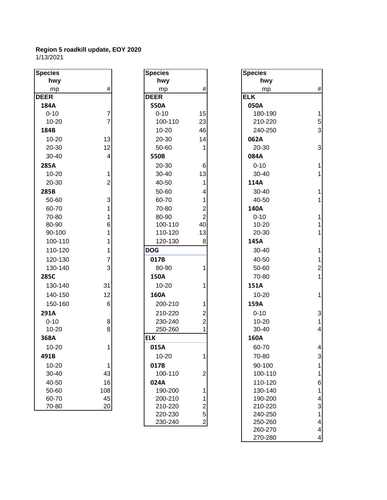| <b>Species</b> |                | <b>Species</b> |                | <b>Species</b> |
|----------------|----------------|----------------|----------------|----------------|
| hwy            |                | hwy            |                | h١             |
| mp             | $\#$           | mp             | #              | m              |
| <b>DEER</b>    |                | <b>DEER</b>    |                | <b>ELK</b>     |
| 184A           |                | 550A           |                | 050A           |
| $0 - 10$       | $\overline{7}$ | $0 - 10$       | 15             | $180 -$        |
| 10-20          | $\overline{7}$ | 100-110        | 23             | $210 -$        |
| 184B           |                | 10-20          | 46             | 240-           |
| 10-20          | 13             | 20-30          | 14             | 062A           |
| 20-30          | 12             | 50-60          | 1              | $20 - 3$       |
| 30-40          | $\overline{4}$ | 550B           |                | 084A           |
| 285A           |                | 20-30          | 6              | $0 - 10$       |
| 10-20          | $\mathbf{1}$   | 30-40          | 13             | $30 - 4$       |
| 20-30          | $\overline{c}$ | 40-50          | 1              | 114A           |
| 285B           |                | 50-60          | 4              | $30 - 4$       |
| 50-60          | 3              | 60-70          | 1              | $40 - 5$       |
| 60-70          | 1              | 70-80          | $\overline{c}$ | 140A           |
| 70-80          | 1              | 80-90          | $\overline{2}$ | $0 - 10$       |
| 80-90          | 6              | 100-110        | 40             | $10 - 2$       |
| 90-100         | 1              | 110-120        | 13             | $20 - 3$       |
| 100-110        | 1              | 120-130        | 8              | 145A           |
| 110-120        | 1              | <b>DOG</b>     |                | $30 - 4$       |
| 120-130        | $\overline{7}$ | 017B           |                | $40 - 5$       |
| 130-140        | 3              | 80-90          | 1              | $50 - 6$       |
| 285C           |                | 150A           |                | $70 - 8$       |
| 130-140        | 31             | 10-20          | 1              | 151A           |
| 140-150        | 12             | 160A           |                | $10 - 2$       |
| 150-160        | 6              | 200-210        | 1              | 159A           |
| 291A           |                | 210-220        | 2              | $0 - 10$       |
| $0 - 10$       | 8              | 230-240        | $\overline{2}$ | $10 - 2$       |
| $10 - 20$      | 8              | 250-260        | 1              | $30 - 4$       |
| 368A           |                | <b>ELK</b>     |                | 160A           |
| 10-20          | 1              | 015A           |                | $60 - 7$       |
| 491B           |                | 10-20          | 1              | $70-8$         |
| 10-20          | 1              | 017B           |                | $90 - 1$       |
| 30-40          | 43             | 100-110        | $\overline{2}$ | $100 -$        |
| 40-50          | 16             | 024A           |                | $110 -$        |
| 50-60          | 108            | 190-200        | 1              | 130-           |
| 60-70          | 45             | 200-210        | 1              | 190-           |
| 70-80          | 20             | 210-220        | $\overline{c}$ | $210 -$        |

| cies:    |                | <b>Species</b> |                         | <b>Species</b> |
|----------|----------------|----------------|-------------------------|----------------|
| hwy      |                | hwy            |                         | hwy            |
| mp       | #              | mp             | #                       | mp             |
| ΞR       |                | <b>DEER</b>    |                         | <b>ELK</b>     |
| 34A      |                | 550A           |                         | 050A           |
| $0 - 10$ | $\overline{7}$ | $0 - 10$       | 15                      | 180-19         |
| 10-20    | $\overline{7}$ | 100-110        | 23                      | 210-22         |
| 34B      |                | 10-20          | 46                      | 240-25         |
| 10-20    | 13             | 20-30          | 14                      | 062A           |
| 20-30    | 12             | 50-60          | 1                       | 20-30          |
| 30-40    | 4              | 550B           |                         | 084A           |
| 35A      |                | 20-30          | 6                       | $0 - 10$       |
| 10-20    | 1              | 30-40          | 13                      | 30-40          |
| 20-30    | $\overline{2}$ | 40-50          | 1                       | 114A           |
| 35B      |                | 50-60          | 4                       | 30-40          |
| 50-60    | 3              | 60-70          | 1                       | 40-50          |
| 60-70    | 1              | 70-80          | $\overline{c}$          | 140A           |
| 70-80    | 1              | 80-90          | $\overline{2}$          | $0 - 10$       |
| 80-90    | 6              | 100-110        | 40                      | $10 - 20$      |
| 90-100   | 1              | 110-120        | 13                      | 20-30          |
| 100-110  | 1              | 120-130        | 8                       | 145A           |
| 110-120  | 1              | <b>DOG</b>     |                         | 30-40          |
| 120-130  | $\overline{7}$ | 017B           |                         | 40-50          |
| 130-140  | 3              | 80-90          | 1                       | 50-60          |
| 35C      |                | 150A           |                         | 70-80          |
| 130-140  | 31             | 10-20          | 1                       | 151A           |
| 140-150  | 12             | 160A           |                         | $10 - 20$      |
| 150-160  | 6              | 200-210        | 1                       | 159A           |
| 91A      |                | 210-220        | $\overline{c}$          | $0 - 10$       |
| $0 - 10$ | 8              | 230-240        | $\overline{2}$          | $10 - 20$      |
| 10-20    | 8              | 250-260        | 1                       | 30-40          |
| 58A      |                | <b>ELK</b>     |                         | 160A           |
| 10-20    | 1              | 015A           |                         | 60-70          |
| 91 B     |                | 10-20          | 1                       | 70-80          |
| 10-20    | 1              | 017B           |                         | 90-100         |
| 30-40    | 43             | 100-110        | $\overline{2}$          | 100-11         |
| 40-50    | 16             | 024A           |                         | 110-12         |
| 50-60    | 108            | 190-200        | 1                       | 130-14         |
| 60-70    | 45             | 200-210        | 1                       | 190-20         |
| 70-80    | 20             | 210-220        | $\overline{2}$          | 210-22         |
|          |                | 220-230        | 5                       | 240-25         |
|          |                | 230-240        | $\overline{\mathbf{c}}$ | 250-26         |
|          |                |                |                         | 260-27         |

| pecies    |                         | <b>Species</b> |                         | <b>Species</b> |                         |
|-----------|-------------------------|----------------|-------------------------|----------------|-------------------------|
| hwy       |                         | hwy            |                         | hwy            |                         |
| mp        | $\#$                    | mp             | $\#$                    | mp             | $\#$                    |
| EER       |                         | <b>DEER</b>    |                         | <b>ELK</b>     |                         |
| 184A      |                         | 550A           |                         | 050A           |                         |
| $0 - 10$  | 7                       | $0 - 10$       | 15                      | 180-190        | $\mathbf{1}$            |
| 10-20     | $\overline{7}$          | 100-110        | 23                      | 210-220        | 5                       |
| 184B      |                         | 10-20          | 46                      | 240-250        | 3                       |
| 10-20     | 13                      | 20-30          | 14                      | 062A           |                         |
| 20-30     | 12                      | 50-60          | 1                       | 20-30          | 3                       |
| 30-40     | $\overline{\mathbf{4}}$ | 550B           |                         | 084A           |                         |
| 285A      |                         | 20-30          | 6                       | $0 - 10$       | $\mathbf{1}$            |
| $10 - 20$ | 1                       | 30-40          | 13                      | 30-40          | $\mathbf{1}$            |
| 20-30     | $\overline{2}$          | 40-50          | 1                       | 114A           |                         |
| 285B      |                         | 50-60          | 4                       | 30-40          | $\mathbf{1}$            |
| 50-60     | 3                       | 60-70          | 1                       | 40-50          | $\mathbf{1}$            |
| 60-70     | 1                       | 70-80          | $\overline{\mathbf{c}}$ | 140A           |                         |
| 70-80     | 1                       | 80-90          | $\overline{2}$          | $0 - 10$       | $\mathbf{1}$            |
| 80-90     | 6                       | 100-110        | 40                      | $10 - 20$      | $\mathbf{1}$            |
| 90-100    |                         | 110-120        | 13                      | 20-30          | $\mathbf{1}$            |
| 100-110   | 1                       | 120-130        | 8                       | 145A           |                         |
| 110-120   | 1                       | <b>DOG</b>     |                         | $30 - 40$      | $\mathbf{1}$            |
| 120-130   | 7                       | 017B           |                         | 40-50          | $\mathbf{1}$            |
| 130-140   | 3                       | 80-90          | 1                       | 50-60          | $\overline{2}$          |
| 285C      |                         | 150A           |                         | 70-80          | $\mathbf{1}$            |
| 130-140   | 31                      | 10-20          | 1                       | 151A           |                         |
| 140-150   | 12                      | 160A           |                         | $10 - 20$      | $\mathbf{1}$            |
| 150-160   | 6                       | 200-210        | 1                       | 159A           |                         |
| 291A      |                         | 210-220        | $\overline{c}$          | $0 - 10$       | $\sqrt{3}$              |
| $0 - 10$  | 8                       | 230-240        | $\overline{2}$          | $10 - 20$      | $\mathbf{1}$            |
| $10 - 20$ | 8                       | 250-260        |                         | 30-40          | $\overline{\mathbf{4}}$ |
| 368A      |                         | <b>ELK</b>     |                         | 160A           |                         |
| $10 - 20$ | 1                       | 015A           |                         | 60-70          | $\overline{\mathbf{4}}$ |
| 491B      |                         | 10-20          | 1                       | 70-80          | 3                       |
| 10-20     | 1                       | 017B           |                         | 90-100         | $\mathbf{1}$            |
| 30-40     | 43                      | 100-110        | $\overline{c}$          | 100-110        | $\mathbf{1}$            |
| 40-50     | 16                      | 024A           |                         | 110-120        | 6                       |
| 50-60     | 108                     | 190-200        | 1                       | 130-140        | 1                       |
| 60-70     | 45                      | 200-210        | 1                       | 190-200        | 4                       |
| 70-80     | 20                      | 210-220        | $\overline{\mathbf{c}}$ | 210-220        | 3                       |
|           |                         | 220-230        | 5                       | 240-250        | $\mathbf{1}$            |
|           |                         | 230-240        | $\overline{c}$          | 250-260        | 4                       |
|           |                         |                |                         | 260-270        | 4                       |
|           |                         |                |                         | 270-280        | 4                       |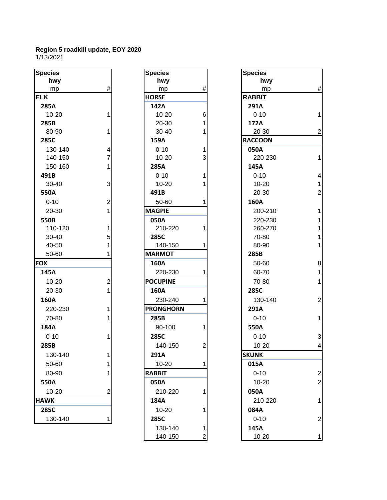| <b>Species</b> |                         | <b>Species</b>   |                | <b>Species</b> |
|----------------|-------------------------|------------------|----------------|----------------|
| hwy            |                         | hwy              |                | hwy            |
| mp             | $\#$                    | mp               | #              | mp             |
| <b>ELK</b>     |                         | <b>HORSE</b>     |                | <b>RABBIT</b>  |
| 285A           |                         | 142A             |                | 291A           |
| $10 - 20$      | $\mathbf{1}$            | $10 - 20$        | 6              | $0 - 10$       |
| 285B           |                         | 20-30            | 1              | 172A           |
| 80-90          | 1                       | 30-40            | 1              | 20-30          |
| 285C           |                         | 159A             |                | <b>RACCOON</b> |
| 130-140        | $\overline{\mathbf{4}}$ | $0 - 10$         | 1              | 050A           |
| 140-150        | $\overline{7}$          | $10 - 20$        | 3              | 220-23         |
| 150-160        | 1                       | 285A             |                | 145A           |
| 491B           |                         | $0 - 10$         | 1              | $0 - 10$       |
| 30-40          | 3                       | $10 - 20$        | 1              | $10 - 20$      |
| 550A           |                         | 491B             |                | 20-30          |
| $0 - 10$       | $\overline{2}$          | 50-60            | 1              | 160A           |
| 20-30          | $\overline{1}$          | <b>MAGPIE</b>    |                | 200-21         |
| 550B           |                         | 050A             |                | 220-23         |
| 110-120        | 1                       | 210-220          | 1              | 260-27         |
| 30-40          | 5                       | 285C             |                | 70-80          |
| 40-50          | 1                       | 140-150          | 1              | 80-90          |
| 50-60          | 1                       | <b>MARMOT</b>    |                | 285B           |
| <b>FOX</b>     |                         | 160A             |                | 50-60          |
| 145A           |                         | 220-230          | 1              | 60-70          |
| $10 - 20$      | $\overline{2}$          | <b>POCUPINE</b>  |                | 70-80          |
| 20-30          | $\overline{1}$          | 160A             |                | 285C           |
| 160A           |                         | 230-240          | 1              | 130-14         |
| 220-230        | 1                       | <b>PRONGHORN</b> |                | 291A           |
| 70-80          | 1                       | 285B             |                | $0 - 10$       |
| 184A           |                         | 90-100           | 1              | 550A           |
| $0 - 10$       | 1                       | 285C             |                | $0 - 10$       |
| 285B           |                         | 140-150          | $\overline{c}$ | $10 - 20$      |
| 130-140        | 1                       | 291A             |                | <b>SKUNK</b>   |
| 50-60          | 1                       | 10-20            | 1              | 015A           |
| 80-90          | 1                       | <b>RABBIT</b>    |                | $0 - 10$       |
| 550A           |                         | 050A             |                | 10-20          |
| $10 - 20$      | $\overline{2}$          | 210-220          | 1              | 050A           |
| <b>HAWK</b>    |                         | 184A             |                | 210-22         |
| 285C           |                         | $10 - 20$        | 1              | 084A           |
| 130-140        | 1                       | 285C             |                | $0 - 10$       |
|                |                         |                  |                |                |

| cies      |                | <b>Species</b>   |                | <b>Species</b> |
|-----------|----------------|------------------|----------------|----------------|
| hwy       |                | hwy              |                | hwy            |
| mp        | #              | mp               | #              | mp             |
|           |                | <b>HORSE</b>     |                | <b>RABBIT</b>  |
| 5Α        |                | 142A             |                | 291A           |
| $0 - 20$  | 1              | 10-20            | 6              | $0 - 10$       |
| 5В        |                | 20-30            | 1              | 172A           |
| $0-90$    | 1              | $30 - 40$        | 1              | $20 - 30$      |
| 5C        |                | 159A             |                | <b>RACCOON</b> |
| 30-140    | 4              | $0 - 10$         | 1              | 050A           |
| 40-150    | $\overline{7}$ | $10 - 20$        | 3              | 220-23         |
| 50-160    | 1              | 285A             |                | 145A           |
| 1B        |                | $0 - 10$         | 1              | $0 - 10$       |
| $0 - 40$  | 3              | $10 - 20$        | 1              | $10 - 20$      |
| 0A        |                | 491B             |                | 20-30          |
| $-10$     | $\overline{2}$ | 50-60            | 1              | 160A           |
| $20 - 30$ | $\mathbf{1}$   | <b>MAGPIE</b>    |                | 200-21         |
| 0B        |                | 050A             |                | 220-23         |
| 10-120    | 1              | 210-220          | 1              | 260-27         |
| $0 - 40$  | 5              | 285C             |                | 70-80          |
| $-50$     | 1              | 140-150          | 1              | 80-90          |
| $0 - 60$  | 1              | <b>MARMOT</b>    |                | 285B           |
|           |                | 160A             |                | 50-60          |
| 5Α        |                | 220-230          | 1              | 60-70          |
| $0 - 20$  | $\overline{2}$ | <b>POCUPINE</b>  |                | 70-80          |
| $20-30$   | 1              | 160A             |                | 285C           |
| 0Α        |                | 230-240          | 1              | 130-14         |
| 20-230    | 1              | <b>PRONGHORN</b> |                | 291A           |
| $0 - 80$  | 1              | 285B             |                | $0 - 10$       |
| 4Α        |                | 90-100           | 1              | 550A           |
| $-10$     | 1              | 285C             |                | $0 - 10$       |
| 5В        |                | 140-150          | $\overline{2}$ | $10 - 20$      |
| 30-140    | 1              | 291A             |                | <b>SKUNK</b>   |
| $0 - 60$  | 1              | 10-20            | 1              | 015A           |
| $0-90$    | 1              | <b>RABBIT</b>    |                | $0 - 10$       |
| 0A        |                | 050A             |                | $10 - 20$      |
| $0 - 20$  | 2              | 210-220          | 1              | 050A           |
| /K        |                | 184A             |                | 210-22         |
| 5C        |                | $10 - 20$        | 1              | 084A           |
| 30-140    | 1              | 285C             |                | $0 - 10$       |
|           |                | 130-140          | 1              | 145A           |
|           |                | 140-150          | $\overline{2}$ | $10 - 20$      |

| <b>Species</b> |                         | <b>Species</b>   |                              | <b>Species</b> |                         |
|----------------|-------------------------|------------------|------------------------------|----------------|-------------------------|
| hwy            |                         | hwy              |                              | hwy            |                         |
| mp             | $\#$                    | mp               | #                            | mp             | $\#$                    |
| <b>ELK</b>     |                         | <b>HORSE</b>     |                              | <b>RABBIT</b>  |                         |
| 285A           |                         | 142A             |                              | 291A           |                         |
| $10 - 20$      |                         | $10 - 20$        | 6                            | $0 - 10$       | $\mathbf{1}$            |
| 285B           |                         | 20-30            | 1                            | 172A           |                         |
| 80-90          |                         | 30-40            |                              | 20-30          | $\overline{c}$          |
| 285C           |                         | 159A             |                              | <b>RACCOON</b> |                         |
| 130-140        | 4                       | $0 - 10$         | 1                            | 050A           |                         |
| 140-150        | 7                       | $10 - 20$        | 3                            | 220-230        | 1                       |
| 150-160        |                         | 285A             |                              | 145A           |                         |
| 491B           |                         | $0 - 10$         | 1                            | $0 - 10$       | $\overline{\mathbf{4}}$ |
| $30 - 40$      | 3                       | $10 - 20$        |                              | $10 - 20$      | $\mathbf{1}$            |
| 550A           |                         | 491B             |                              | 20-30          | $\overline{2}$          |
| $0 - 10$       | 2                       | 50-60            | 1                            | 160A           |                         |
| 20-30          |                         | <b>MAGPIE</b>    |                              | 200-210        | 1                       |
| 550B           |                         | 050A             |                              | 220-230        | $\mathbf{1}$            |
| 110-120        |                         | 210-220          | 1                            | 260-270        | $\mathbf{1}$            |
| 30-40          | 5                       | 285C             |                              | 70-80          | $\mathbf{1}$            |
| 40-50          |                         | 140-150          |                              | 80-90          | $\mathbf{1}$            |
| 50-60          |                         | <b>MARMOT</b>    |                              | 285B           |                         |
| <b>FOX</b>     |                         | 160A             |                              | 50-60          | 8                       |
| 145A           |                         | 220-230          |                              | 60-70          | $\mathbf{1}$            |
| 10-20          | $\overline{\mathbf{c}}$ | <b>POCUPINE</b>  |                              | 70-80          | $\mathbf{1}$            |
| 20-30          |                         | 160A             |                              | 285C           |                         |
| 160A           |                         | 230-240          |                              | 130-140        | $\overline{2}$          |
| 220-230        |                         | <b>PRONGHORN</b> |                              | 291A           |                         |
| 70-80          |                         | 285B             |                              | $0 - 10$       | 1                       |
| 184A           |                         | 90-100           | 1                            | 550A           |                         |
| $0 - 10$       |                         | 285C             |                              | $0 - 10$       | 3                       |
| 285B           |                         | 140-150          | $\overline{c}$               | $10 - 20$      | 4                       |
| 130-140        |                         | 291A             |                              | <b>SKUNK</b>   |                         |
| 50-60          |                         | $10 - 20$        | 1                            | 015A           |                         |
| 80-90          | 1                       | <b>RABBIT</b>    |                              | $0 - 10$       | $\overline{2}$          |
| 550A           |                         | 050A             |                              | $10 - 20$      | $\overline{2}$          |
| $10 - 20$      | 2                       | 210-220          | 1                            | 050A           |                         |
| <b>HAWK</b>    |                         | 184A             |                              | 210-220        | $\mathbf{1}$            |
| 285C           |                         | 10-20            | 1                            | 084A           |                         |
| 130-140        |                         | 285C             |                              | $0 - 10$       | $\overline{2}$          |
|                |                         |                  |                              |                |                         |
|                |                         | 130-140          | 1<br>$\overline{\mathbf{c}}$ | 145A           |                         |
|                |                         | 140-150          |                              | 10-20          | 1                       |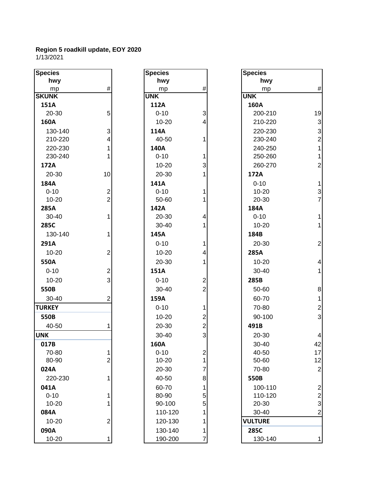| <b>Species</b> |                  | <b>Species</b> |                         | <b>Species</b> |                |
|----------------|------------------|----------------|-------------------------|----------------|----------------|
| hwy            |                  | hwy            |                         | hwy            |                |
| mp             | $\#$             | mp             | $\#$                    | mp             | #              |
| <b>SKUNK</b>   |                  | <b>UNK</b>     |                         | <b>UNK</b>     |                |
| 151A           |                  | 112A           |                         | 160A           |                |
| 20-30          | 5                | $0 - 10$       | 3                       | 200-210        | 1 <sup>c</sup> |
| 160A           |                  | $10 - 20$      | 4                       | 210-220        | $\mathbf{G}$   |
| 130-140        | 3                | 114A           |                         | 220-230        | 3              |
| 210-220        | 4                | 40-50          | 1                       | 230-240        | 2              |
| 220-230        | 1                | 140A           |                         | 240-250        | 1              |
| 230-240        |                  | $0 - 10$       | 1                       | 250-260        | 1              |
| 172A           |                  | 10-20          | 3                       | 260-270        | 2              |
| 20-30          | 10               | 20-30          | 1                       | 172A           |                |
| 184A           |                  | 141A           |                         | $0 - 10$       | 1              |
| $0 - 10$       | $\boldsymbol{2}$ | $0 - 10$       | 1                       | $10 - 20$      |                |
| $10 - 20$      | $\overline{2}$   | 50-60          |                         | 20-30          | $rac{3}{7}$    |
| 285A           |                  | 142A           |                         | 184A           |                |
| $30 - 40$      | 1                | 20-30          | 4                       | $0 - 10$       | 1              |
| 285C           |                  | 30-40          | 1                       | $10 - 20$      | 1              |
| 130-140        | 1                | 145A           |                         | 184B           |                |
| 291A           |                  | $0 - 10$       | 1                       | 20-30          | 2              |
| $10 - 20$      | $\overline{2}$   | $10 - 20$      | 4                       | 285A           |                |
| 550A           |                  | 20-30          | 1                       | $10 - 20$      | 4              |
| $0 - 10$       | $\mathbf 2$      | 151A           |                         | 30-40          | 1              |
| $10 - 20$      | 3                | $0 - 10$       | $\overline{\mathbf{c}}$ | 285B           |                |
| 550B           |                  | 30-40          | $\overline{2}$          | 50-60          | 8              |
| 30-40          |                  | 159A           |                         | 60-70          | 1              |
|                | 2                |                |                         |                |                |
| <b>TURKEY</b>  |                  | $0 - 10$       | 1                       | 70-80          | $\tilde{z}$    |
| 550B           |                  | $10 - 20$      | $\overline{2}$          | 90-100         | 3              |
| 40-50          |                  | 20-30          | $\overline{2}$          | 491B           |                |
| <b>UNK</b>     |                  | $30 - 40$      | 3                       | 20-30          | 4              |
| 017B           |                  | 160A           |                         | 30-40          | 42             |
| 70-80          |                  | $0 - 10$       | $\boldsymbol{2}$        | 40-50          | 17             |
| 80-90          | $\overline{c}$   | 10-20          | 1                       | 50-60          | 12             |
| 024A           |                  | 20-30          | 7                       | 70-80          | 2              |
| 220-230        | 1                | 40-50          | 8                       | 550B           |                |
| 041A           |                  | 60-70          | 1                       | 100-110        | 2              |
| $0 - 10$       | 1                | 80-90          | 5                       | 110-120        | $\tilde{z}$    |
| $10 - 20$      |                  | 90-100         | 5                       | 20-30          | 3              |
| 084A           |                  | 110-120        | 1                       | 30-40          | 2              |
| 10-20          | $\overline{2}$   | 120-130        | 1                       | <b>VULTURE</b> |                |
| 090A           |                  | 130-140        | 1                       | 285C           |                |
| $10 - 20$      | 1                | 190-200        | 7                       | 130-140        | 1              |

| pecies       |                | <b>Species</b> |                | <b>Species</b> |                |
|--------------|----------------|----------------|----------------|----------------|----------------|
| hwy          |                | hwy            |                | hwy            |                |
| mp           | $\#$           | mp             | $\#$           | mp             | #              |
| KUNK         |                | <b>UNK</b>     |                | <b>UNK</b>     |                |
| 151A         |                | 112A           |                | 160A           |                |
| 20-30        | 5              | $0 - 10$       | 3              | 200-210        | 19             |
| 160A         |                | $10 - 20$      | 4              | 210-220        | $\mathbf{3}$   |
| 130-140      | 3              | 114A           |                | 220-230        | 3              |
| 210-220      | $\overline{4}$ | 40-50          | 1              | 230-240        | $\overline{a}$ |
| 220-230      | $\mathbf{1}$   | 140A           |                | 240-250        | 1              |
| 230-240      | 1              | $0 - 10$       | 1              | 250-260        | $\overline{1}$ |
| 172A         |                | $10 - 20$      | 3              | 260-270        | $\overline{c}$ |
| 20-30        | 10             | 20-30          |                | 172A           |                |
| 184A         |                | 141A           |                | $0 - 10$       | 1              |
| $0 - 10$     | $\overline{2}$ | $0 - 10$       |                | $10 - 20$      |                |
| $10 - 20$    | $\overline{2}$ | 50-60          | 1              | 20-30          | $\frac{3}{7}$  |
| 285A         |                | 142A           |                | 184A           |                |
| $30 - 40$    | $\mathbf{1}$   | 20-30          | 4              | $0 - 10$       | 1              |
| 285C         |                | 30-40          | 1              | $10 - 20$      | 1              |
| 130-140      | $\mathbf{1}$   | 145A           |                | 184B           |                |
| 291A         |                | $0 - 10$       | 1              | 20-30          | $\overline{a}$ |
| 10-20        | $\overline{c}$ | $10 - 20$      | 4              | 285A           |                |
| 550A         |                | 20-30          | 1              | $10 - 20$      | 4              |
| $0 - 10$     | $\overline{c}$ | 151A           |                | 30-40          | 1              |
| $10 - 20$    | 3              | $0 - 10$       | $\overline{2}$ | 285B           |                |
| 550B         |                | 30-40          | $\overline{2}$ | 50-60          | 8              |
| 30-40        | $\overline{2}$ | 159A           |                | 60-70          | 1              |
| <b>JRKEY</b> |                | $0 - 10$       | 1              | 70-80          | $\overline{a}$ |
|              |                |                |                |                |                |
| 550B         |                | $10 - 20$      | 2              | 90-100         | 3              |
| 40-50        | 1              | 20-30          | $\overline{c}$ | 491B           |                |
| NΚ           |                | 30-40          | 3              | 20-30          | 4              |
| 017B         |                | 160A           |                | 30-40          | 42             |
| 70-80        | $\mathbf{1}$   | $0 - 10$       | $\overline{c}$ | 40-50          | 17             |
| 80-90        | $\overline{2}$ | 10-20          | 1              | 50-60          | 12             |
| 024A         |                | 20-30          | 7              | 70-80          | $\overline{a}$ |
| 220-230      | $\mathbf{1}$   | 40-50          | 8              | 550B           |                |
| 041A         |                | 60-70          |                | 100-110        | $\overline{a}$ |
| $0 - 10$     | 1              | 80-90          | 5              | 110-120        | 2              |
| 10-20        | 1              | 90-100         | 5              | 20-30          | 3              |
| 084A         |                | 110-120        |                | 30-40          | $\overline{2}$ |
| $10 - 20$    | $\overline{2}$ | 120-130        |                | <b>VULTURE</b> |                |
| 090A         |                | 130-140        | 1              | 285C           |                |
| 10-20        | $\mathbf{1}$   | 190-200        | 7              | 130-140        | 1              |

| <b>Species</b> |                                            |
|----------------|--------------------------------------------|
| hwy            |                                            |
| mp             | #                                          |
| UNK            |                                            |
| 160A           |                                            |
| 200-210        | 19                                         |
| 210-220        | 332112                                     |
| 220-230        |                                            |
| 230-240        |                                            |
| 240-250        |                                            |
| 250-260        |                                            |
| 260-270        |                                            |
| 172A           |                                            |
| $0 - 10$       | $\begin{array}{c} 1 \\ 3 \\ 7 \end{array}$ |
| 10-20          |                                            |
| 20-30          |                                            |
| 184A           |                                            |
| $0 - 10$       | 1                                          |
| 10-20          | $\overline{1}$                             |
| 184B           |                                            |
| 20-30          | $\overline{c}$                             |
| 285A           |                                            |
| $10 - 20$      | 4                                          |
| 30-40          | $\overline{1}$                             |
| 285B           |                                            |
| 50-60          | 8                                          |
| 60-70          |                                            |
| 70-80          |                                            |
| 90-100         | $\begin{array}{c} 1 \\ 2 \\ 3 \end{array}$ |
| 491B           |                                            |
| 20-30          | 4                                          |
| 30-40          | 42                                         |
| 40-50          | 17                                         |
| 50-60          | 12                                         |
| 70-80          |                                            |
| 550B           |                                            |
| 100-110        |                                            |
| 110-120        |                                            |
| 20-30          | $2223$<br>$232$                            |
| 30-40          |                                            |
| <b>VULTURE</b> |                                            |
| 285C           |                                            |
| 130-140        |                                            |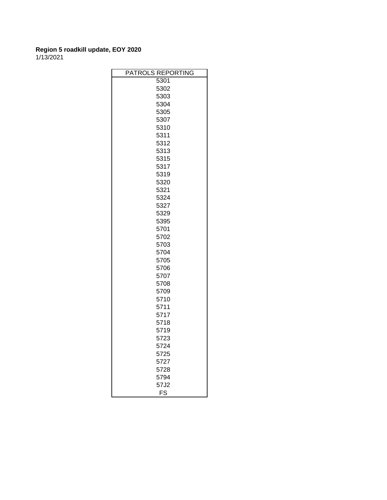| PATROLS REPORTING |
|-------------------|
| 5301              |
| 5302              |
| 5303              |
| 5304              |
| 5305              |
| 5307              |
| 5310              |
| 5311              |
| 5312              |
| 5313              |
| 5315              |
| 5317              |
| 5319              |
| 5320              |
| 5321              |
| 5324              |
| 5327              |
| 5329              |
| 5395              |
| 5701              |
| 5702              |
| 5703              |
| 5704              |
| 5705              |
| 5706              |
| 5707              |
| 5708              |
| 5709              |
| 5710              |
| 5711              |
| 5717              |
| 5718              |
| 5719              |
| 5723              |
| 5724              |
| 5725              |
| 5727              |
| 5728              |
| 5794              |
| 57J2              |
| FS                |